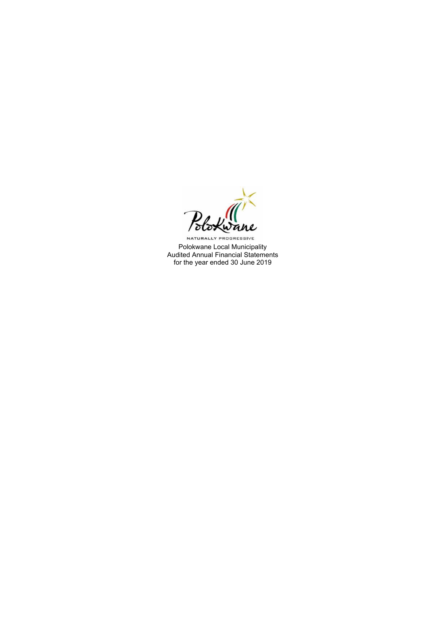Polot wane

NATURALLY PROGRESSIVE Polokwane Local Municipality Audited Annual Financial Statements for the year ended 30 June 2019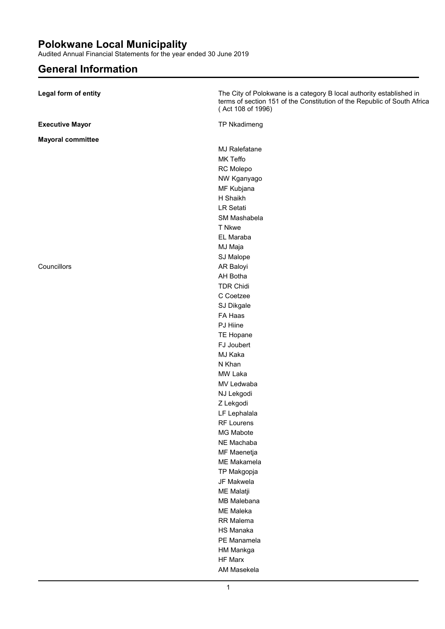Audited Annual Financial Statements for the year ended 30 June 2019

# **General Information**

| Legal form of entity     | The City of Polokwane is a category B local authority established in<br>terms of section 151 of the Constitution of the Republic of South Africa<br>(Act 108 of 1996) |
|--------------------------|-----------------------------------------------------------------------------------------------------------------------------------------------------------------------|
| <b>Executive Mayor</b>   | TP Nkadimeng                                                                                                                                                          |
| <b>Mayoral committee</b> |                                                                                                                                                                       |
|                          | <b>MJ Ralefatane</b>                                                                                                                                                  |
|                          | MK Teffo                                                                                                                                                              |
|                          | RC Molepo                                                                                                                                                             |
|                          | NW Kganyago                                                                                                                                                           |
|                          | MF Kubjana                                                                                                                                                            |
|                          | H Shaikh                                                                                                                                                              |
|                          | <b>LR Setati</b>                                                                                                                                                      |
|                          | SM Mashabela                                                                                                                                                          |
|                          | T Nkwe                                                                                                                                                                |
|                          | EL Maraba                                                                                                                                                             |
|                          | MJ Maja                                                                                                                                                               |
|                          | SJ Malope                                                                                                                                                             |
| Councillors              | AR Baloyi                                                                                                                                                             |
|                          | AH Botha<br><b>TDR Chidi</b>                                                                                                                                          |
|                          | C Coetzee                                                                                                                                                             |
|                          | SJ Dikgale                                                                                                                                                            |
|                          | FA Haas                                                                                                                                                               |
|                          | PJ Hiine                                                                                                                                                              |
|                          | <b>TE Hopane</b>                                                                                                                                                      |
|                          | FJ Joubert                                                                                                                                                            |
|                          | MJ Kaka                                                                                                                                                               |
|                          | N Khan                                                                                                                                                                |
|                          | MW Laka                                                                                                                                                               |
|                          | MV Ledwaba                                                                                                                                                            |
|                          | NJ Lekgodi                                                                                                                                                            |
|                          | Z Lekgodi                                                                                                                                                             |
|                          | LF Lephalala                                                                                                                                                          |
|                          | RF Lourens                                                                                                                                                            |
|                          | <b>MG Mabote</b>                                                                                                                                                      |
|                          | NE Machaba                                                                                                                                                            |
|                          | MF Maenetja                                                                                                                                                           |
|                          | ME Makamela                                                                                                                                                           |
|                          | TP Makgopja                                                                                                                                                           |
|                          | JF Makwela                                                                                                                                                            |
|                          | <b>ME Malatji</b>                                                                                                                                                     |
|                          | MB Malebana                                                                                                                                                           |
|                          | ME Maleka                                                                                                                                                             |
|                          | RR Malema<br>HS Manaka                                                                                                                                                |
|                          | PE Manamela                                                                                                                                                           |
|                          | HM Mankga                                                                                                                                                             |
|                          | HF Marx                                                                                                                                                               |
|                          | AM Masekela                                                                                                                                                           |
|                          |                                                                                                                                                                       |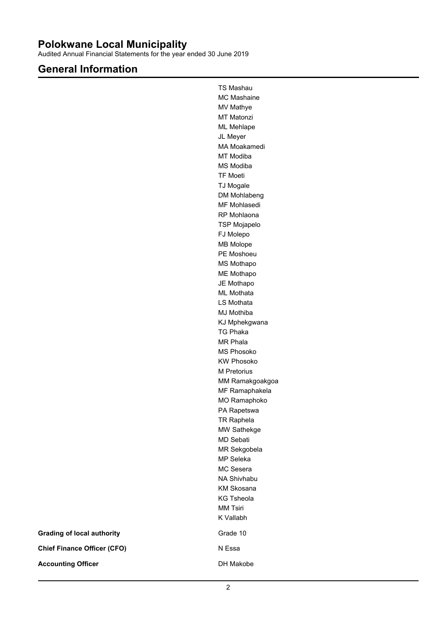Audited Annual Financial Statements for the year ended 30 June 2019

### **General Information**

TS Mashau MC Mashaine MV Mathye MT Matonzi ML Mehlape JL Meyer MA Moakamedi MT Modiba MS Modiba TF Moeti TJ Mogale DM Mohlabeng MF Mohlasedi RP Mohlaona TSP Mojapelo FJ Molepo MB Molope PE Moshoeu MS Mothapo ME Mothapo JE Mothapo ML Mothata LS Mothata MJ Mothiba KJ Mphekgwana TG Phaka MR Phala MS Phosoko KW Phosoko M Pretorius MM Ramakgoakgoa MF Ramaphakela MO Ramaphoko PA Rapetswa TR Raphela MW Sathekge MD Sebati MR Sekgobela MP Seleka MC Sesera NA Shivhabu KM Skosana KG Tsheola MM Tsiri K Vallabh

Grading of local authority **Grading of Local authority** Grade 10 **Chief Finance Officer (CFO)** N Essa **Accounting Officer DH Makobe**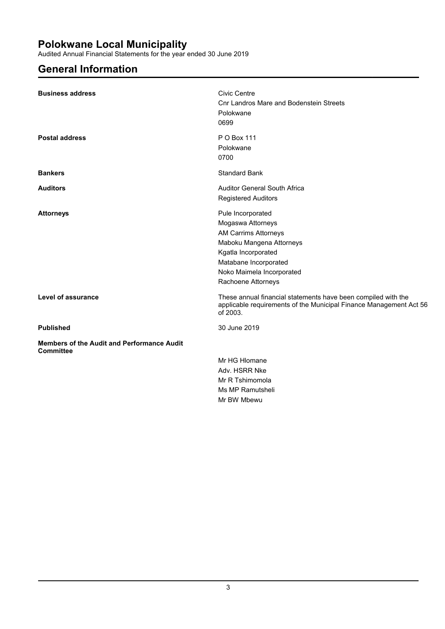Audited Annual Financial Statements for the year ended 30 June 2019

# **General Information**

| <b>Business address</b>                                               | <b>Civic Centre</b><br><b>Cnr Landros Mare and Bodenstein Streets</b><br>Polokwane<br>0699                                                                                                           |
|-----------------------------------------------------------------------|------------------------------------------------------------------------------------------------------------------------------------------------------------------------------------------------------|
| <b>Postal address</b>                                                 | P O Box 111<br>Polokwane<br>0700                                                                                                                                                                     |
| <b>Bankers</b>                                                        | <b>Standard Bank</b>                                                                                                                                                                                 |
| <b>Auditors</b>                                                       | <b>Auditor General South Africa</b><br><b>Registered Auditors</b>                                                                                                                                    |
| <b>Attorneys</b>                                                      | Pule Incorporated<br>Mogaswa Attorneys<br><b>AM Carrims Attorneys</b><br>Maboku Mangena Attorneys<br>Kgatla Incorporated<br>Matabane Incorporated<br>Noko Maimela Incorporated<br>Rachoene Attorneys |
| <b>Level of assurance</b>                                             | These annual financial statements have been compiled with the<br>applicable requirements of the Municipal Finance Management Act 56<br>of 2003.                                                      |
| <b>Published</b>                                                      | 30 June 2019                                                                                                                                                                                         |
| <b>Members of the Audit and Performance Audit</b><br><b>Committee</b> |                                                                                                                                                                                                      |
|                                                                       | Mr HG Hlomane                                                                                                                                                                                        |
|                                                                       | Adv. HSRR Nke                                                                                                                                                                                        |
|                                                                       | Mr R Tshimomola                                                                                                                                                                                      |
|                                                                       | Ms MP Ramutsheli                                                                                                                                                                                     |
|                                                                       | Mr BW Mbewu                                                                                                                                                                                          |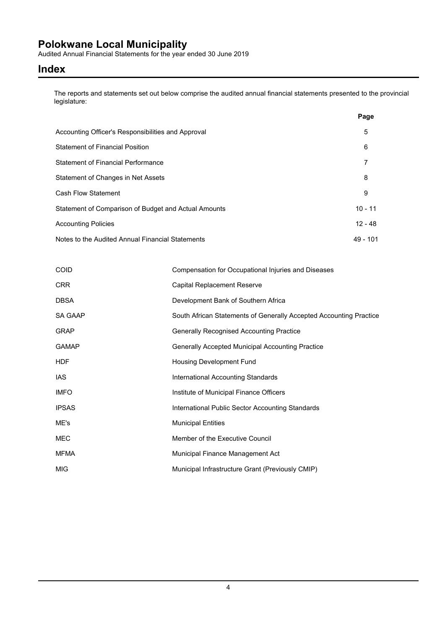Audited Annual Financial Statements for the year ended 30 June 2019

### **Index**

The reports and statements set out below comprise the audited annual financial statements presented to the provincial legislature:

|                                                      | Page      |
|------------------------------------------------------|-----------|
| Accounting Officer's Responsibilities and Approval   | 5         |
| <b>Statement of Financial Position</b>               | 6         |
| <b>Statement of Financial Performance</b>            | 7         |
| Statement of Changes in Net Assets                   | 8         |
| <b>Cash Flow Statement</b>                           | 9         |
| Statement of Comparison of Budget and Actual Amounts | $10 - 11$ |
| <b>Accounting Policies</b>                           | $12 - 48$ |
| Notes to the Audited Annual Financial Statements     | 49 - 101  |

| <b>COID</b>  | Compensation for Occupational Injuries and Diseases                |
|--------------|--------------------------------------------------------------------|
| <b>CRR</b>   | <b>Capital Replacement Reserve</b>                                 |
| <b>DBSA</b>  | Development Bank of Southern Africa                                |
| SA GAAP      | South African Statements of Generally Accepted Accounting Practice |
| <b>GRAP</b>  | <b>Generally Recognised Accounting Practice</b>                    |
| <b>GAMAP</b> | Generally Accepted Municipal Accounting Practice                   |
| <b>HDF</b>   | Housing Development Fund                                           |
| IAS.         | International Accounting Standards                                 |
| <b>IMFO</b>  | Institute of Municipal Finance Officers                            |
| <b>IPSAS</b> | International Public Sector Accounting Standards                   |
| ME's         | <b>Municipal Entities</b>                                          |
| <b>MEC</b>   | Member of the Executive Council                                    |
| <b>MFMA</b>  | Municipal Finance Management Act                                   |
| <b>MIG</b>   | Municipal Infrastructure Grant (Previously CMIP)                   |
|              |                                                                    |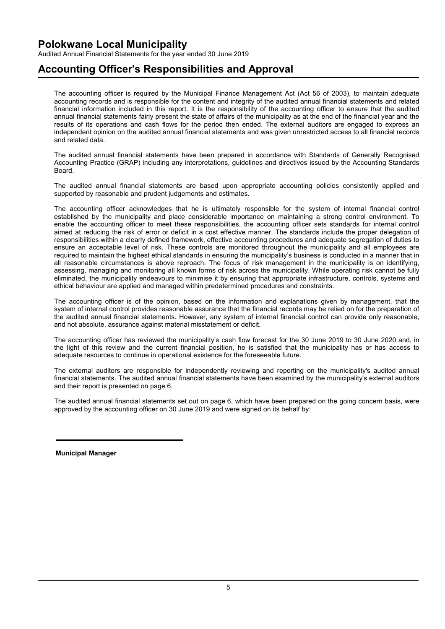Audited Annual Financial Statements for the year ended 30 June 2019

# **Accounting Officer's Responsibilities and Approval**

The accounting officer is required by the Municipal Finance Management Act (Act 56 of 2003), to maintain adequate accounting records and is responsible for the content and integrity of the audited annual financial statements and related financial information included in this report. It is the responsibility of the accounting officer to ensure that the audited annual financial statements fairly present the state of affairs of the municipality as at the end of the financial year and the results of its operations and cash flows for the period then ended. The external auditors are engaged to express an independent opinion on the audited annual financial statements and was given unrestricted access to all financial records and related data.

The audited annual financial statements have been prepared in accordance with Standards of Generally Recognised Accounting Practice (GRAP) including any interpretations, guidelines and directives issued by the Accounting Standards Board.

The audited annual financial statements are based upon appropriate accounting policies consistently applied and supported by reasonable and prudent judgements and estimates.

The accounting officer acknowledges that he is ultimately responsible for the system of internal financial control established by the municipality and place considerable importance on maintaining a strong control environment. To enable the accounting officer to meet these responsibilities, the accounting officer sets standards for internal control aimed at reducing the risk of error or deficit in a cost effective manner. The standards include the proper delegation of responsibilities within a clearly defined framework, effective accounting procedures and adequate segregation of duties to ensure an acceptable level of risk. These controls are monitored throughout the municipality and all employees are required to maintain the highest ethical standards in ensuring the municipality's business is conducted in a manner that in all reasonable circumstances is above reproach. The focus of risk management in the municipality is on identifying, assessing, managing and monitoring all known forms of risk across the municipality. While operating risk cannot be fully eliminated, the municipality endeavours to minimise it by ensuring that appropriate infrastructure, controls, systems and ethical behaviour are applied and managed within predetermined procedures and constraints.

The accounting officer is of the opinion, based on the information and explanations given by management, that the system of internal control provides reasonable assurance that the financial records may be relied on for the preparation of the audited annual financial statements. However, any system of internal financial control can provide only reasonable, and not absolute, assurance against material misstatement or deficit.

The accounting officer has reviewed the municipality's cash flow forecast for the 30 June 2019 to 30 June 2020 and, in the light of this review and the current financial position, he is satisfied that the municipality has or has access to adequate resources to continue in operational existence for the foreseeable future.

The external auditors are responsible for independently reviewing and reporting on the municipality's audited annual financial statements. The audited annual financial statements have been examined by the municipality's external auditors and their report is presented on page 6.

The audited annual financial statements set out on page 6, which have been prepared on the going concern basis, were approved by the accounting officer on 30 June 2019 and were signed on its behalf by:

**Municipal Manager**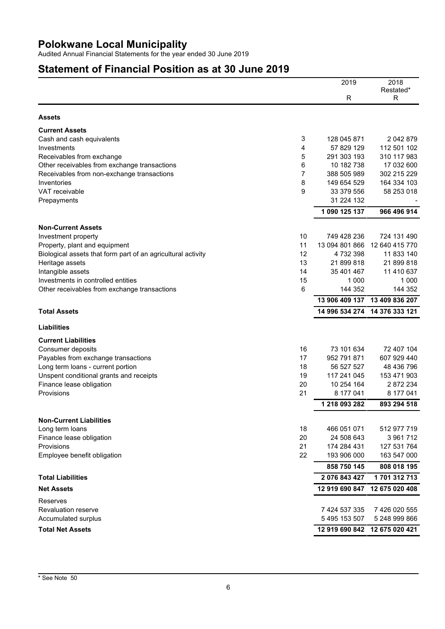Audited Annual Financial Statements for the year ended 30 June 2019

# **Statement of Financial Position as at 30 June 2019**

|                                                                    | 2019           | 2018                          |
|--------------------------------------------------------------------|----------------|-------------------------------|
|                                                                    | R              | Restated*<br>R                |
|                                                                    |                |                               |
| <b>Assets</b>                                                      |                |                               |
| <b>Current Assets</b>                                              |                |                               |
| 3<br>Cash and cash equivalents                                     | 128 045 871    | 2 042 879                     |
| Investments<br>4                                                   | 57 829 129     | 112 501 102                   |
| Receivables from exchange<br>5                                     | 291 303 193    | 310 117 983                   |
| Other receivables from exchange transactions<br>6                  | 10 182 738     | 17 032 600                    |
| 7<br>Receivables from non-exchange transactions                    | 388 505 989    | 302 215 229                   |
| 8<br>Inventories                                                   | 149 654 529    | 164 334 103                   |
| 9<br>VAT receivable                                                | 33 379 556     | 58 253 018                    |
| Prepayments                                                        | 31 224 132     |                               |
|                                                                    | 1 090 125 137  | 966 496 914                   |
| <b>Non-Current Assets</b>                                          |                |                               |
| 10<br>Investment property                                          | 749 428 236    | 724 131 490                   |
| 11<br>Property, plant and equipment                                | 13 094 801 866 | 12 640 415 770                |
| 12<br>Biological assets that form part of an agricultural activity | 4732398        | 11 833 140                    |
| 13<br>Heritage assets                                              | 21 899 818     | 21 899 818                    |
| Intangible assets<br>14                                            | 35 401 467     | 11 410 637                    |
| Investments in controlled entities<br>15                           | 1 0 0 0        | 1 0 0 0                       |
| 6<br>Other receivables from exchange transactions                  | 144 352        | 144 352                       |
|                                                                    | 13 906 409 137 | 13 409 836 207                |
| <b>Total Assets</b>                                                |                | 14 996 534 274 14 376 333 121 |
| <b>Liabilities</b>                                                 |                |                               |
| <b>Current Liabilities</b>                                         |                |                               |
| Consumer deposits<br>16                                            | 73 101 634     | 72 407 104                    |
| 17<br>Payables from exchange transactions                          | 952 791 871    | 607 929 440                   |
| 18<br>Long term loans - current portion                            | 56 527 527     | 48 436 796                    |
| 19<br>Unspent conditional grants and receipts                      | 117 241 045    | 153 471 903                   |
| 20<br>Finance lease obligation                                     | 10 254 164     | 2 872 234                     |
| Provisions<br>21                                                   | 8 177 041      | 8 177 041                     |
|                                                                    | 1 218 093 282  | 893 294 518                   |
| <b>Non-Current Liabilities</b>                                     |                |                               |
| 18<br>Long term loans                                              | 466 051 071    | 512 977 719                   |
| 20<br>Finance lease obligation                                     | 24 508 643     | 3 961 712                     |
| 21<br>Provisions                                                   | 174 284 431    | 127 531 764                   |
| 22<br>Employee benefit obligation                                  | 193 906 000    | 163 547 000                   |
|                                                                    | 858 750 145    | 808 018 195                   |
| <b>Total Liabilities</b>                                           | 2 076 843 427  | 1701312713                    |
| <b>Net Assets</b>                                                  | 12 919 690 847 | 12 675 020 408                |
| Reserves                                                           |                |                               |
| <b>Revaluation reserve</b>                                         | 7 424 537 335  | 7 426 020 555                 |
| Accumulated surplus                                                | 5 495 153 507  | 5 248 999 866                 |
| <b>Total Net Assets</b>                                            |                | 12 919 690 842 12 675 020 421 |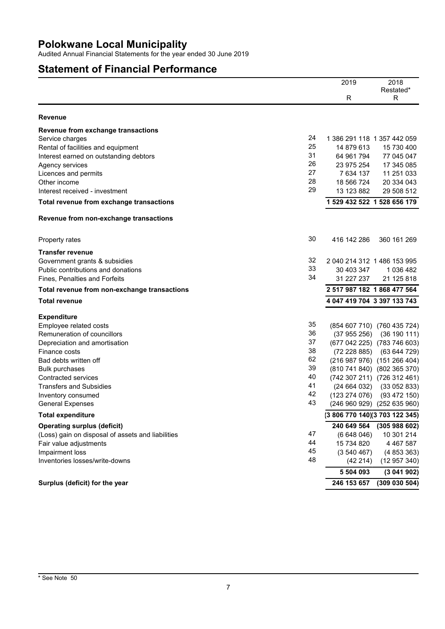Audited Annual Financial Statements for the year ended 30 June 2019

# **Statement of Financial Performance**

|                                                   |          | 2019                           | 2018                        |
|---------------------------------------------------|----------|--------------------------------|-----------------------------|
|                                                   |          |                                | Restated*                   |
|                                                   |          | R                              | R                           |
| <b>Revenue</b>                                    |          |                                |                             |
| Revenue from exchange transactions                |          |                                |                             |
| Service charges                                   | 24       | 1 386 291 118 1 357 442 059    |                             |
| Rental of facilities and equipment                | 25       | 14 879 613                     | 15 730 400                  |
| Interest earned on outstanding debtors            | 31       | 64 961 794                     | 77 045 047                  |
| Agency services                                   | 26       | 23 975 254                     | 17 345 085                  |
| Licences and permits                              | 27       | 7 634 137                      | 11 251 033                  |
| Other income                                      | 28<br>29 | 18 566 724                     | 20 334 043                  |
| Interest received - investment                    |          | 13 123 882                     | 29 508 512                  |
| Total revenue from exchange transactions          |          | 1 529 432 522 1 528 656 179    |                             |
| Revenue from non-exchange transactions            |          |                                |                             |
| Property rates                                    | 30       | 416 142 286                    | 360 161 269                 |
| <b>Transfer revenue</b>                           |          |                                |                             |
| Government grants & subsidies                     | 32       | 2 040 214 312 1 486 153 995    |                             |
| Public contributions and donations                | 33       | 30 403 347                     | 1 036 482                   |
| Fines, Penalties and Forfeits                     | 34       | 31 227 237                     | 21 125 818                  |
| Total revenue from non-exchange transactions      |          |                                | 2 517 987 182 1 868 477 564 |
| <b>Total revenue</b>                              |          | 4 047 419 704 3 397 133 743    |                             |
| <b>Expenditure</b>                                |          |                                |                             |
| Employee related costs                            | 35       |                                | (854 607 710) (760 435 724) |
| Remuneration of councillors                       | 36       |                                | $(37955256)$ $(36190111)$   |
| Depreciation and amortisation                     | 37       |                                | (677 042 225) (783 746 603) |
| Finance costs                                     | 38       | (72 228 885)                   | (63644729)                  |
| Bad debts written off                             | 62       |                                | (216 987 976) (151 266 404) |
| <b>Bulk purchases</b>                             | 39       |                                | (810 741 840) (802 365 370) |
| Contracted services                               | 40       |                                | (742 307 211) (726 312 461) |
| <b>Transfers and Subsidies</b>                    | 41       | (24664032)                     | (33052833)                  |
| Inventory consumed                                | 42       | (123 274 076)                  | (93 472 150)                |
| <b>General Expenses</b>                           | 43       |                                | (246 960 929) (252 635 960) |
| <b>Total expenditure</b>                          |          | (3 806 770 140)(3 703 122 345) |                             |
| <b>Operating surplus (deficit)</b>                |          |                                | 240 649 564 (305 988 602)   |
| (Loss) gain on disposal of assets and liabilities | 47       | (6648046)                      | 10 301 214                  |
| Fair value adjustments                            | 44       | 15 734 820                     | 4 467 587                   |
| Impairment loss                                   | 45       | (3540467)                      | (4853363)                   |
| Inventories losses/write-downs                    | 48       | (42 214)                       | (12957340)                  |
|                                                   |          | 5 504 093                      | (3041902)                   |
| Surplus (deficit) for the year                    |          | 246 153 657                    | (309 030 504)               |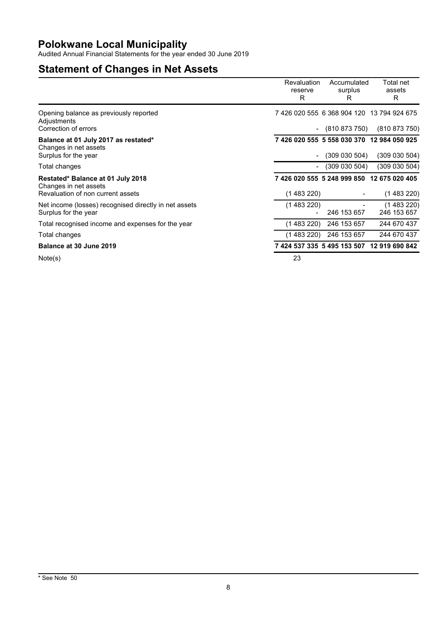Audited Annual Financial Statements for the year ended 30 June 2019

# **Statement of Changes in Net Assets**

|                                                                                                 | Revaluation<br>reserve<br>R              | Accumulated<br>surplus<br>R | Total net<br>assets<br>R                         |
|-------------------------------------------------------------------------------------------------|------------------------------------------|-----------------------------|--------------------------------------------------|
| Opening balance as previously reported<br>Adjustments<br>Correction of errors                   | $\overline{\phantom{a}}$                 | (810 873 750)               | 7426020555636890412013794924675<br>(810 873 750) |
| Balance at 01 July 2017 as restated*<br>Changes in net assets<br>Surplus for the year           | $\overline{\phantom{a}}$                 | (309 030 504)               | 7426020555555803037012984050925<br>(309 030 504) |
| Total changes                                                                                   | $\blacksquare$                           | (309 030 504)               | (309 030 504)                                    |
| Restated* Balance at 01 July 2018<br>Changes in net assets<br>Revaluation of non current assets | 7 426 020 555 5 248 999 850<br>(1483220) |                             | 12 675 020 405<br>(1483220)                      |
| Net income (losses) recognised directly in net assets<br>Surplus for the year                   | (1483220)                                | 246 153 657                 | (1483220)<br>246 153 657                         |
| Total recognised income and expenses for the year                                               | (1 483 220)                              | 246 153 657                 | 244 670 437                                      |
| Total changes                                                                                   | (1 483 220)                              | 246 153 657                 | 244 670 437                                      |
| Balance at 30 June 2019                                                                         |                                          |                             | 7 424 537 335 5 495 153 507 12 919 690 842       |
| Note(s)                                                                                         | 23                                       |                             |                                                  |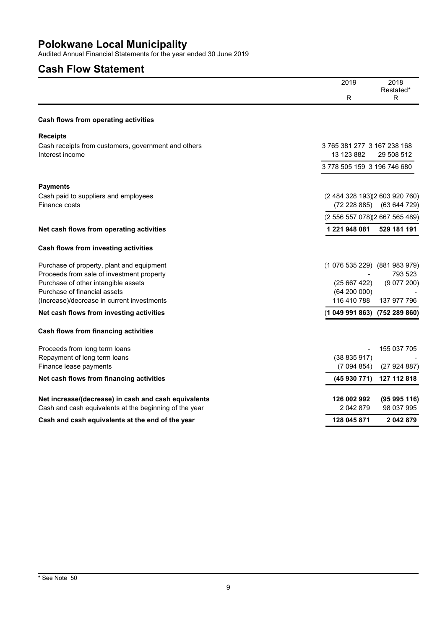Audited Annual Financial Statements for the year ended 30 June 2019

## **Cash Flow Statement**

|                                                                                                                | 2019                                           | 2018                     |
|----------------------------------------------------------------------------------------------------------------|------------------------------------------------|--------------------------|
|                                                                                                                | R                                              | Restated*<br>R           |
| Cash flows from operating activities                                                                           |                                                |                          |
| <b>Receipts</b>                                                                                                |                                                |                          |
| Cash receipts from customers, government and others<br>Interest income                                         | 3765 381 277 3 167 238 168<br>13 123 882       | 29 508 512               |
|                                                                                                                | 3778 505 159 3 196 746 680                     |                          |
| <b>Payments</b>                                                                                                |                                                |                          |
| Cash paid to suppliers and employees<br>Finance costs                                                          | (2 484 328 193)(2 603 920 760)<br>(72 228 885) | (63 644 729)             |
|                                                                                                                | (2 556 557 078)(2 667 565 489)                 |                          |
| Net cash flows from operating activities                                                                       | 1 221 948 081                                  | 529 181 191              |
| Cash flows from investing activities                                                                           |                                                |                          |
| Purchase of property, plant and equipment<br>Proceeds from sale of investment property                         | $(1076535229)$ $(881983979)$                   | 793 523                  |
| Purchase of other intangible assets                                                                            | (25667422)                                     | (9077200)                |
| Purchase of financial assets<br>(Increase)/decrease in current investments                                     | (64 200 000)<br>116 410 788                    | 137 977 796              |
| Net cash flows from investing activities                                                                       | $(1049991863)$ $(752289860)$                   |                          |
| Cash flows from financing activities                                                                           |                                                |                          |
| Proceeds from long term loans                                                                                  |                                                | 155 037 705              |
| Repayment of long term loans<br>Finance lease payments                                                         | (38835917)<br>(7094854)                        | (27924887)               |
| Net cash flows from financing activities                                                                       | (45930771)                                     | 127 112 818              |
|                                                                                                                |                                                |                          |
| Net increase/(decrease) in cash and cash equivalents<br>Cash and cash equivalents at the beginning of the year | 126 002 992<br>2 042 879                       | (95995116)<br>98 037 995 |
| Cash and cash equivalents at the end of the year                                                               | 128 045 871                                    | 2 042 879                |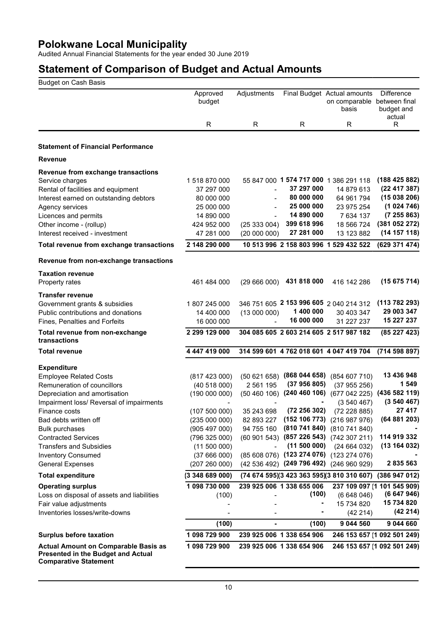Audited Annual Financial Statements for the year ended 30 June 2019

# **Statement of Comparison of Budget and Actual Amounts**

| <b>Budget on Cash Basis</b>                                                                                              |                    |                |                           |                                                                     |                                 |
|--------------------------------------------------------------------------------------------------------------------------|--------------------|----------------|---------------------------|---------------------------------------------------------------------|---------------------------------|
|                                                                                                                          | Approved<br>budget | Adjustments    |                           | Final Budget Actual amounts<br>on comparable between final<br>basis | <b>Difference</b><br>budget and |
|                                                                                                                          | R                  | R              | R                         | R                                                                   | actual<br>R                     |
| <b>Statement of Financial Performance</b>                                                                                |                    |                |                           |                                                                     |                                 |
| <b>Revenue</b>                                                                                                           |                    |                |                           |                                                                     |                                 |
|                                                                                                                          |                    |                |                           |                                                                     |                                 |
| Revenue from exchange transactions<br>Service charges                                                                    | 1 518 870 000      |                | 55 847 000 1 574 717 000  | 1 386 291 118                                                       | (188 425 882)                   |
| Rental of facilities and equipment                                                                                       | 37 297 000         |                | 37 297 000                | 14 879 613                                                          | (22417387)                      |
| Interest earned on outstanding debtors                                                                                   | 80 000 000         |                | 80 000 000                | 64 961 794                                                          | (15038206)                      |
| Agency services                                                                                                          | 25 000 000         |                | 25 000 000                | 23 975 254                                                          | (1024746)                       |
| Licences and permits                                                                                                     | 14 890 000         |                | 14 890 000                | 7 634 137                                                           | (7255863)                       |
| Other income - (rollup)                                                                                                  | 424 952 000        | (25333004)     | 399 618 996               | 18 566 724                                                          | (381052272)                     |
| Interest received - investment                                                                                           | 47 281 000         | (2000000)      | 27 281 000                | 13 123 882                                                          | (14 157 118)                    |
| Total revenue from exchange transactions                                                                                 | 2 148 290 000      |                |                           | 10 513 996 2 158 803 996 1 529 432 522                              | (629 371 474)                   |
| Revenue from non-exchange transactions                                                                                   |                    |                |                           |                                                                     |                                 |
| <b>Taxation revenue</b>                                                                                                  |                    |                |                           |                                                                     |                                 |
| Property rates                                                                                                           | 461 484 000        | (29666000)     | 431 818 000               | 416 142 286                                                         | (15675714)                      |
| <b>Transfer revenue</b>                                                                                                  |                    |                |                           |                                                                     |                                 |
| Government grants & subsidies                                                                                            | 1807 245 000       |                |                           | 346 751 605 2 153 996 605 2 040 214 312                             | (113 782 293)                   |
| Public contributions and donations                                                                                       | 14 400 000         | (13000000)     | 1 400 000                 | 30 403 347                                                          | 29 003 347                      |
| Fines, Penalties and Forfeits                                                                                            | 16 000 000         |                | 16 000 000                | 31 227 237                                                          | 15 227 237                      |
| Total revenue from non-exchange<br>transactions                                                                          | 2 299 129 000      |                |                           | 304 085 605 2 603 214 605 2 517 987 182                             | (85 227 423)                    |
| Total revenue                                                                                                            | 4 447 419 000      |                |                           | 314 599 601 4 762 018 601 4 047 419 704                             | (714 598 897)                   |
|                                                                                                                          |                    |                |                           |                                                                     |                                 |
| <b>Expenditure</b><br><b>Employee Related Costs</b>                                                                      | (817 423 000)      | (50621658)     | (868044658)               | (854 607 710)                                                       | 13 436 948                      |
| Remuneration of councillors                                                                                              | (40518000)         | 2 561 195      | (37956805)                | (37955256)                                                          | 1 549                           |
| Depreciation and amortisation                                                                                            | (190 000 000)      | (50 460 106)   | (240 460 106)             | (67704225)                                                          | (436 582 119)                   |
| Impairment loss/ Reversal of impairments                                                                                 |                    |                |                           | (3540467)                                                           | (3540467)                       |
| Finance costs                                                                                                            | (107 500 000)      | 35 243 698     | (72 256 302)              | (72 228 885)                                                        | 27 417                          |
| Bad debts written off                                                                                                    | (235000000)        | 82 893 227     |                           | (152 106 773) (216 987 976)                                         | (64881203)                      |
| <b>Bulk purchases</b>                                                                                                    | (905 497 000)      | 94 755 160     |                           | (810 741 840) (810 741 840)                                         |                                 |
| <b>Contracted Services</b>                                                                                               | (796 325 000)      |                |                           | (60 901 543) (857 226 543) (742 307 211)                            | 114 919 332                     |
| <b>Transfers and Subsidies</b>                                                                                           | (11 500 000)       |                | (11 500 000)              | (24664032)                                                          | (13164032)                      |
| <b>Inventory Consumed</b>                                                                                                | (37666000)         |                |                           | (85 608 076) (123 274 076) (123 274 076)                            |                                 |
| <b>General Expenses</b>                                                                                                  | (207 260 000)      |                |                           | (42 536 492) (249 796 492) (246 960 929)                            | 2 835 563                       |
| <b>Total expenditure</b>                                                                                                 | (3348689000)       |                |                           | (74 674 595)(3 423 363 595)(3 810 310 607)                          | (386 947 012)                   |
| <b>Operating surplus</b>                                                                                                 | 1 098 730 000      |                | 239 925 006 1 338 655 006 |                                                                     | 237 109 097 (1 101 545 909)     |
| Loss on disposal of assets and liabilities                                                                               | (100)              |                | (100)                     | (6648046)                                                           | (6647946)                       |
| Fair value adjustments                                                                                                   |                    |                |                           | 15 734 820                                                          | 15 734 820                      |
| Inventories losses/write-downs                                                                                           |                    |                |                           | (42 214)                                                            | (42 214)                        |
|                                                                                                                          | (100)              | $\blacksquare$ | (100)                     | 9 044 560                                                           | 9 044 660                       |
| <b>Surplus before taxation</b>                                                                                           | 1 098 729 900      |                | 239 925 006 1 338 654 906 |                                                                     | 246 153 657 (1 092 501 249)     |
| <b>Actual Amount on Comparable Basis as</b><br><b>Presented in the Budget and Actual</b><br><b>Comparative Statement</b> | 1 098 729 900      |                | 239 925 006 1 338 654 906 |                                                                     | 246 153 657 (1 092 501 249)     |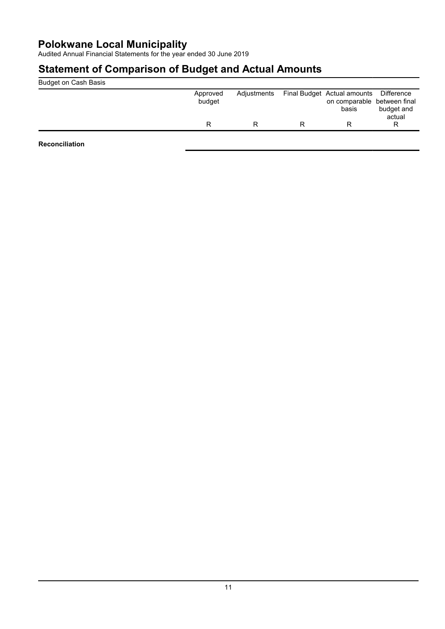Audited Annual Financial Statements for the year ended 30 June 2019

# **Statement of Comparison of Budget and Actual Amounts**

| Budget on Cash Basis  | Approved<br>budget | Adjustments |   | Final Budget Actual amounts Difference<br>on comparable between final<br>basis | budget and<br>actual |
|-----------------------|--------------------|-------------|---|--------------------------------------------------------------------------------|----------------------|
|                       | R                  | R           | R |                                                                                | R                    |
| <b>Reconciliation</b> |                    |             |   |                                                                                |                      |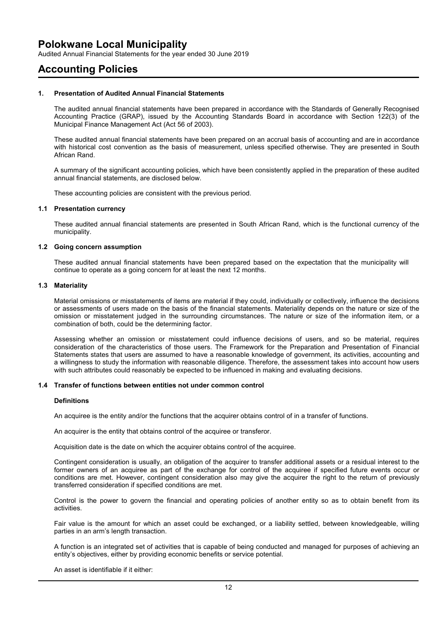Audited Annual Financial Statements for the year ended 30 June 2019

## **Accounting Policies**

### **1. Presentation of Audited Annual Financial Statements**

The audited annual financial statements have been prepared in accordance with the Standards of Generally Recognised Accounting Practice (GRAP), issued by the Accounting Standards Board in accordance with Section 122(3) of the Municipal Finance Management Act (Act 56 of 2003).

These audited annual financial statements have been prepared on an accrual basis of accounting and are in accordance with historical cost convention as the basis of measurement, unless specified otherwise. They are presented in South African Rand.

A summary of the significant accounting policies, which have been consistently applied in the preparation of these audited annual financial statements, are disclosed below.

These accounting policies are consistent with the previous period.

#### **1.1 Presentation currency**

These audited annual financial statements are presented in South African Rand, which is the functional currency of the municipality.

#### **1.2 Going concern assumption**

These audited annual financial statements have been prepared based on the expectation that the municipality will continue to operate as a going concern for at least the next 12 months.

#### **1.3 Materiality**

Material omissions or misstatements of items are material if they could, individually or collectively, influence the decisions or assessments of users made on the basis of the financial statements. Materiality depends on the nature or size of the omission or misstatement judged in the surrounding circumstances. The nature or size of the information item, or a combination of both, could be the determining factor.

Assessing whether an omission or misstatement could influence decisions of users, and so be material, requires consideration of the characteristics of those users. The Framework for the Preparation and Presentation of Financial Statements states that users are assumed to have a reasonable knowledge of government, its activities, accounting and a willingness to study the information with reasonable diligence. Therefore, the assessment takes into account how users with such attributes could reasonably be expected to be influenced in making and evaluating decisions.

#### **1.4 Transfer of functions between entities not under common control**

#### **Definitions**

An acquiree is the entity and/or the functions that the acquirer obtains control of in a transfer of functions.

An acquirer is the entity that obtains control of the acquiree or transferor.

Acquisition date is the date on which the acquirer obtains control of the acquiree.

Contingent consideration is usually, an obligation of the acquirer to transfer additional assets or a residual interest to the former owners of an acquiree as part of the exchange for control of the acquiree if specified future events occur or conditions are met. However, contingent consideration also may give the acquirer the right to the return of previously transferred consideration if specified conditions are met.

Control is the power to govern the financial and operating policies of another entity so as to obtain benefit from its activities.

Fair value is the amount for which an asset could be exchanged, or a liability settled, between knowledgeable, willing parties in an arm's length transaction.

A function is an integrated set of activities that is capable of being conducted and managed for purposes of achieving an entity's objectives, either by providing economic benefits or service potential.

An asset is identifiable if it either: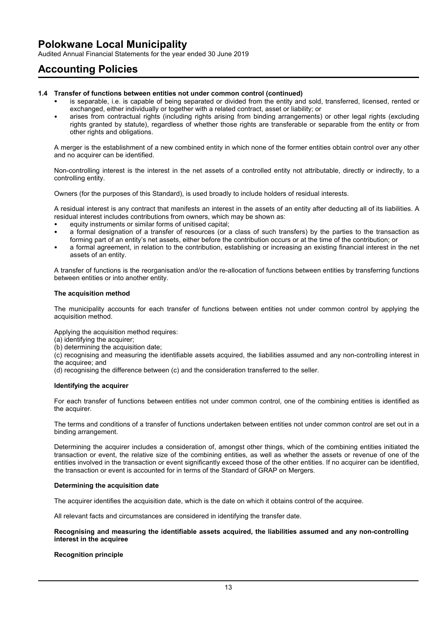Audited Annual Financial Statements for the year ended 30 June 2019

# **Accounting Policies**

### **1.4 Transfer of functions between entities not under common control (continued)**

- is separable, i.e. is capable of being separated or divided from the entity and sold, transferred, licensed, rented or exchanged, either individually or together with a related contract, asset or liability; or
- arises from contractual rights (including rights arising from binding arrangements) or other legal rights (excluding rights granted by statute), regardless of whether those rights are transferable or separable from the entity or from other rights and obligations.

A merger is the establishment of a new combined entity in which none of the former entities obtain control over any other and no acquirer can be identified.

Non-controlling interest is the interest in the net assets of a controlled entity not attributable, directly or indirectly, to a controlling entity.

Owners (for the purposes of this Standard), is used broadly to include holders of residual interests.

A residual interest is any contract that manifests an interest in the assets of an entity after deducting all of its liabilities. A residual interest includes contributions from owners, which may be shown as:

- equity instruments or similar forms of unitised capital;
- a formal designation of a transfer of resources (or a class of such transfers) by the parties to the transaction as forming part of an entity's net assets, either before the contribution occurs or at the time of the contribution; or
- a formal agreement, in relation to the contribution, establishing or increasing an existing financial interest in the net assets of an entity.

A transfer of functions is the reorganisation and/or the re-allocation of functions between entities by transferring functions between entities or into another entity.

### **The acquisition method**

The municipality accounts for each transfer of functions between entities not under common control by applying the acquisition method.

Applying the acquisition method requires:

- (a) identifying the acquirer;
- (b) determining the acquisition date;

(c) recognising and measuring the identifiable assets acquired, the liabilities assumed and any non-controlling interest in the acquiree; and

(d) recognising the difference between (c) and the consideration transferred to the seller.

### **Identifying the acquirer**

For each transfer of functions between entities not under common control, one of the combining entities is identified as the acquirer.

The terms and conditions of a transfer of functions undertaken between entities not under common control are set out in a binding arrangement.

Determining the acquirer includes a consideration of, amongst other things, which of the combining entities initiated the transaction or event, the relative size of the combining entities, as well as whether the assets or revenue of one of the entities involved in the transaction or event significantly exceed those of the other entities. If no acquirer can be identified, the transaction or event is accounted for in terms of the Standard of GRAP on Mergers.

### **Determining the acquisition date**

The acquirer identifies the acquisition date, which is the date on which it obtains control of the acquiree.

All relevant facts and circumstances are considered in identifying the transfer date.

### **Recognising and measuring the identifiable assets acquired, the liabilities assumed and any non-controlling interest in the acquiree**

### **Recognition principle**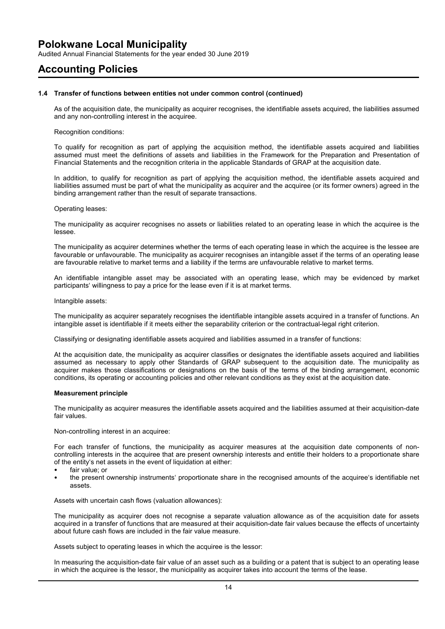Audited Annual Financial Statements for the year ended 30 June 2019

## **Accounting Policies**

### **1.4 Transfer of functions between entities not under common control (continued)**

As of the acquisition date, the municipality as acquirer recognises, the identifiable assets acquired, the liabilities assumed and any non-controlling interest in the acquiree.

#### Recognition conditions:

To qualify for recognition as part of applying the acquisition method, the identifiable assets acquired and liabilities assumed must meet the definitions of assets and liabilities in the Framework for the Preparation and Presentation of Financial Statements and the recognition criteria in the applicable Standards of GRAP at the acquisition date.

In addition, to qualify for recognition as part of applying the acquisition method, the identifiable assets acquired and liabilities assumed must be part of what the municipality as acquirer and the acquiree (or its former owners) agreed in the binding arrangement rather than the result of separate transactions.

#### Operating leases:

The municipality as acquirer recognises no assets or liabilities related to an operating lease in which the acquiree is the lessee.

The municipality as acquirer determines whether the terms of each operating lease in which the acquiree is the lessee are favourable or unfavourable. The municipality as acquirer recognises an intangible asset if the terms of an operating lease are favourable relative to market terms and a liability if the terms are unfavourable relative to market terms.

An identifiable intangible asset may be associated with an operating lease, which may be evidenced by market participants' willingness to pay a price for the lease even if it is at market terms.

#### Intangible assets:

The municipality as acquirer separately recognises the identifiable intangible assets acquired in a transfer of functions. An intangible asset is identifiable if it meets either the separability criterion or the contractual-legal right criterion.

Classifying or designating identifiable assets acquired and liabilities assumed in a transfer of functions:

At the acquisition date, the municipality as acquirer classifies or designates the identifiable assets acquired and liabilities assumed as necessary to apply other Standards of GRAP subsequent to the acquisition date. The municipality as acquirer makes those classifications or designations on the basis of the terms of the binding arrangement, economic conditions, its operating or accounting policies and other relevant conditions as they exist at the acquisition date.

#### **Measurement principle**

The municipality as acquirer measures the identifiable assets acquired and the liabilities assumed at their acquisition-date fair values.

Non-controlling interest in an acquiree:

For each transfer of functions, the municipality as acquirer measures at the acquisition date components of noncontrolling interests in the acquiree that are present ownership interests and entitle their holders to a proportionate share of the entity's net assets in the event of liquidation at either:

- fair value; or
- the present ownership instruments' proportionate share in the recognised amounts of the acquiree's identifiable net assets.

Assets with uncertain cash flows (valuation allowances):

The municipality as acquirer does not recognise a separate valuation allowance as of the acquisition date for assets acquired in a transfer of functions that are measured at their acquisition-date fair values because the effects of uncertainty about future cash flows are included in the fair value measure.

Assets subject to operating leases in which the acquiree is the lessor:

In measuring the acquisition-date fair value of an asset such as a building or a patent that is subject to an operating lease in which the acquiree is the lessor, the municipality as acquirer takes into account the terms of the lease.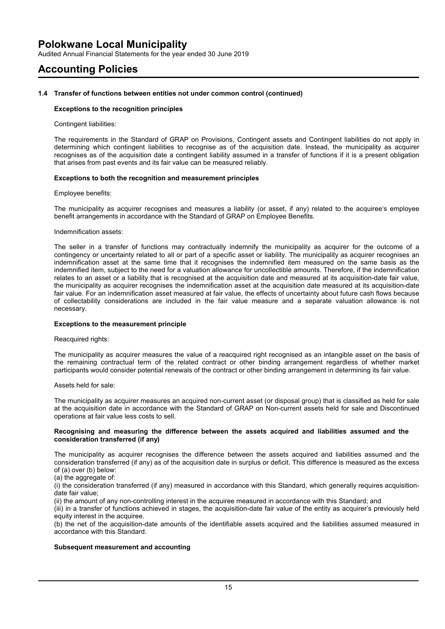Audited Annual Financial Statements for the year ended 30 June 2019

# **Accounting Policies**

### **1.4 Transfer of functions between entities not under common control (continued)**

### **Exceptions to the recognition principles**

### Contingent liabilities:

The requirements in the Standard of GRAP on Provisions, Contingent assets and Contingent liabilities do not apply in determining which contingent liabilities to recognise as of the acquisition date. Instead, the municipality as acquirer recognises as of the acquisition date a contingent liability assumed in a transfer of functions if it is a present obligation that arises from past events and its fair value can be measured reliably.

### **Exceptions to both the recognition and measurement principles**

### Employee benefits:

The municipality as acquirer recognises and measures a liability (or asset, if any) related to the acquiree's employee benefit arrangements in accordance with the Standard of GRAP on Employee Benefits.

### Indemnification assets:

The seller in a transfer of functions may contractually indemnify the municipality as acquirer for the outcome of a contingency or uncertainty related to all or part of a specific asset or liability. The municipality as acquirer recognises an indemnification asset at the same time that it recognises the indemnified item measured on the same basis as the indemnified item, subject to the need for a valuation allowance for uncollectible amounts. Therefore, if the indemnification relates to an asset or a liability that is recognised at the acquisition date and measured at its acquisition-date fair value, the municipality as acquirer recognises the indemnification asset at the acquisition date measured at its acquisition-date fair value. For an indemnification asset measured at fair value, the effects of uncertainty about future cash flows because of collectability considerations are included in the fair value measure and a separate valuation allowance is not necessary.

### **Exceptions to the measurement principle**

Reacquired rights:

The municipality as acquirer measures the value of a reacquired right recognised as an intangible asset on the basis of the remaining contractual term of the related contract or other binding arrangement regardless of whether market participants would consider potential renewals of the contract or other binding arrangement in determining its fair value.

### Assets held for sale:

The municipality as acquirer measures an acquired non-current asset (or disposal group) that is classified as held for sale at the acquisition date in accordance with the Standard of GRAP on Non-current assets held for sale and Discontinued operations at fair value less costs to sell.

### **Recognising and measuring the difference between the assets acquired and liabilities assumed and the consideration transferred (if any)**

The municipality as acquirer recognises the difference between the assets acquired and liabilities assumed and the consideration transferred (if any) as of the acquisition date in surplus or deficit. This difference is measured as the excess of (a) over (b) below:

(a) the aggregate of:

(i) the consideration transferred (if any) measured in accordance with this Standard, which generally requires acquisitiondate fair value;

(ii) the amount of any non-controlling interest in the acquiree measured in accordance with this Standard; and

(iii) in a transfer of functions achieved in stages, the acquisition-date fair value of the entity as acquirer's previously held equity interest in the acquiree.

(b) the net of the acquisition-date amounts of the identifiable assets acquired and the liabilities assumed measured in accordance with this Standard.

### **Subsequent measurement and accounting**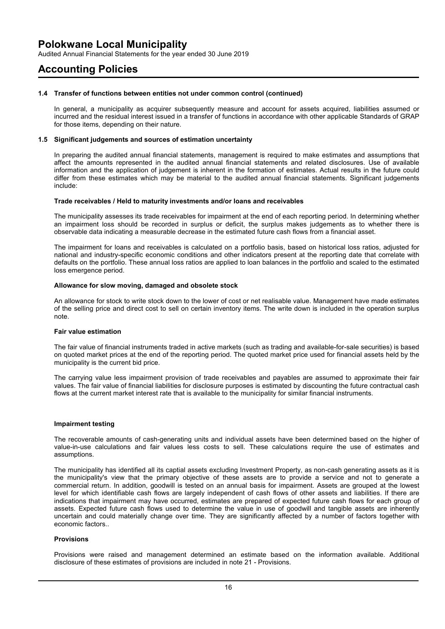Audited Annual Financial Statements for the year ended 30 June 2019

# **Accounting Policies**

### **1.4 Transfer of functions between entities not under common control (continued)**

In general, a municipality as acquirer subsequently measure and account for assets acquired, liabilities assumed or incurred and the residual interest issued in a transfer of functions in accordance with other applicable Standards of GRAP for those items, depending on their nature.

### **1.5 Significant judgements and sources of estimation uncertainty**

In preparing the audited annual financial statements, management is required to make estimates and assumptions that affect the amounts represented in the audited annual financial statements and related disclosures. Use of available information and the application of judgement is inherent in the formation of estimates. Actual results in the future could differ from these estimates which may be material to the audited annual financial statements. Significant judgements include:

### **Trade receivables / Held to maturity investments and/or loans and receivables**

The municipality assesses its trade receivables for impairment at the end of each reporting period. In determining whether an impairment loss should be recorded in surplus or deficit, the surplus makes judgements as to whether there is observable data indicating a measurable decrease in the estimated future cash flows from a financial asset.

The impairment for loans and receivables is calculated on a portfolio basis, based on historical loss ratios, adjusted for national and industry-specific economic conditions and other indicators present at the reporting date that correlate with defaults on the portfolio. These annual loss ratios are applied to loan balances in the portfolio and scaled to the estimated loss emergence period.

### **Allowance for slow moving, damaged and obsolete stock**

An allowance for stock to write stock down to the lower of cost or net realisable value. Management have made estimates of the selling price and direct cost to sell on certain inventory items. The write down is included in the operation surplus note.

### **Fair value estimation**

The fair value of financial instruments traded in active markets (such as trading and available-for-sale securities) is based on quoted market prices at the end of the reporting period. The quoted market price used for financial assets held by the municipality is the current bid price.

The carrying value less impairment provision of trade receivables and payables are assumed to approximate their fair values. The fair value of financial liabilities for disclosure purposes is estimated by discounting the future contractual cash flows at the current market interest rate that is available to the municipality for similar financial instruments.

### **Impairment testing**

The recoverable amounts of cash-generating units and individual assets have been determined based on the higher of value-in-use calculations and fair values less costs to sell. These calculations require the use of estimates and assumptions.

The municipality has identified all its captial assets excluding Investment Property, as non-cash generating assets as it is the municipality's view that the primary objective of these assets are to provide a service and not to generate a commercial return. In addition, goodwill is tested on an annual basis for impairment. Assets are grouped at the lowest level for which identifiable cash flows are largely independent of cash flows of other assets and liabilities. If there are indications that impairment may have occurred, estimates are prepared of expected future cash flows for each group of assets. Expected future cash flows used to determine the value in use of goodwill and tangible assets are inherently uncertain and could materially change over time. They are significantly affected by a number of factors together with economic factors..

### **Provisions**

Provisions were raised and management determined an estimate based on the information available. Additional disclosure of these estimates of provisions are included in note 21 - Provisions.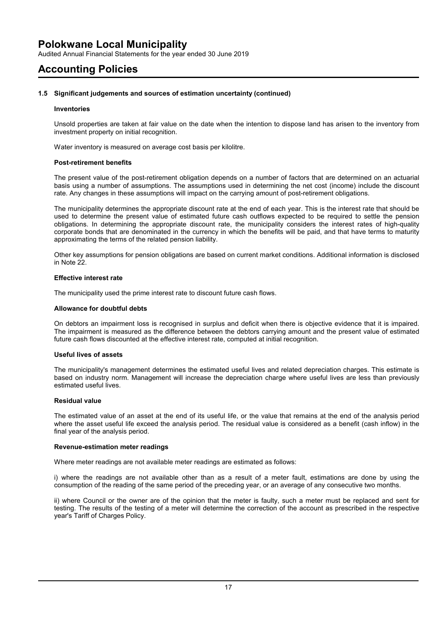Audited Annual Financial Statements for the year ended 30 June 2019

# **Accounting Policies**

### **1.5 Significant judgements and sources of estimation uncertainty (continued)**

### **Inventories**

Unsold properties are taken at fair value on the date when the intention to dispose land has arisen to the inventory from investment property on initial recognition.

Water inventory is measured on average cost basis per kilolitre.

### **Post-retirement benefits**

The present value of the post-retirement obligation depends on a number of factors that are determined on an actuarial basis using a number of assumptions. The assumptions used in determining the net cost (income) include the discount rate. Any changes in these assumptions will impact on the carrying amount of post-retirement obligations.

The municipality determines the appropriate discount rate at the end of each year. This is the interest rate that should be used to determine the present value of estimated future cash outflows expected to be required to settle the pension obligations. In determining the appropriate discount rate, the municipality considers the interest rates of high-quality corporate bonds that are denominated in the currency in which the benefits will be paid, and that have terms to maturity approximating the terms of the related pension liability.

Other key assumptions for pension obligations are based on current market conditions. Additional information is disclosed in Note 22.

### **Effective interest rate**

The municipality used the prime interest rate to discount future cash flows.

### **Allowance for doubtful debts**

On debtors an impairment loss is recognised in surplus and deficit when there is objective evidence that it is impaired. The impairment is measured as the difference between the debtors carrying amount and the present value of estimated future cash flows discounted at the effective interest rate, computed at initial recognition.

### **Useful lives of assets**

The municipality's management determines the estimated useful lives and related depreciation charges. This estimate is based on industry norm. Management will increase the depreciation charge where useful lives are less than previously estimated useful lives.

### **Residual value**

The estimated value of an asset at the end of its useful life, or the value that remains at the end of the analysis period where the asset useful life exceed the analysis period. The residual value is considered as a benefit (cash inflow) in the final year of the analysis period.

### **Revenue-estimation meter readings**

Where meter readings are not available meter readings are estimated as follows:

i) where the readings are not available other than as a result of a meter fault, estimations are done by using the consumption of the reading of the same period of the preceding year, or an average of any consecutive two months.

ii) where Council or the owner are of the opinion that the meter is faulty, such a meter must be replaced and sent for testing. The results of the testing of a meter will determine the correction of the account as prescribed in the respective year's Tariff of Charges Policy.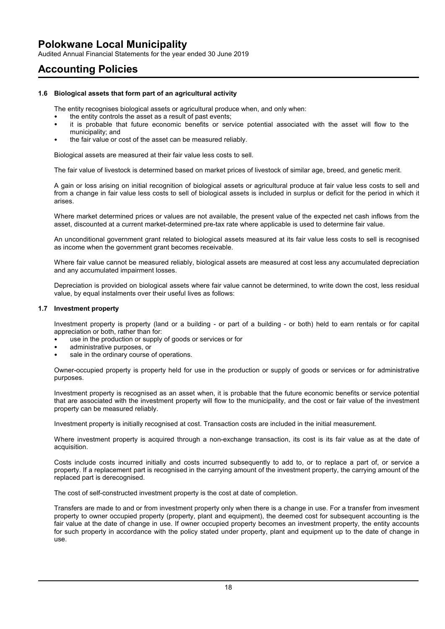Audited Annual Financial Statements for the year ended 30 June 2019

# **Accounting Policies**

### **1.6 Biological assets that form part of an agricultural activity**

The entity recognises biological assets or agricultural produce when, and only when:

- the entity controls the asset as a result of past events;
- it is probable that future economic benefits or service potential associated with the asset will flow to the municipality; and
- the fair value or cost of the asset can be measured reliably.

Biological assets are measured at their fair value less costs to sell.

The fair value of livestock is determined based on market prices of livestock of similar age, breed, and genetic merit.

A gain or loss arising on initial recognition of biological assets or agricultural produce at fair value less costs to sell and from a change in fair value less costs to sell of biological assets is included in surplus or deficit for the period in which it arises.

Where market determined prices or values are not available, the present value of the expected net cash inflows from the asset, discounted at a current market-determined pre-tax rate where applicable is used to determine fair value.

An unconditional government grant related to biological assets measured at its fair value less costs to sell is recognised as income when the government grant becomes receivable.

Where fair value cannot be measured reliably, biological assets are measured at cost less any accumulated depreciation and any accumulated impairment losses.

Depreciation is provided on biological assets where fair value cannot be determined, to write down the cost, less residual value, by equal instalments over their useful lives as follows:

### **1.7 Investment property**

Investment property is property (land or a building - or part of a building - or both) held to earn rentals or for capital appreciation or both, rather than for:

- use in the production or supply of goods or services or for
- administrative purposes, or
- sale in the ordinary course of operations.

Owner-occupied property is property held for use in the production or supply of goods or services or for administrative purposes.

Investment property is recognised as an asset when, it is probable that the future economic benefits or service potential that are associated with the investment property will flow to the municipality, and the cost or fair value of the investment property can be measured reliably.

Investment property is initially recognised at cost. Transaction costs are included in the initial measurement.

Where investment property is acquired through a non-exchange transaction, its cost is its fair value as at the date of acquisition.

Costs include costs incurred initially and costs incurred subsequently to add to, or to replace a part of, or service a property. If a replacement part is recognised in the carrying amount of the investment property, the carrying amount of the replaced part is derecognised.

The cost of self-constructed investment property is the cost at date of completion.

Transfers are made to and or from investment property only when there is a change in use. For a transfer from invesment property to owner occupied property (property, plant and equipment), the deemed cost for subsequent accounting is the fair value at the date of change in use. If owner occupied property becomes an investment property, the entity accounts for such property in accordance with the policy stated under property, plant and equipment up to the date of change in use.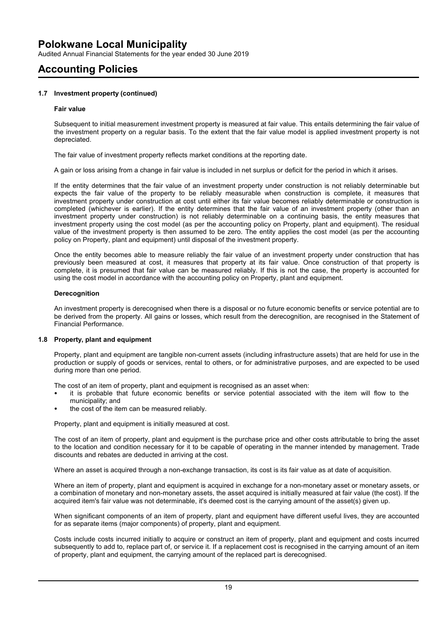Audited Annual Financial Statements for the year ended 30 June 2019

# **Accounting Policies**

### **1.7 Investment property (continued)**

### **Fair value**

Subsequent to initial measurement investment property is measured at fair value. This entails determining the fair value of the investment property on a regular basis. To the extent that the fair value model is applied investment property is not depreciated.

The fair value of investment property reflects market conditions at the reporting date.

A gain or loss arising from a change in fair value is included in net surplus or deficit for the period in which it arises.

If the entity determines that the fair value of an investment property under construction is not reliably determinable but expects the fair value of the property to be reliably measurable when construction is complete, it measures that investment property under construction at cost until either its fair value becomes reliably determinable or construction is completed (whichever is earlier). If the entity determines that the fair value of an investment property (other than an investment property under construction) is not reliably determinable on a continuing basis, the entity measures that investment property using the cost model (as per the accounting policy on Property, plant and equipment). The residual value of the investment property is then assumed to be zero. The entity applies the cost model (as per the accounting policy on Property, plant and equipment) until disposal of the investment property.

Once the entity becomes able to measure reliably the fair value of an investment property under construction that has previously been measured at cost, it measures that property at its fair value. Once construction of that property is complete, it is presumed that fair value can be measured reliably. If this is not the case, the property is accounted for using the cost model in accordance with the accounting policy on Property, plant and equipment.

### **Derecognition**

An investment property is derecognised when there is a disposal or no future economic benefits or service potential are to be derived from the property. All gains or losses, which result from the derecognition, are recognised in the Statement of Financial Performance.

### **1.8 Property, plant and equipment**

Property, plant and equipment are tangible non-current assets (including infrastructure assets) that are held for use in the production or supply of goods or services, rental to others, or for administrative purposes, and are expected to be used during more than one period.

The cost of an item of property, plant and equipment is recognised as an asset when:

- it is probable that future economic benefits or service potential associated with the item will flow to the municipality; and
- the cost of the item can be measured reliably.

Property, plant and equipment is initially measured at cost.

The cost of an item of property, plant and equipment is the purchase price and other costs attributable to bring the asset to the location and condition necessary for it to be capable of operating in the manner intended by management. Trade discounts and rebates are deducted in arriving at the cost.

Where an asset is acquired through a non-exchange transaction, its cost is its fair value as at date of acquisition.

Where an item of property, plant and equipment is acquired in exchange for a non-monetary asset or monetary assets, or a combination of monetary and non-monetary assets, the asset acquired is initially measured at fair value (the cost). If the acquired item's fair value was not determinable, it's deemed cost is the carrying amount of the asset(s) given up.

When significant components of an item of property, plant and equipment have different useful lives, they are accounted for as separate items (major components) of property, plant and equipment.

Costs include costs incurred initially to acquire or construct an item of property, plant and equipment and costs incurred subsequently to add to, replace part of, or service it. If a replacement cost is recognised in the carrying amount of an item of property, plant and equipment, the carrying amount of the replaced part is derecognised.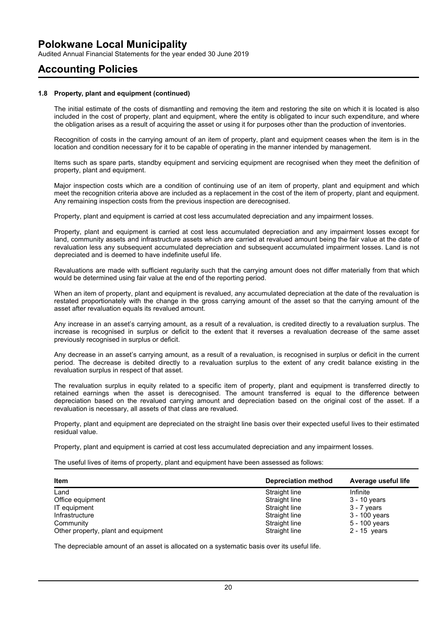Audited Annual Financial Statements for the year ended 30 June 2019

# **Accounting Policies**

### **1.8 Property, plant and equipment (continued)**

The initial estimate of the costs of dismantling and removing the item and restoring the site on which it is located is also included in the cost of property, plant and equipment, where the entity is obligated to incur such expenditure, and where the obligation arises as a result of acquiring the asset or using it for purposes other than the production of inventories.

Recognition of costs in the carrying amount of an item of property, plant and equipment ceases when the item is in the location and condition necessary for it to be capable of operating in the manner intended by management.

Items such as spare parts, standby equipment and servicing equipment are recognised when they meet the definition of property, plant and equipment.

Major inspection costs which are a condition of continuing use of an item of property, plant and equipment and which meet the recognition criteria above are included as a replacement in the cost of the item of property, plant and equipment. Any remaining inspection costs from the previous inspection are derecognised.

Property, plant and equipment is carried at cost less accumulated depreciation and any impairment losses.

Property, plant and equipment is carried at cost less accumulated depreciation and any impairment losses except for land, community assets and infrastructure assets which are carried at revalued amount being the fair value at the date of revaluation less any subsequent accumulated depreciation and subsequent accumulated impairment losses. Land is not depreciated and is deemed to have indefinite useful life.

Revaluations are made with sufficient regularity such that the carrying amount does not differ materially from that which would be determined using fair value at the end of the reporting period.

When an item of property, plant and equipment is revalued, any accumulated depreciation at the date of the revaluation is restated proportionately with the change in the gross carrying amount of the asset so that the carrying amount of the asset after revaluation equals its revalued amount.

Any increase in an asset's carrying amount, as a result of a revaluation, is credited directly to a revaluation surplus. The increase is recognised in surplus or deficit to the extent that it reverses a revaluation decrease of the same asset previously recognised in surplus or deficit.

Any decrease in an asset's carrying amount, as a result of a revaluation, is recognised in surplus or deficit in the current period. The decrease is debited directly to a revaluation surplus to the extent of any credit balance existing in the revaluation surplus in respect of that asset.

The revaluation surplus in equity related to a specific item of property, plant and equipment is transferred directly to retained earnings when the asset is derecognised. The amount transferred is equal to the difference between depreciation based on the revalued carrying amount and depreciation based on the original cost of the asset. If a revaluation is necessary, all assets of that class are revalued.

Property, plant and equipment are depreciated on the straight line basis over their expected useful lives to their estimated residual value.

Property, plant and equipment is carried at cost less accumulated depreciation and any impairment losses.

The useful lives of items of property, plant and equipment have been assessed as follows:

| <b>Item</b>                         | <b>Depreciation method</b> | Average useful life |
|-------------------------------------|----------------------------|---------------------|
| Land                                | Straight line              | Infinite            |
| Office equipment                    | Straight line              | 3 - 10 years        |
| IT equipment                        | Straight line              | $3 - 7$ years       |
| Infrastructure                      | Straight line              | 3 - 100 years       |
| Community                           | Straight line              | 5 - 100 years       |
| Other property, plant and equipment | Straight line              | $2 - 15$ years      |

The depreciable amount of an asset is allocated on a systematic basis over its useful life.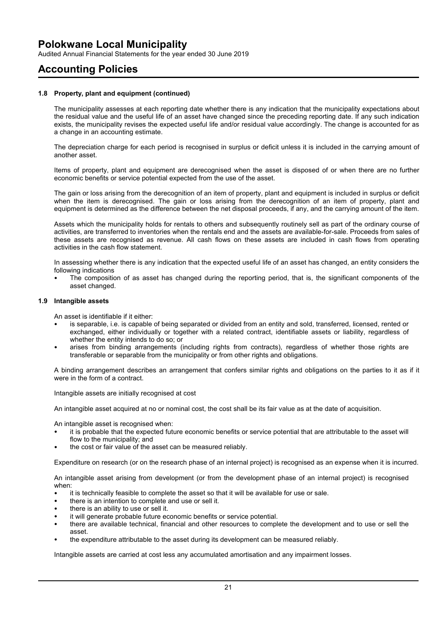Audited Annual Financial Statements for the year ended 30 June 2019

# **Accounting Policies**

### **1.8 Property, plant and equipment (continued)**

The municipality assesses at each reporting date whether there is any indication that the municipality expectations about the residual value and the useful life of an asset have changed since the preceding reporting date. If any such indication exists, the municipality revises the expected useful life and/or residual value accordingly. The change is accounted for as a change in an accounting estimate.

The depreciation charge for each period is recognised in surplus or deficit unless it is included in the carrying amount of another asset.

Items of property, plant and equipment are derecognised when the asset is disposed of or when there are no further economic benefits or service potential expected from the use of the asset.

The gain or loss arising from the derecognition of an item of property, plant and equipment is included in surplus or deficit when the item is derecognised. The gain or loss arising from the derecognition of an item of property, plant and equipment is determined as the difference between the net disposal proceeds, if any, and the carrying amount of the item.

Assets which the municipality holds for rentals to others and subsequently routinely sell as part of the ordinary course of activities, are transferred to inventories when the rentals end and the assets are available-for-sale. Proceeds from sales of these assets are recognised as revenue. All cash flows on these assets are included in cash flows from operating activities in the cash flow statement.

In assessing whether there is any indication that the expected useful life of an asset has changed, an entity considers the following indications

 The composition of as asset has changed during the reporting period, that is, the significant components of the asset changed.

### **1.9 Intangible assets**

An asset is identifiable if it either:

- is separable, i.e. is capable of being separated or divided from an entity and sold, transferred, licensed, rented or exchanged, either individually or together with a related contract, identifiable assets or liability, regardless of whether the entity intends to do so; or
- arises from binding arrangements (including rights from contracts), regardless of whether those rights are transferable or separable from the municipality or from other rights and obligations.

A binding arrangement describes an arrangement that confers similar rights and obligations on the parties to it as if it were in the form of a contract.

Intangible assets are initially recognised at cost

An intangible asset acquired at no or nominal cost, the cost shall be its fair value as at the date of acquisition.

An intangible asset is recognised when:

- it is probable that the expected future economic benefits or service potential that are attributable to the asset will flow to the municipality; and
- the cost or fair value of the asset can be measured reliably.

Expenditure on research (or on the research phase of an internal project) is recognised as an expense when it is incurred.

An intangible asset arising from development (or from the development phase of an internal project) is recognised when:

- it is technically feasible to complete the asset so that it will be available for use or sale.
- there is an intention to complete and use or sell it.
- there is an ability to use or sell it.
- it will generate probable future economic benefits or service potential.
- there are available technical, financial and other resources to complete the development and to use or sell the asset.
- the expenditure attributable to the asset during its development can be measured reliably.

Intangible assets are carried at cost less any accumulated amortisation and any impairment losses.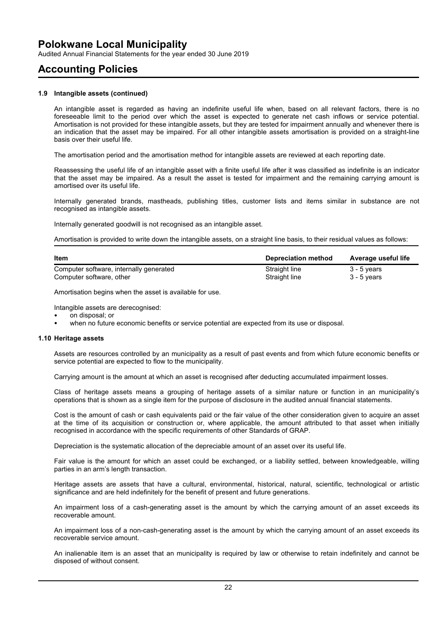Audited Annual Financial Statements for the year ended 30 June 2019

## **Accounting Policies**

### **1.9 Intangible assets (continued)**

An intangible asset is regarded as having an indefinite useful life when, based on all relevant factors, there is no foreseeable limit to the period over which the asset is expected to generate net cash inflows or service potential. Amortisation is not provided for these intangible assets, but they are tested for impairment annually and whenever there is an indication that the asset may be impaired. For all other intangible assets amortisation is provided on a straight-line basis over their useful life.

The amortisation period and the amortisation method for intangible assets are reviewed at each reporting date.

Reassessing the useful life of an intangible asset with a finite useful life after it was classified as indefinite is an indicator that the asset may be impaired. As a result the asset is tested for impairment and the remaining carrying amount is amortised over its useful life.

Internally generated brands, mastheads, publishing titles, customer lists and items similar in substance are not recognised as intangible assets.

Internally generated goodwill is not recognised as an intangible asset.

Amortisation is provided to write down the intangible assets, on a straight line basis, to their residual values as follows:

| Item                                    | Depreciation method | Average useful life |
|-----------------------------------------|---------------------|---------------------|
| Computer software, internally generated | Straight line       | $3 - 5$ vears       |
| Computer software, other                | Straight line       | 3 - 5 vears         |

Amortisation begins when the asset is available for use.

Intangible assets are derecognised:

- on disposal; or
- when no future economic benefits or service potential are expected from its use or disposal.

### **1.10 Heritage assets**

Assets are resources controlled by an municipality as a result of past events and from which future economic benefits or service potential are expected to flow to the municipality.

Carrying amount is the amount at which an asset is recognised after deducting accumulated impairment losses.

Class of heritage assets means a grouping of heritage assets of a similar nature or function in an municipality's operations that is shown as a single item for the purpose of disclosure in the audited annual financial statements.

Cost is the amount of cash or cash equivalents paid or the fair value of the other consideration given to acquire an asset at the time of its acquisition or construction or, where applicable, the amount attributed to that asset when initially recognised in accordance with the specific requirements of other Standards of GRAP.

Depreciation is the systematic allocation of the depreciable amount of an asset over its useful life.

Fair value is the amount for which an asset could be exchanged, or a liability settled, between knowledgeable, willing parties in an arm's length transaction.

Heritage assets are assets that have a cultural, environmental, historical, natural, scientific, technological or artistic significance and are held indefinitely for the benefit of present and future generations.

An impairment loss of a cash-generating asset is the amount by which the carrying amount of an asset exceeds its recoverable amount.

An impairment loss of a non-cash-generating asset is the amount by which the carrying amount of an asset exceeds its recoverable service amount.

An inalienable item is an asset that an municipality is required by law or otherwise to retain indefinitely and cannot be disposed of without consent.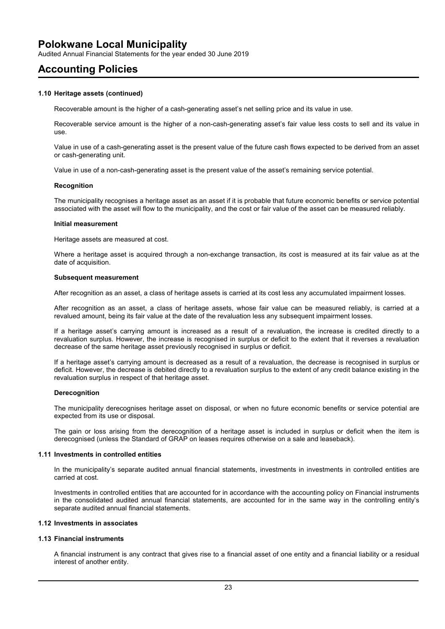Audited Annual Financial Statements for the year ended 30 June 2019

# **Accounting Policies**

### **1.10 Heritage assets (continued)**

Recoverable amount is the higher of a cash-generating asset's net selling price and its value in use.

Recoverable service amount is the higher of a non-cash-generating asset's fair value less costs to sell and its value in use.

Value in use of a cash-generating asset is the present value of the future cash flows expected to be derived from an asset or cash-generating unit.

Value in use of a non-cash-generating asset is the present value of the asset's remaining service potential.

### **Recognition**

The municipality recognises a heritage asset as an asset if it is probable that future economic benefits or service potential associated with the asset will flow to the municipality, and the cost or fair value of the asset can be measured reliably.

#### **Initial measurement**

Heritage assets are measured at cost.

Where a heritage asset is acquired through a non-exchange transaction, its cost is measured at its fair value as at the date of acquisition.

#### **Subsequent measurement**

After recognition as an asset, a class of heritage assets is carried at its cost less any accumulated impairment losses.

After recognition as an asset, a class of heritage assets, whose fair value can be measured reliably, is carried at a revalued amount, being its fair value at the date of the revaluation less any subsequent impairment losses.

If a heritage asset's carrying amount is increased as a result of a revaluation, the increase is credited directly to a revaluation surplus. However, the increase is recognised in surplus or deficit to the extent that it reverses a revaluation decrease of the same heritage asset previously recognised in surplus or deficit.

If a heritage asset's carrying amount is decreased as a result of a revaluation, the decrease is recognised in surplus or deficit. However, the decrease is debited directly to a revaluation surplus to the extent of any credit balance existing in the revaluation surplus in respect of that heritage asset.

### **Derecognition**

The municipality derecognises heritage asset on disposal, or when no future economic benefits or service potential are expected from its use or disposal.

The gain or loss arising from the derecognition of a heritage asset is included in surplus or deficit when the item is derecognised (unless the Standard of GRAP on leases requires otherwise on a sale and leaseback).

#### **1.11 Investments in controlled entities**

In the municipality's separate audited annual financial statements, investments in investments in controlled entities are carried at cost.

Investments in controlled entities that are accounted for in accordance with the accounting policy on Financial instruments in the consolidated audited annual financial statements, are accounted for in the same way in the controlling entity's separate audited annual financial statements.

#### **1.12 Investments in associates**

### **1.13 Financial instruments**

A financial instrument is any contract that gives rise to a financial asset of one entity and a financial liability or a residual interest of another entity.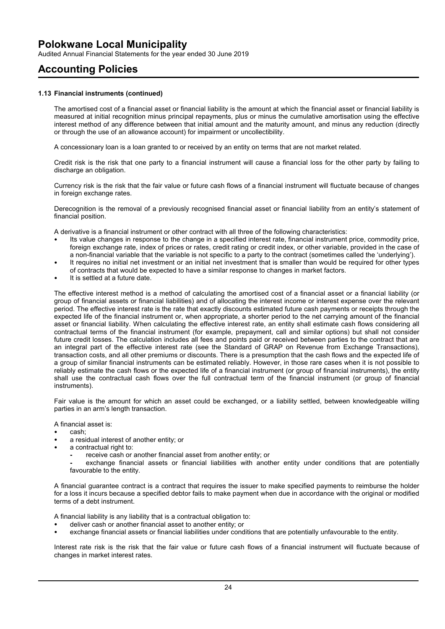Audited Annual Financial Statements for the year ended 30 June 2019

# **Accounting Policies**

### **1.13 Financial instruments (continued)**

The amortised cost of a financial asset or financial liability is the amount at which the financial asset or financial liability is measured at initial recognition minus principal repayments, plus or minus the cumulative amortisation using the effective interest method of any difference between that initial amount and the maturity amount, and minus any reduction (directly or through the use of an allowance account) for impairment or uncollectibility.

A concessionary loan is a loan granted to or received by an entity on terms that are not market related.

Credit risk is the risk that one party to a financial instrument will cause a financial loss for the other party by failing to discharge an obligation.

Currency risk is the risk that the fair value or future cash flows of a financial instrument will fluctuate because of changes in foreign exchange rates.

Derecognition is the removal of a previously recognised financial asset or financial liability from an entity's statement of financial position.

A derivative is a financial instrument or other contract with all three of the following characteristics:

- Its value changes in response to the change in a specified interest rate, financial instrument price, commodity price, foreign exchange rate, index of prices or rates, credit rating or credit index, or other variable, provided in the case of a non-financial variable that the variable is not specific to a party to the contract (sometimes called the 'underlying').
- It requires no initial net investment or an initial net investment that is smaller than would be required for other types of contracts that would be expected to have a similar response to changes in market factors.
- It is settled at a future date.

The effective interest method is a method of calculating the amortised cost of a financial asset or a financial liability (or group of financial assets or financial liabilities) and of allocating the interest income or interest expense over the relevant period. The effective interest rate is the rate that exactly discounts estimated future cash payments or receipts through the expected life of the financial instrument or, when appropriate, a shorter period to the net carrying amount of the financial asset or financial liability. When calculating the effective interest rate, an entity shall estimate cash flows considering all contractual terms of the financial instrument (for example, prepayment, call and similar options) but shall not consider future credit losses. The calculation includes all fees and points paid or received between parties to the contract that are an integral part of the effective interest rate (see the Standard of GRAP on Revenue from Exchange Transactions), transaction costs, and all other premiums or discounts. There is a presumption that the cash flows and the expected life of a group of similar financial instruments can be estimated reliably. However, in those rare cases when it is not possible to reliably estimate the cash flows or the expected life of a financial instrument (or group of financial instruments), the entity shall use the contractual cash flows over the full contractual term of the financial instrument (or group of financial instruments).

Fair value is the amount for which an asset could be exchanged, or a liability settled, between knowledgeable willing parties in an arm's length transaction.

A financial asset is:

- cash;
- a residual interest of another entity; or
- a contractual right to:
	- **-** receive cash or another financial asset from another entity; or
	- **-** exchange financial assets or financial liabilities with another entity under conditions that are potentially favourable to the entity.

A financial guarantee contract is a contract that requires the issuer to make specified payments to reimburse the holder for a loss it incurs because a specified debtor fails to make payment when due in accordance with the original or modified terms of a debt instrument.

A financial liability is any liability that is a contractual obligation to:

- deliver cash or another financial asset to another entity; or
- exchange financial assets or financial liabilities under conditions that are potentially unfavourable to the entity.

Interest rate risk is the risk that the fair value or future cash flows of a financial instrument will fluctuate because of changes in market interest rates.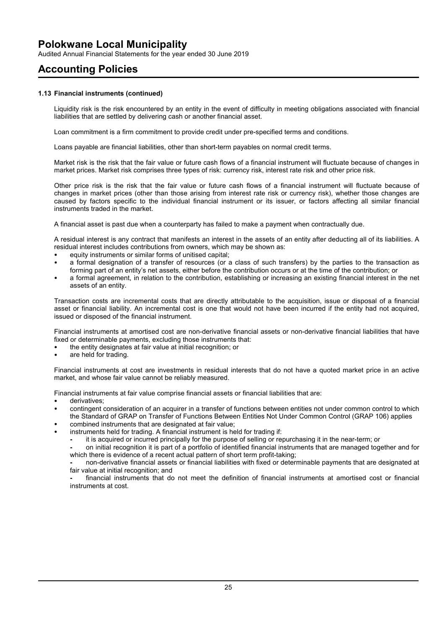Audited Annual Financial Statements for the year ended 30 June 2019

# **Accounting Policies**

### **1.13 Financial instruments (continued)**

Liquidity risk is the risk encountered by an entity in the event of difficulty in meeting obligations associated with financial liabilities that are settled by delivering cash or another financial asset.

Loan commitment is a firm commitment to provide credit under pre-specified terms and conditions.

Loans payable are financial liabilities, other than short-term payables on normal credit terms.

Market risk is the risk that the fair value or future cash flows of a financial instrument will fluctuate because of changes in market prices. Market risk comprises three types of risk: currency risk, interest rate risk and other price risk.

Other price risk is the risk that the fair value or future cash flows of a financial instrument will fluctuate because of changes in market prices (other than those arising from interest rate risk or currency risk), whether those changes are caused by factors specific to the individual financial instrument or its issuer, or factors affecting all similar financial instruments traded in the market.

A financial asset is past due when a counterparty has failed to make a payment when contractually due.

A residual interest is any contract that manifests an interest in the assets of an entity after deducting all of its liabilities. A residual interest includes contributions from owners, which may be shown as:

- equity instruments or similar forms of unitised capital;
- a formal designation of a transfer of resources (or a class of such transfers) by the parties to the transaction as forming part of an entity's net assets, either before the contribution occurs or at the time of the contribution; or
- a formal agreement, in relation to the contribution, establishing or increasing an existing financial interest in the net assets of an entity.

Transaction costs are incremental costs that are directly attributable to the acquisition, issue or disposal of a financial asset or financial liability. An incremental cost is one that would not have been incurred if the entity had not acquired, issued or disposed of the financial instrument.

Financial instruments at amortised cost are non-derivative financial assets or non-derivative financial liabilities that have fixed or determinable payments, excluding those instruments that:

- the entity designates at fair value at initial recognition; or
- are held for trading.

Financial instruments at cost are investments in residual interests that do not have a quoted market price in an active market, and whose fair value cannot be reliably measured.

Financial instruments at fair value comprise financial assets or financial liabilities that are:

- derivatives;
- contingent consideration of an acquirer in a transfer of functions between entities not under common control to which the Standard of GRAP on Transfer of Functions Between Entities Not Under Common Control (GRAP 106) applies
- combined instruments that are designated at fair value;
- instruments held for trading. A financial instrument is held for trading if:
	- **-** it is acquired or incurred principally for the purpose of selling or repurchasing it in the near-term; or
	- **-** on initial recognition it is part of a portfolio of identified financial instruments that are managed together and for which there is evidence of a recent actual pattern of short term profit-taking;

**-** non-derivative financial assets or financial liabilities with fixed or determinable payments that are designated at fair value at initial recognition; and

**-** financial instruments that do not meet the definition of financial instruments at amortised cost or financial instruments at cost.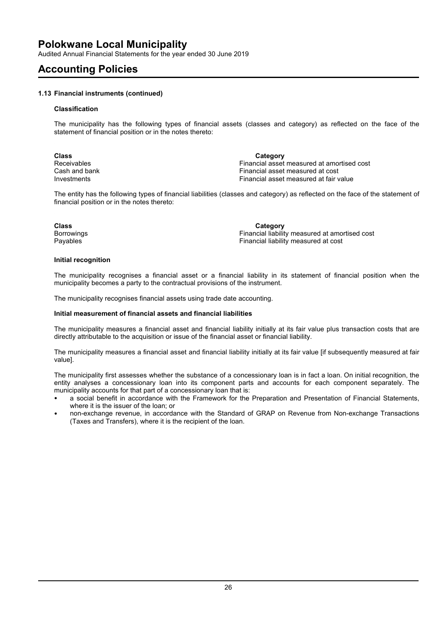Audited Annual Financial Statements for the year ended 30 June 2019

# **Accounting Policies**

### **1.13 Financial instruments (continued)**

### **Classification**

The municipality has the following types of financial assets (classes and category) as reflected on the face of the statement of financial position or in the notes thereto:

| Class         |
|---------------|
| Receivables   |
| Cash and bank |
| Investments   |

**Category** Financial asset measured at amortised cost Financial asset measured at cost Financial asset measured at fair value

The entity has the following types of financial liabilities (classes and category) as reflected on the face of the statement of financial position or in the notes thereto:

**Class Category**<br> **Category**<br> **Category**<br> **Category**<br> **Category** Borrowings<br>
Payables<br>
Payables<br>
Financial liability measured at cost<br>
Financial liability measured at cost Financial liability measured at cost

### **Initial recognition**

The municipality recognises a financial asset or a financial liability in its statement of financial position when the municipality becomes a party to the contractual provisions of the instrument.

The municipality recognises financial assets using trade date accounting.

### **Initial measurement of financial assets and financial liabilities**

The municipality measures a financial asset and financial liability initially at its fair value plus transaction costs that are directly attributable to the acquisition or issue of the financial asset or financial liability.

The municipality measures a financial asset and financial liability initially at its fair value [if subsequently measured at fair value].

The municipality first assesses whether the substance of a concessionary loan is in fact a loan. On initial recognition, the entity analyses a concessionary loan into its component parts and accounts for each component separately. The municipality accounts for that part of a concessionary loan that is:

- a social benefit in accordance with the Framework for the Preparation and Presentation of Financial Statements, where it is the issuer of the loan; or
- non-exchange revenue, in accordance with the Standard of GRAP on Revenue from Non-exchange Transactions (Taxes and Transfers), where it is the recipient of the loan.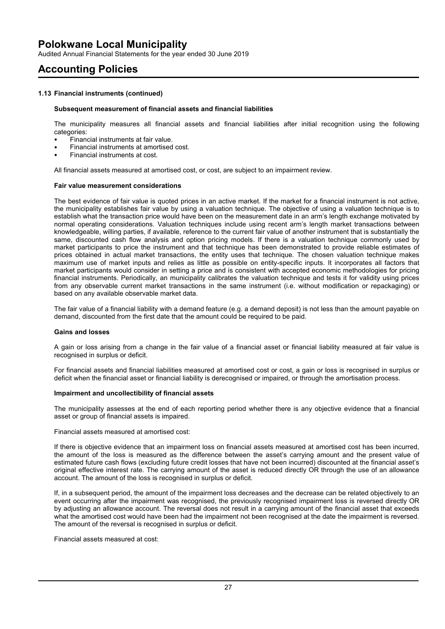Audited Annual Financial Statements for the year ended 30 June 2019

# **Accounting Policies**

### **1.13 Financial instruments (continued)**

### **Subsequent measurement of financial assets and financial liabilities**

The municipality measures all financial assets and financial liabilities after initial recognition using the following categories:

- Financial instruments at fair value.
- Financial instruments at amortised cost.
- Financial instruments at cost.

All financial assets measured at amortised cost, or cost, are subject to an impairment review.

### **Fair value measurement considerations**

The best evidence of fair value is quoted prices in an active market. If the market for a financial instrument is not active, the municipality establishes fair value by using a valuation technique. The objective of using a valuation technique is to establish what the transaction price would have been on the measurement date in an arm's length exchange motivated by normal operating considerations. Valuation techniques include using recent arm's length market transactions between knowledgeable, willing parties, if available, reference to the current fair value of another instrument that is substantially the same, discounted cash flow analysis and option pricing models. If there is a valuation technique commonly used by market participants to price the instrument and that technique has been demonstrated to provide reliable estimates of prices obtained in actual market transactions, the entity uses that technique. The chosen valuation technique makes maximum use of market inputs and relies as little as possible on entity-specific inputs. It incorporates all factors that market participants would consider in setting a price and is consistent with accepted economic methodologies for pricing financial instruments. Periodically, an municipality calibrates the valuation technique and tests it for validity using prices from any observable current market transactions in the same instrument (i.e. without modification or repackaging) or based on any available observable market data.

The fair value of a financial liability with a demand feature (e.g. a demand deposit) is not less than the amount payable on demand, discounted from the first date that the amount could be required to be paid.

### **Gains and losses**

A gain or loss arising from a change in the fair value of a financial asset or financial liability measured at fair value is recognised in surplus or deficit.

For financial assets and financial liabilities measured at amortised cost or cost, a gain or loss is recognised in surplus or deficit when the financial asset or financial liability is derecognised or impaired, or through the amortisation process.

### **Impairment and uncollectibility of financial assets**

The municipality assesses at the end of each reporting period whether there is any objective evidence that a financial asset or group of financial assets is impaired.

Financial assets measured at amortised cost:

If there is objective evidence that an impairment loss on financial assets measured at amortised cost has been incurred, the amount of the loss is measured as the difference between the asset's carrying amount and the present value of estimated future cash flows (excluding future credit losses that have not been incurred) discounted at the financial asset's original effective interest rate. The carrying amount of the asset is reduced directly OR through the use of an allowance account. The amount of the loss is recognised in surplus or deficit.

If, in a subsequent period, the amount of the impairment loss decreases and the decrease can be related objectively to an event occurring after the impairment was recognised, the previously recognised impairment loss is reversed directly OR by adjusting an allowance account. The reversal does not result in a carrying amount of the financial asset that exceeds what the amortised cost would have been had the impairment not been recognised at the date the impairment is reversed. The amount of the reversal is recognised in surplus or deficit.

Financial assets measured at cost: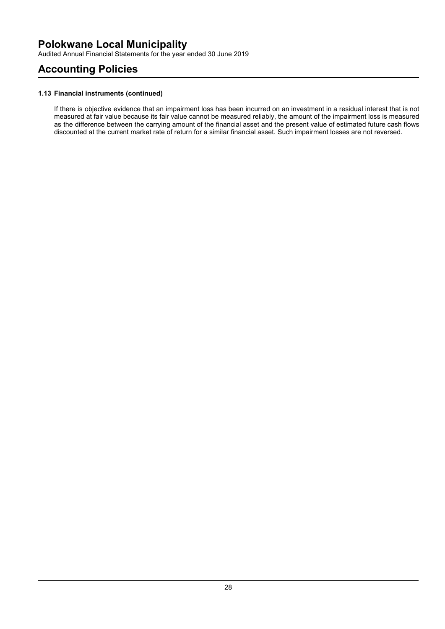Audited Annual Financial Statements for the year ended 30 June 2019

# **Accounting Policies**

### **1.13 Financial instruments (continued)**

If there is objective evidence that an impairment loss has been incurred on an investment in a residual interest that is not measured at fair value because its fair value cannot be measured reliably, the amount of the impairment loss is measured as the difference between the carrying amount of the financial asset and the present value of estimated future cash flows discounted at the current market rate of return for a similar financial asset. Such impairment losses are not reversed.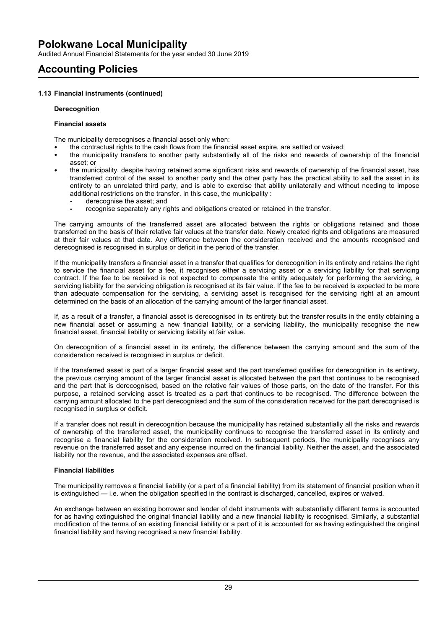Audited Annual Financial Statements for the year ended 30 June 2019

# **Accounting Policies**

### **1.13 Financial instruments (continued)**

### **Derecognition**

### **Financial assets**

The municipality derecognises a financial asset only when:

- the contractual rights to the cash flows from the financial asset expire, are settled or waived;
- the municipality transfers to another party substantially all of the risks and rewards of ownership of the financial asset; or
- the municipality, despite having retained some significant risks and rewards of ownership of the financial asset, has transferred control of the asset to another party and the other party has the practical ability to sell the asset in its entirety to an unrelated third party, and is able to exercise that ability unilaterally and without needing to impose additional restrictions on the transfer. In this case, the municipality :
	- **-** derecognise the asset; and
	- **-** recognise separately any rights and obligations created or retained in the transfer.

The carrying amounts of the transferred asset are allocated between the rights or obligations retained and those transferred on the basis of their relative fair values at the transfer date. Newly created rights and obligations are measured at their fair values at that date. Any difference between the consideration received and the amounts recognised and derecognised is recognised in surplus or deficit in the period of the transfer.

If the municipality transfers a financial asset in a transfer that qualifies for derecognition in its entirety and retains the right to service the financial asset for a fee, it recognises either a servicing asset or a servicing liability for that servicing contract. If the fee to be received is not expected to compensate the entity adequately for performing the servicing, a servicing liability for the servicing obligation is recognised at its fair value. If the fee to be received is expected to be more than adequate compensation for the servicing, a servicing asset is recognised for the servicing right at an amount determined on the basis of an allocation of the carrying amount of the larger financial asset.

If, as a result of a transfer, a financial asset is derecognised in its entirety but the transfer results in the entity obtaining a new financial asset or assuming a new financial liability, or a servicing liability, the municipality recognise the new financial asset, financial liability or servicing liability at fair value.

On derecognition of a financial asset in its entirety, the difference between the carrying amount and the sum of the consideration received is recognised in surplus or deficit.

If the transferred asset is part of a larger financial asset and the part transferred qualifies for derecognition in its entirety, the previous carrying amount of the larger financial asset is allocated between the part that continues to be recognised and the part that is derecognised, based on the relative fair values of those parts, on the date of the transfer. For this purpose, a retained servicing asset is treated as a part that continues to be recognised. The difference between the carrying amount allocated to the part derecognised and the sum of the consideration received for the part derecognised is recognised in surplus or deficit.

If a transfer does not result in derecognition because the municipality has retained substantially all the risks and rewards of ownership of the transferred asset, the municipality continues to recognise the transferred asset in its entirety and recognise a financial liability for the consideration received. In subsequent periods, the municipality recognises any revenue on the transferred asset and any expense incurred on the financial liability. Neither the asset, and the associated liability nor the revenue, and the associated expenses are offset.

### **Financial liabilities**

The municipality removes a financial liability (or a part of a financial liability) from its statement of financial position when it is extinguished — i.e. when the obligation specified in the contract is discharged, cancelled, expires or waived.

An exchange between an existing borrower and lender of debt instruments with substantially different terms is accounted for as having extinguished the original financial liability and a new financial liability is recognised. Similarly, a substantial modification of the terms of an existing financial liability or a part of it is accounted for as having extinguished the original financial liability and having recognised a new financial liability.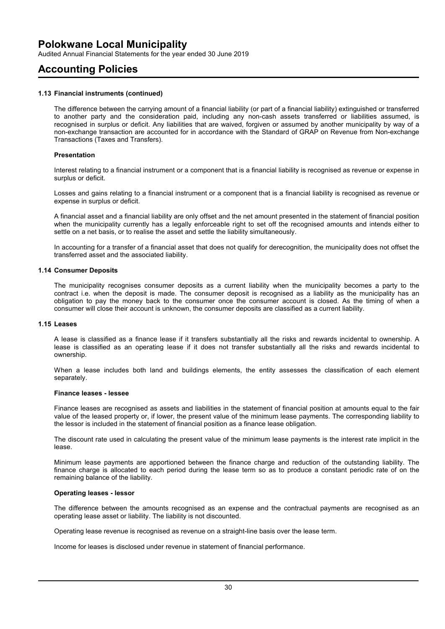Audited Annual Financial Statements for the year ended 30 June 2019

## **Accounting Policies**

### **1.13 Financial instruments (continued)**

The difference between the carrying amount of a financial liability (or part of a financial liability) extinguished or transferred to another party and the consideration paid, including any non-cash assets transferred or liabilities assumed, is recognised in surplus or deficit. Any liabilities that are waived, forgiven or assumed by another municipality by way of a non-exchange transaction are accounted for in accordance with the Standard of GRAP on Revenue from Non-exchange Transactions (Taxes and Transfers).

### **Presentation**

Interest relating to a financial instrument or a component that is a financial liability is recognised as revenue or expense in surplus or deficit.

Losses and gains relating to a financial instrument or a component that is a financial liability is recognised as revenue or expense in surplus or deficit.

A financial asset and a financial liability are only offset and the net amount presented in the statement of financial position when the municipality currently has a legally enforceable right to set off the recognised amounts and intends either to settle on a net basis, or to realise the asset and settle the liability simultaneously.

In accounting for a transfer of a financial asset that does not qualify for derecognition, the municipality does not offset the transferred asset and the associated liability.

### **1.14 Consumer Deposits**

The municipality recognises consumer deposits as a current liability when the municipality becomes a party to the contract i.e. when the deposit is made. The consumer deposit is recognised as a liability as the municipality has an obligation to pay the money back to the consumer once the consumer account is closed. As the timing of when a consumer will close their account is unknown, the consumer deposits are classified as a current liability.

### **1.15 Leases**

A lease is classified as a finance lease if it transfers substantially all the risks and rewards incidental to ownership. A lease is classified as an operating lease if it does not transfer substantially all the risks and rewards incidental to ownership.

When a lease includes both land and buildings elements, the entity assesses the classification of each element separately.

### **Finance leases - lessee**

Finance leases are recognised as assets and liabilities in the statement of financial position at amounts equal to the fair value of the leased property or, if lower, the present value of the minimum lease payments. The corresponding liability to the lessor is included in the statement of financial position as a finance lease obligation.

The discount rate used in calculating the present value of the minimum lease payments is the interest rate implicit in the lease.

Minimum lease payments are apportioned between the finance charge and reduction of the outstanding liability. The finance charge is allocated to each period during the lease term so as to produce a constant periodic rate of on the remaining balance of the liability.

### **Operating leases - lessor**

The difference between the amounts recognised as an expense and the contractual payments are recognised as an operating lease asset or liability. The liability is not discounted.

Operating lease revenue is recognised as revenue on a straight-line basis over the lease term.

Income for leases is disclosed under revenue in statement of financial performance.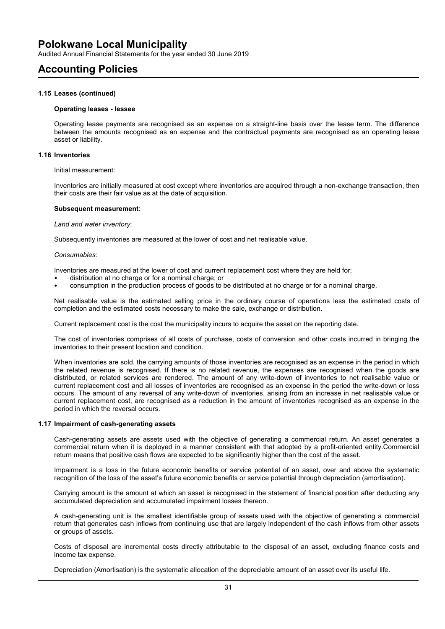Audited Annual Financial Statements for the year ended 30 June 2019

## **Accounting Policies**

### **1.15 Leases (continued)**

#### **Operating leases - lessee**

Operating lease payments are recognised as an expense on a straight-line basis over the lease term. The difference between the amounts recognised as an expense and the contractual payments are recognised as an operating lease asset or liability.

#### **1.16 Inventories**

#### Initial measurement:

Inventories are initially measured at cost except where inventories are acquired through a non-exchange transaction, then their costs are their fair value as at the date of acquisition.

#### **Subsequent measurement**:

#### *Land and water inventory*:

Subsequently inventories are measured at the lower of cost and net realisable value.

#### *Consumables:*

Inventories are measured at the lower of cost and current replacement cost where they are held for;

- distribution at no charge or for a nominal charge; or
- consumption in the production process of goods to be distributed at no charge or for a nominal charge.

Net realisable value is the estimated selling price in the ordinary course of operations less the estimated costs of completion and the estimated costs necessary to make the sale, exchange or distribution.

Current replacement cost is the cost the municipality incurs to acquire the asset on the reporting date.

The cost of inventories comprises of all costs of purchase, costs of conversion and other costs incurred in bringing the inventories to their present location and condition.

When inventories are sold, the carrying amounts of those inventories are recognised as an expense in the period in which the related revenue is recognised. If there is no related revenue, the expenses are recognised when the goods are distributed, or related services are rendered. The amount of any write-down of inventories to net realisable value or current replacement cost and all losses of inventories are recognised as an expense in the period the write-down or loss occurs. The amount of any reversal of any write-down of inventories, arising from an increase in net realisable value or current replacement cost, are recognised as a reduction in the amount of inventories recognised as an expense in the period in which the reversal occurs.

#### **1.17 Impairment of cash-generating assets**

Cash-generating assets are assets used with the objective of generating a commercial return. An asset generates a commercial return when it is deployed in a manner consistent with that adopted by a profit-oriented entity.Commercial return means that positive cash flows are expected to be significantly higher than the cost of the asset.

Impairment is a loss in the future economic benefits or service potential of an asset, over and above the systematic recognition of the loss of the asset's future economic benefits or service potential through depreciation (amortisation).

Carrying amount is the amount at which an asset is recognised in the statement of financial position after deducting any accumulated depreciation and accumulated impairment losses thereon.

A cash-generating unit is the smallest identifiable group of assets used with the objective of generating a commercial return that generates cash inflows from continuing use that are largely independent of the cash inflows from other assets or groups of assets.

Costs of disposal are incremental costs directly attributable to the disposal of an asset, excluding finance costs and income tax expense.

Depreciation (Amortisation) is the systematic allocation of the depreciable amount of an asset over its useful life.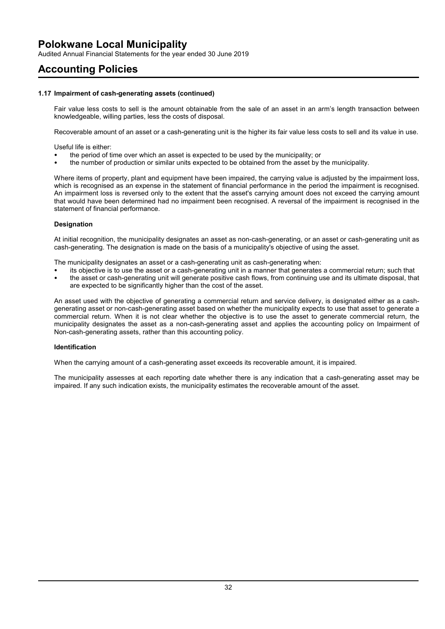Audited Annual Financial Statements for the year ended 30 June 2019

# **Accounting Policies**

### **1.17 Impairment of cash-generating assets (continued)**

Fair value less costs to sell is the amount obtainable from the sale of an asset in an arm's length transaction between knowledgeable, willing parties, less the costs of disposal.

Recoverable amount of an asset or a cash-generating unit is the higher its fair value less costs to sell and its value in use.

Useful life is either:

- the period of time over which an asset is expected to be used by the municipality; or
- the number of production or similar units expected to be obtained from the asset by the municipality.

Where items of property, plant and equipment have been impaired, the carrying value is adjusted by the impairment loss, which is recognised as an expense in the statement of financial performance in the period the impairment is recognised. An impairment loss is reversed only to the extent that the asset's carrying amount does not exceed the carrying amount that would have been determined had no impairment been recognised. A reversal of the impairment is recognised in the statement of financial performance.

### **Designation**

At initial recognition, the municipality designates an asset as non-cash-generating, or an asset or cash-generating unit as cash-generating. The designation is made on the basis of a municipality's objective of using the asset.

The municipality designates an asset or a cash-generating unit as cash-generating when:

- its objective is to use the asset or a cash-generating unit in a manner that generates a commercial return; such that the asset or cash-generating unit will generate positive cash flows, from continuing use and its ultimate disposal, that
	- are expected to be significantly higher than the cost of the asset.

An asset used with the objective of generating a commercial return and service delivery, is designated either as a cashgenerating asset or non-cash-generating asset based on whether the municipality expects to use that asset to generate a commercial return. When it is not clear whether the objective is to use the asset to generate commercial return, the municipality designates the asset as a non-cash-generating asset and applies the accounting policy on Impairment of Non-cash-generating assets, rather than this accounting policy.

### **Identification**

When the carrying amount of a cash-generating asset exceeds its recoverable amount, it is impaired.

The municipality assesses at each reporting date whether there is any indication that a cash-generating asset may be impaired. If any such indication exists, the municipality estimates the recoverable amount of the asset.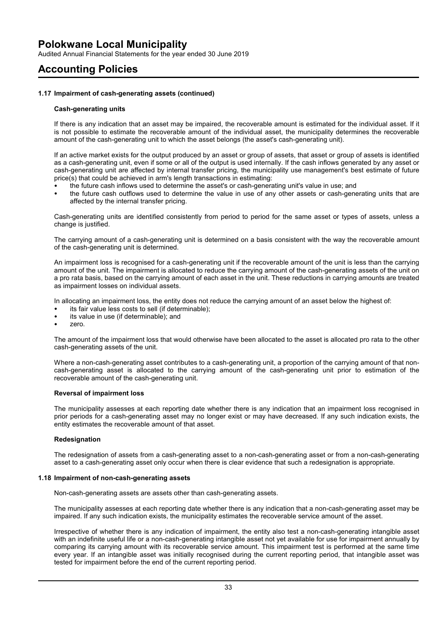Audited Annual Financial Statements for the year ended 30 June 2019

# **Accounting Policies**

### **1.17 Impairment of cash-generating assets (continued)**

### **Cash-generating units**

If there is any indication that an asset may be impaired, the recoverable amount is estimated for the individual asset. If it is not possible to estimate the recoverable amount of the individual asset, the municipality determines the recoverable amount of the cash-generating unit to which the asset belongs (the asset's cash-generating unit).

If an active market exists for the output produced by an asset or group of assets, that asset or group of assets is identified as a cash-generating unit, even if some or all of the output is used internally. If the cash inflows generated by any asset or cash-generating unit are affected by internal transfer pricing, the municipality use management's best estimate of future price(s) that could be achieved in arm's length transactions in estimating:

- the future cash inflows used to determine the asset's or cash-generating unit's value in use; and
- the future cash outflows used to determine the value in use of any other assets or cash-generating units that are affected by the internal transfer pricing.

Cash-generating units are identified consistently from period to period for the same asset or types of assets, unless a change is justified.

The carrying amount of a cash-generating unit is determined on a basis consistent with the way the recoverable amount of the cash-generating unit is determined.

An impairment loss is recognised for a cash-generating unit if the recoverable amount of the unit is less than the carrying amount of the unit. The impairment is allocated to reduce the carrying amount of the cash-generating assets of the unit on a pro rata basis, based on the carrying amount of each asset in the unit. These reductions in carrying amounts are treated as impairment losses on individual assets.

In allocating an impairment loss, the entity does not reduce the carrying amount of an asset below the highest of:

- its fair value less costs to sell (if determinable);
- its value in use (if determinable); and
- zero.

The amount of the impairment loss that would otherwise have been allocated to the asset is allocated pro rata to the other cash-generating assets of the unit.

Where a non-cash-generating asset contributes to a cash-generating unit, a proportion of the carrying amount of that noncash-generating asset is allocated to the carrying amount of the cash-generating unit prior to estimation of the recoverable amount of the cash-generating unit.

### **Reversal of impairment loss**

The municipality assesses at each reporting date whether there is any indication that an impairment loss recognised in prior periods for a cash-generating asset may no longer exist or may have decreased. If any such indication exists, the entity estimates the recoverable amount of that asset.

### **Redesignation**

The redesignation of assets from a cash-generating asset to a non-cash-generating asset or from a non-cash-generating asset to a cash-generating asset only occur when there is clear evidence that such a redesignation is appropriate.

### **1.18 Impairment of non-cash-generating assets**

Non-cash-generating assets are assets other than cash-generating assets.

The municipality assesses at each reporting date whether there is any indication that a non-cash-generating asset may be impaired. If any such indication exists, the municipality estimates the recoverable service amount of the asset.

Irrespective of whether there is any indication of impairment, the entity also test a non-cash-generating intangible asset with an indefinite useful life or a non-cash-generating intangible asset not yet available for use for impairment annually by comparing its carrying amount with its recoverable service amount. This impairment test is performed at the same time every year. If an intangible asset was initially recognised during the current reporting period, that intangible asset was tested for impairment before the end of the current reporting period.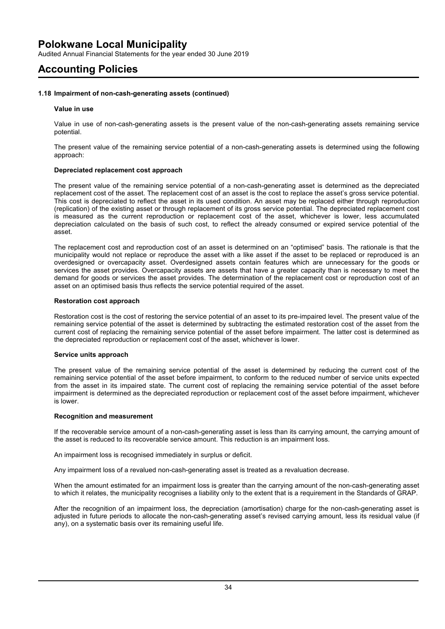Audited Annual Financial Statements for the year ended 30 June 2019

# **Accounting Policies**

### **1.18 Impairment of non-cash-generating assets (continued)**

### **Value in use**

Value in use of non-cash-generating assets is the present value of the non-cash-generating assets remaining service potential.

The present value of the remaining service potential of a non-cash-generating assets is determined using the following approach:

### **Depreciated replacement cost approach**

The present value of the remaining service potential of a non-cash-generating asset is determined as the depreciated replacement cost of the asset. The replacement cost of an asset is the cost to replace the asset's gross service potential. This cost is depreciated to reflect the asset in its used condition. An asset may be replaced either through reproduction (replication) of the existing asset or through replacement of its gross service potential. The depreciated replacement cost is measured as the current reproduction or replacement cost of the asset, whichever is lower, less accumulated depreciation calculated on the basis of such cost, to reflect the already consumed or expired service potential of the asset.

The replacement cost and reproduction cost of an asset is determined on an "optimised" basis. The rationale is that the municipality would not replace or reproduce the asset with a like asset if the asset to be replaced or reproduced is an overdesigned or overcapacity asset. Overdesigned assets contain features which are unnecessary for the goods or services the asset provides. Overcapacity assets are assets that have a greater capacity than is necessary to meet the demand for goods or services the asset provides. The determination of the replacement cost or reproduction cost of an asset on an optimised basis thus reflects the service potential required of the asset.

### **Restoration cost approach**

Restoration cost is the cost of restoring the service potential of an asset to its pre-impaired level. The present value of the remaining service potential of the asset is determined by subtracting the estimated restoration cost of the asset from the current cost of replacing the remaining service potential of the asset before impairment. The latter cost is determined as the depreciated reproduction or replacement cost of the asset, whichever is lower.

### **Service units approach**

The present value of the remaining service potential of the asset is determined by reducing the current cost of the remaining service potential of the asset before impairment, to conform to the reduced number of service units expected from the asset in its impaired state. The current cost of replacing the remaining service potential of the asset before impairment is determined as the depreciated reproduction or replacement cost of the asset before impairment, whichever is lower.

### **Recognition and measurement**

If the recoverable service amount of a non-cash-generating asset is less than its carrying amount, the carrying amount of the asset is reduced to its recoverable service amount. This reduction is an impairment loss.

An impairment loss is recognised immediately in surplus or deficit.

Any impairment loss of a revalued non-cash-generating asset is treated as a revaluation decrease.

When the amount estimated for an impairment loss is greater than the carrying amount of the non-cash-generating asset to which it relates, the municipality recognises a liability only to the extent that is a requirement in the Standards of GRAP.

After the recognition of an impairment loss, the depreciation (amortisation) charge for the non-cash-generating asset is adjusted in future periods to allocate the non-cash-generating asset's revised carrying amount, less its residual value (if any), on a systematic basis over its remaining useful life.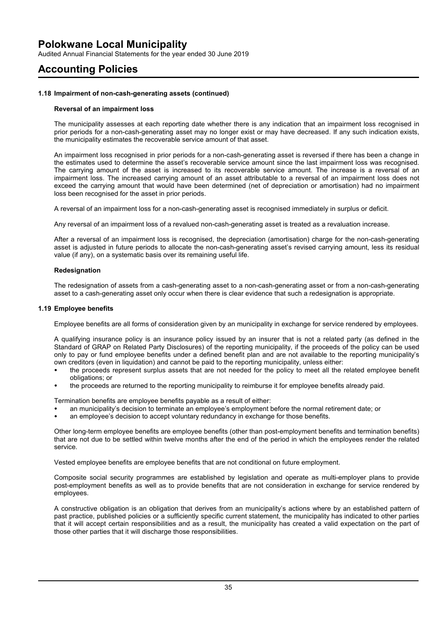Audited Annual Financial Statements for the year ended 30 June 2019

# **Accounting Policies**

### **1.18 Impairment of non-cash-generating assets (continued)**

### **Reversal of an impairment loss**

The municipality assesses at each reporting date whether there is any indication that an impairment loss recognised in prior periods for a non-cash-generating asset may no longer exist or may have decreased. If any such indication exists, the municipality estimates the recoverable service amount of that asset.

An impairment loss recognised in prior periods for a non-cash-generating asset is reversed if there has been a change in the estimates used to determine the asset's recoverable service amount since the last impairment loss was recognised. The carrying amount of the asset is increased to its recoverable service amount. The increase is a reversal of an impairment loss. The increased carrying amount of an asset attributable to a reversal of an impairment loss does not exceed the carrying amount that would have been determined (net of depreciation or amortisation) had no impairment loss been recognised for the asset in prior periods.

A reversal of an impairment loss for a non-cash-generating asset is recognised immediately in surplus or deficit.

Any reversal of an impairment loss of a revalued non-cash-generating asset is treated as a revaluation increase.

After a reversal of an impairment loss is recognised, the depreciation (amortisation) charge for the non-cash-generating asset is adjusted in future periods to allocate the non-cash-generating asset's revised carrying amount, less its residual value (if any), on a systematic basis over its remaining useful life.

### **Redesignation**

The redesignation of assets from a cash-generating asset to a non-cash-generating asset or from a non-cash-generating asset to a cash-generating asset only occur when there is clear evidence that such a redesignation is appropriate.

### **1.19 Employee benefits**

Employee benefits are all forms of consideration given by an municipality in exchange for service rendered by employees.

A qualifying insurance policy is an insurance policy issued by an insurer that is not a related party (as defined in the Standard of GRAP on Related Party Disclosures) of the reporting municipality, if the proceeds of the policy can be used only to pay or fund employee benefits under a defined benefit plan and are not available to the reporting municipality's own creditors (even in liquidation) and cannot be paid to the reporting municipality, unless either:

- the proceeds represent surplus assets that are not needed for the policy to meet all the related employee benefit obligations; or
- the proceeds are returned to the reporting municipality to reimburse it for employee benefits already paid.

Termination benefits are employee benefits payable as a result of either:

- an municipality's decision to terminate an employee's employment before the normal retirement date; or
- an employee's decision to accept voluntary redundancy in exchange for those benefits.

Other long-term employee benefits are employee benefits (other than post-employment benefits and termination benefits) that are not due to be settled within twelve months after the end of the period in which the employees render the related service.

Vested employee benefits are employee benefits that are not conditional on future employment.

Composite social security programmes are established by legislation and operate as multi-employer plans to provide post-employment benefits as well as to provide benefits that are not consideration in exchange for service rendered by employees.

A constructive obligation is an obligation that derives from an municipality's actions where by an established pattern of past practice, published policies or a sufficiently specific current statement, the municipality has indicated to other parties that it will accept certain responsibilities and as a result, the municipality has created a valid expectation on the part of those other parties that it will discharge those responsibilities.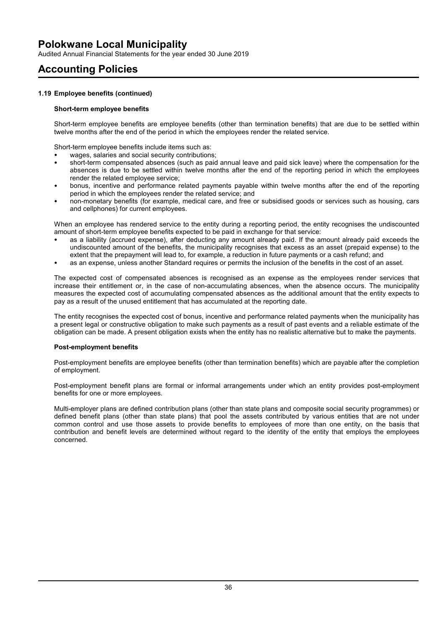Audited Annual Financial Statements for the year ended 30 June 2019

# **Accounting Policies**

### **1.19 Employee benefits (continued)**

### **Short-term employee benefits**

Short-term employee benefits are employee benefits (other than termination benefits) that are due to be settled within twelve months after the end of the period in which the employees render the related service.

Short-term employee benefits include items such as:

- wages, salaries and social security contributions;
- short-term compensated absences (such as paid annual leave and paid sick leave) where the compensation for the absences is due to be settled within twelve months after the end of the reporting period in which the employees render the related employee service;
- bonus, incentive and performance related payments payable within twelve months after the end of the reporting period in which the employees render the related service; and
- non-monetary benefits (for example, medical care, and free or subsidised goods or services such as housing, cars and cellphones) for current employees.

When an employee has rendered service to the entity during a reporting period, the entity recognises the undiscounted amount of short-term employee benefits expected to be paid in exchange for that service:

- as a liability (accrued expense), after deducting any amount already paid. If the amount already paid exceeds the undiscounted amount of the benefits, the municipality recognises that excess as an asset (prepaid expense) to the extent that the prepayment will lead to, for example, a reduction in future payments or a cash refund; and
- as an expense, unless another Standard requires or permits the inclusion of the benefits in the cost of an asset.

The expected cost of compensated absences is recognised as an expense as the employees render services that increase their entitlement or, in the case of non-accumulating absences, when the absence occurs. The municipality measures the expected cost of accumulating compensated absences as the additional amount that the entity expects to pay as a result of the unused entitlement that has accumulated at the reporting date.

The entity recognises the expected cost of bonus, incentive and performance related payments when the municipality has a present legal or constructive obligation to make such payments as a result of past events and a reliable estimate of the obligation can be made. A present obligation exists when the entity has no realistic alternative but to make the payments.

### **Post-employment benefits**

Post-employment benefits are employee benefits (other than termination benefits) which are payable after the completion of employment.

Post-employment benefit plans are formal or informal arrangements under which an entity provides post-employment benefits for one or more employees.

Multi-employer plans are defined contribution plans (other than state plans and composite social security programmes) or defined benefit plans (other than state plans) that pool the assets contributed by various entities that are not under common control and use those assets to provide benefits to employees of more than one entity, on the basis that contribution and benefit levels are determined without regard to the identity of the entity that employs the employees concerned.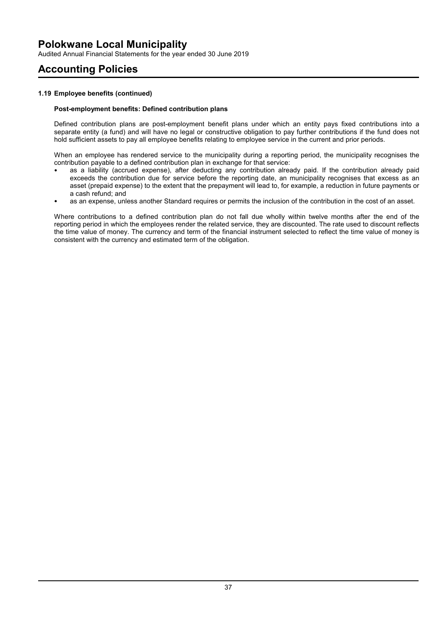Audited Annual Financial Statements for the year ended 30 June 2019

# **Accounting Policies**

### **1.19 Employee benefits (continued)**

### **Post-employment benefits: Defined contribution plans**

Defined contribution plans are post-employment benefit plans under which an entity pays fixed contributions into a separate entity (a fund) and will have no legal or constructive obligation to pay further contributions if the fund does not hold sufficient assets to pay all employee benefits relating to employee service in the current and prior periods.

When an employee has rendered service to the municipality during a reporting period, the municipality recognises the contribution payable to a defined contribution plan in exchange for that service:

- as a liability (accrued expense), after deducting any contribution already paid. If the contribution already paid exceeds the contribution due for service before the reporting date, an municipality recognises that excess as an asset (prepaid expense) to the extent that the prepayment will lead to, for example, a reduction in future payments or a cash refund; and
- as an expense, unless another Standard requires or permits the inclusion of the contribution in the cost of an asset.

Where contributions to a defined contribution plan do not fall due wholly within twelve months after the end of the reporting period in which the employees render the related service, they are discounted. The rate used to discount reflects the time value of money. The currency and term of the financial instrument selected to reflect the time value of money is consistent with the currency and estimated term of the obligation.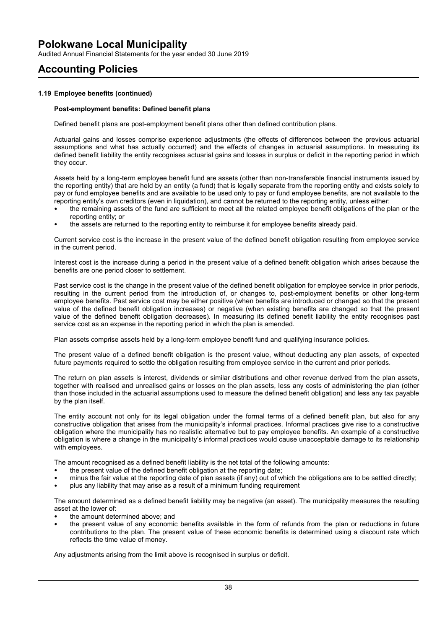Audited Annual Financial Statements for the year ended 30 June 2019

# **Accounting Policies**

### **1.19 Employee benefits (continued)**

### **Post-employment benefits: Defined benefit plans**

Defined benefit plans are post-employment benefit plans other than defined contribution plans.

Actuarial gains and losses comprise experience adjustments (the effects of differences between the previous actuarial assumptions and what has actually occurred) and the effects of changes in actuarial assumptions. In measuring its defined benefit liability the entity recognises actuarial gains and losses in surplus or deficit in the reporting period in which they occur.

Assets held by a long-term employee benefit fund are assets (other than non-transferable financial instruments issued by the reporting entity) that are held by an entity (a fund) that is legally separate from the reporting entity and exists solely to pay or fund employee benefits and are available to be used only to pay or fund employee benefits, are not available to the reporting entity's own creditors (even in liquidation), and cannot be returned to the reporting entity, unless either:

- the remaining assets of the fund are sufficient to meet all the related employee benefit obligations of the plan or the reporting entity; or
- the assets are returned to the reporting entity to reimburse it for employee benefits already paid.

Current service cost is the increase in the present value of the defined benefit obligation resulting from employee service in the current period.

Interest cost is the increase during a period in the present value of a defined benefit obligation which arises because the benefits are one period closer to settlement.

Past service cost is the change in the present value of the defined benefit obligation for employee service in prior periods, resulting in the current period from the introduction of, or changes to, post-employment benefits or other long-term employee benefits. Past service cost may be either positive (when benefits are introduced or changed so that the present value of the defined benefit obligation increases) or negative (when existing benefits are changed so that the present value of the defined benefit obligation decreases). In measuring its defined benefit liability the entity recognises past service cost as an expense in the reporting period in which the plan is amended.

Plan assets comprise assets held by a long-term employee benefit fund and qualifying insurance policies.

The present value of a defined benefit obligation is the present value, without deducting any plan assets, of expected future payments required to settle the obligation resulting from employee service in the current and prior periods.

The return on plan assets is interest, dividends or similar distributions and other revenue derived from the plan assets, together with realised and unrealised gains or losses on the plan assets, less any costs of administering the plan (other than those included in the actuarial assumptions used to measure the defined benefit obligation) and less any tax payable by the plan itself.

The entity account not only for its legal obligation under the formal terms of a defined benefit plan, but also for any constructive obligation that arises from the municipality's informal practices. Informal practices give rise to a constructive obligation where the municipality has no realistic alternative but to pay employee benefits. An example of a constructive obligation is where a change in the municipality's informal practices would cause unacceptable damage to its relationship with employees.

The amount recognised as a defined benefit liability is the net total of the following amounts:

- the present value of the defined benefit obligation at the reporting date;
- minus the fair value at the reporting date of plan assets (if any) out of which the obligations are to be settled directly;
- plus any liability that may arise as a result of a minimum funding requirement

The amount determined as a defined benefit liability may be negative (an asset). The municipality measures the resulting asset at the lower of:

- the amount determined above; and
- the present value of any economic benefits available in the form of refunds from the plan or reductions in future contributions to the plan. The present value of these economic benefits is determined using a discount rate which reflects the time value of money.

Any adjustments arising from the limit above is recognised in surplus or deficit.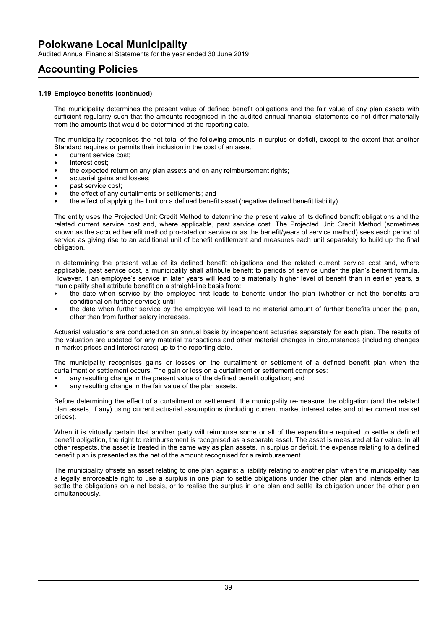Audited Annual Financial Statements for the year ended 30 June 2019

# **Accounting Policies**

### **1.19 Employee benefits (continued)**

The municipality determines the present value of defined benefit obligations and the fair value of any plan assets with sufficient regularity such that the amounts recognised in the audited annual financial statements do not differ materially from the amounts that would be determined at the reporting date.

The municipality recognises the net total of the following amounts in surplus or deficit, except to the extent that another Standard requires or permits their inclusion in the cost of an asset:

- current service cost;
- interest cost;
- the expected return on any plan assets and on any reimbursement rights;
- actuarial gains and losses;
- past service cost;
- the effect of any curtailments or settlements; and
- the effect of applying the limit on a defined benefit asset (negative defined benefit liability).

The entity uses the Projected Unit Credit Method to determine the present value of its defined benefit obligations and the related current service cost and, where applicable, past service cost. The Projected Unit Credit Method (sometimes known as the accrued benefit method pro-rated on service or as the benefit/years of service method) sees each period of service as giving rise to an additional unit of benefit entitlement and measures each unit separately to build up the final obligation.

In determining the present value of its defined benefit obligations and the related current service cost and, where applicable, past service cost, a municipality shall attribute benefit to periods of service under the plan's benefit formula. However, if an employee's service in later years will lead to a materially higher level of benefit than in earlier years, a municipality shall attribute benefit on a straight-line basis from:

- the date when service by the employee first leads to benefits under the plan (whether or not the benefits are conditional on further service); until
- the date when further service by the employee will lead to no material amount of further benefits under the plan, other than from further salary increases.

Actuarial valuations are conducted on an annual basis by independent actuaries separately for each plan. The results of the valuation are updated for any material transactions and other material changes in circumstances (including changes in market prices and interest rates) up to the reporting date.

The municipality recognises gains or losses on the curtailment or settlement of a defined benefit plan when the curtailment or settlement occurs. The gain or loss on a curtailment or settlement comprises:

- any resulting change in the present value of the defined benefit obligation; and
- any resulting change in the fair value of the plan assets.

Before determining the effect of a curtailment or settlement, the municipality re-measure the obligation (and the related plan assets, if any) using current actuarial assumptions (including current market interest rates and other current market prices).

When it is virtually certain that another party will reimburse some or all of the expenditure required to settle a defined benefit obligation, the right to reimbursement is recognised as a separate asset. The asset is measured at fair value. In all other respects, the asset is treated in the same way as plan assets. In surplus or deficit, the expense relating to a defined benefit plan is presented as the net of the amount recognised for a reimbursement.

The municipality offsets an asset relating to one plan against a liability relating to another plan when the municipality has a legally enforceable right to use a surplus in one plan to settle obligations under the other plan and intends either to settle the obligations on a net basis, or to realise the surplus in one plan and settle its obligation under the other plan simultaneously.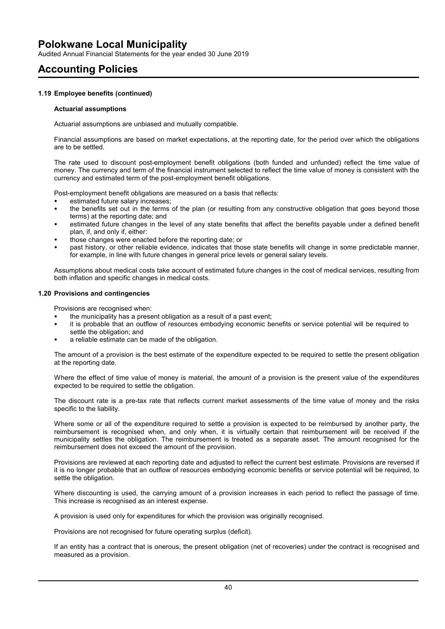Audited Annual Financial Statements for the year ended 30 June 2019

# **Accounting Policies**

### **1.19 Employee benefits (continued)**

### **Actuarial assumptions**

Actuarial assumptions are unbiased and mutually compatible.

Financial assumptions are based on market expectations, at the reporting date, for the period over which the obligations are to be settled.

The rate used to discount post-employment benefit obligations (both funded and unfunded) reflect the time value of money. The currency and term of the financial instrument selected to reflect the time value of money is consistent with the currency and estimated term of the post-employment benefit obligations.

Post-employment benefit obligations are measured on a basis that reflects:

- estimated future salary increases;
- the benefits set out in the terms of the plan (or resulting from any constructive obligation that goes beyond those terms) at the reporting date; and
- estimated future changes in the level of any state benefits that affect the benefits payable under a defined benefit plan, if, and only if, either:
- those changes were enacted before the reporting date; or
- past history, or other reliable evidence, indicates that those state benefits will change in some predictable manner, for example, in line with future changes in general price levels or general salary levels.

Assumptions about medical costs take account of estimated future changes in the cost of medical services, resulting from both inflation and specific changes in medical costs.

### **1.20 Provisions and contingencies**

Provisions are recognised when:

- the municipality has a present obligation as a result of a past event;
- it is probable that an outflow of resources embodying economic benefits or service potential will be required to
- settle the obligation; and
- a reliable estimate can be made of the obligation.

The amount of a provision is the best estimate of the expenditure expected to be required to settle the present obligation at the reporting date.

Where the effect of time value of money is material, the amount of a provision is the present value of the expenditures expected to be required to settle the obligation.

The discount rate is a pre-tax rate that reflects current market assessments of the time value of money and the risks specific to the liability.

Where some or all of the expenditure required to settle a provision is expected to be reimbursed by another party, the reimbursement is recognised when, and only when, it is virtually certain that reimbursement will be received if the municipality settles the obligation. The reimbursement is treated as a separate asset. The amount recognised for the reimbursement does not exceed the amount of the provision.

Provisions are reviewed at each reporting date and adjusted to reflect the current best estimate. Provisions are reversed if it is no longer probable that an outflow of resources embodying economic benefits or service potential will be required, to settle the obligation.

Where discounting is used, the carrying amount of a provision increases in each period to reflect the passage of time. This increase is recognised as an interest expense.

A provision is used only for expenditures for which the provision was originally recognised.

Provisions are not recognised for future operating surplus (deficit).

If an entity has a contract that is onerous, the present obligation (net of recoveries) under the contract is recognised and measured as a provision.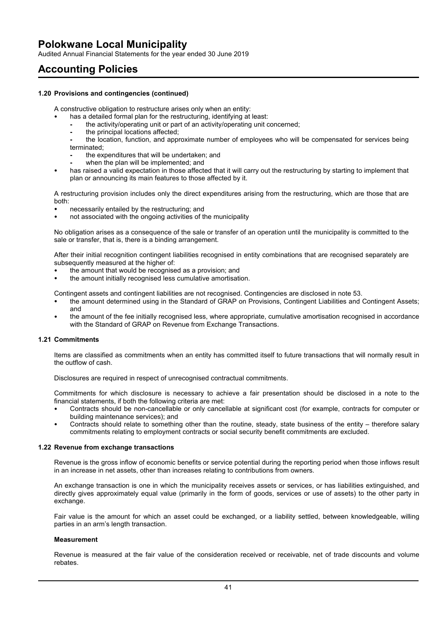Audited Annual Financial Statements for the year ended 30 June 2019

# **Accounting Policies**

### **1.20 Provisions and contingencies (continued)**

A constructive obligation to restructure arises only when an entity:

- has a detailed formal plan for the restructuring, identifying at least:
- **-** the activity/operating unit or part of an activity/operating unit concerned;
- **-** the principal locations affected;
- **-** the location, function, and approximate number of employees who will be compensated for services being terminated;
- **-** the expenditures that will be undertaken; and
- **-** when the plan will be implemented; and
- has raised a valid expectation in those affected that it will carry out the restructuring by starting to implement that plan or announcing its main features to those affected by it.

A restructuring provision includes only the direct expenditures arising from the restructuring, which are those that are both:

- necessarily entailed by the restructuring; and
- not associated with the ongoing activities of the municipality

No obligation arises as a consequence of the sale or transfer of an operation until the municipality is committed to the sale or transfer, that is, there is a binding arrangement.

After their initial recognition contingent liabilities recognised in entity combinations that are recognised separately are subsequently measured at the higher of:

- the amount that would be recognised as a provision; and
- the amount initially recognised less cumulative amortisation.

Contingent assets and contingent liabilities are not recognised. Contingencies are disclosed in note 53.

- the amount determined using in the Standard of GRAP on Provisions, Contingent Liabilities and Contingent Assets; and
- the amount of the fee initially recognised less, where appropriate, cumulative amortisation recognised in accordance with the Standard of GRAP on Revenue from Exchange Transactions.

### **1.21 Commitments**

Items are classified as commitments when an entity has committed itself to future transactions that will normally result in the outflow of cash.

Disclosures are required in respect of unrecognised contractual commitments.

Commitments for which disclosure is necessary to achieve a fair presentation should be disclosed in a note to the financial statements, if both the following criteria are met:

- Contracts should be non-cancellable or only cancellable at significant cost (for example, contracts for computer or building maintenance services); and
- Contracts should relate to something other than the routine, steady, state business of the entity therefore salary commitments relating to employment contracts or social security benefit commitments are excluded.

### **1.22 Revenue from exchange transactions**

Revenue is the gross inflow of economic benefits or service potential during the reporting period when those inflows result in an increase in net assets, other than increases relating to contributions from owners.

An exchange transaction is one in which the municipality receives assets or services, or has liabilities extinguished, and directly gives approximately equal value (primarily in the form of goods, services or use of assets) to the other party in exchange.

Fair value is the amount for which an asset could be exchanged, or a liability settled, between knowledgeable, willing parties in an arm's length transaction.

### **Measurement**

Revenue is measured at the fair value of the consideration received or receivable, net of trade discounts and volume rebates.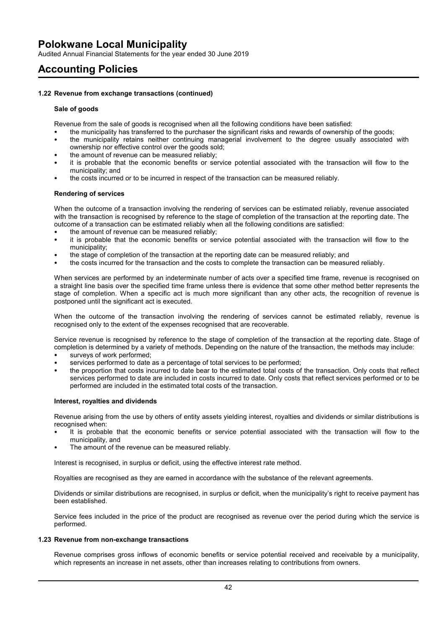Audited Annual Financial Statements for the year ended 30 June 2019

# **Accounting Policies**

### **1.22 Revenue from exchange transactions (continued)**

### **Sale of goods**

Revenue from the sale of goods is recognised when all the following conditions have been satisfied:

- the municipality has transferred to the purchaser the significant risks and rewards of ownership of the goods;
- the municipality retains neither continuing managerial involvement to the degree usually associated with ownership nor effective control over the goods sold;
- the amount of revenue can be measured reliably;
- it is probable that the economic benefits or service potential associated with the transaction will flow to the municipality; and
- the costs incurred or to be incurred in respect of the transaction can be measured reliably.

### **Rendering of services**

When the outcome of a transaction involving the rendering of services can be estimated reliably, revenue associated with the transaction is recognised by reference to the stage of completion of the transaction at the reporting date. The outcome of a transaction can be estimated reliably when all the following conditions are satisfied:

- the amount of revenue can be measured reliably;
- it is probable that the economic benefits or service potential associated with the transaction will flow to the municipality;
- the stage of completion of the transaction at the reporting date can be measured reliably; and
- the costs incurred for the transaction and the costs to complete the transaction can be measured reliably.

When services are performed by an indeterminate number of acts over a specified time frame, revenue is recognised on a straight line basis over the specified time frame unless there is evidence that some other method better represents the stage of completion. When a specific act is much more significant than any other acts, the recognition of revenue is postponed until the significant act is executed.

When the outcome of the transaction involving the rendering of services cannot be estimated reliably, revenue is recognised only to the extent of the expenses recognised that are recoverable.

Service revenue is recognised by reference to the stage of completion of the transaction at the reporting date. Stage of completion is determined by a variety of methods. Depending on the nature of the transaction, the methods may include:

- surveys of work performed;
- services performed to date as a percentage of total services to be performed;
- the proportion that costs incurred to date bear to the estimated total costs of the transaction. Only costs that reflect services performed to date are included in costs incurred to date. Only costs that reflect services performed or to be performed are included in the estimated total costs of the transaction.

### **Interest, royalties and dividends**

Revenue arising from the use by others of entity assets yielding interest, royalties and dividends or similar distributions is recognised when:

- It is probable that the economic benefits or service potential associated with the transaction will flow to the municipality, and
- The amount of the revenue can be measured reliably.

Interest is recognised, in surplus or deficit, using the effective interest rate method.

Royalties are recognised as they are earned in accordance with the substance of the relevant agreements.

Dividends or similar distributions are recognised, in surplus or deficit, when the municipality's right to receive payment has been established.

Service fees included in the price of the product are recognised as revenue over the period during which the service is performed.

### **1.23 Revenue from non-exchange transactions**

Revenue comprises gross inflows of economic benefits or service potential received and receivable by a municipality, which represents an increase in net assets, other than increases relating to contributions from owners.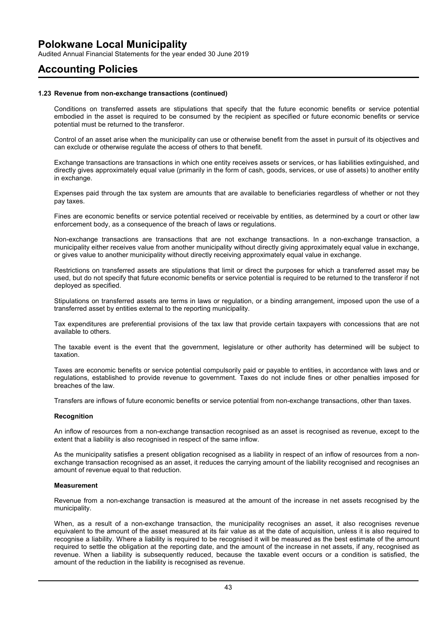Audited Annual Financial Statements for the year ended 30 June 2019

# **Accounting Policies**

### **1.23 Revenue from non-exchange transactions (continued)**

Conditions on transferred assets are stipulations that specify that the future economic benefits or service potential embodied in the asset is required to be consumed by the recipient as specified or future economic benefits or service potential must be returned to the transferor.

Control of an asset arise when the municipality can use or otherwise benefit from the asset in pursuit of its objectives and can exclude or otherwise regulate the access of others to that benefit.

Exchange transactions are transactions in which one entity receives assets or services, or has liabilities extinguished, and directly gives approximately equal value (primarily in the form of cash, goods, services, or use of assets) to another entity in exchange.

Expenses paid through the tax system are amounts that are available to beneficiaries regardless of whether or not they pay taxes.

Fines are economic benefits or service potential received or receivable by entities, as determined by a court or other law enforcement body, as a consequence of the breach of laws or regulations.

Non-exchange transactions are transactions that are not exchange transactions. In a non-exchange transaction, a municipality either receives value from another municipality without directly giving approximately equal value in exchange, or gives value to another municipality without directly receiving approximately equal value in exchange.

Restrictions on transferred assets are stipulations that limit or direct the purposes for which a transferred asset may be used, but do not specify that future economic benefits or service potential is required to be returned to the transferor if not deployed as specified.

Stipulations on transferred assets are terms in laws or regulation, or a binding arrangement, imposed upon the use of a transferred asset by entities external to the reporting municipality.

Tax expenditures are preferential provisions of the tax law that provide certain taxpayers with concessions that are not available to others.

The taxable event is the event that the government, legislature or other authority has determined will be subject to taxation.

Taxes are economic benefits or service potential compulsorily paid or payable to entities, in accordance with laws and or regulations, established to provide revenue to government. Taxes do not include fines or other penalties imposed for breaches of the law.

Transfers are inflows of future economic benefits or service potential from non-exchange transactions, other than taxes.

### **Recognition**

An inflow of resources from a non-exchange transaction recognised as an asset is recognised as revenue, except to the extent that a liability is also recognised in respect of the same inflow.

As the municipality satisfies a present obligation recognised as a liability in respect of an inflow of resources from a nonexchange transaction recognised as an asset, it reduces the carrying amount of the liability recognised and recognises an amount of revenue equal to that reduction.

### **Measurement**

Revenue from a non-exchange transaction is measured at the amount of the increase in net assets recognised by the municipality.

When, as a result of a non-exchange transaction, the municipality recognises an asset, it also recognises revenue equivalent to the amount of the asset measured at its fair value as at the date of acquisition, unless it is also required to recognise a liability. Where a liability is required to be recognised it will be measured as the best estimate of the amount required to settle the obligation at the reporting date, and the amount of the increase in net assets, if any, recognised as revenue. When a liability is subsequently reduced, because the taxable event occurs or a condition is satisfied, the amount of the reduction in the liability is recognised as revenue.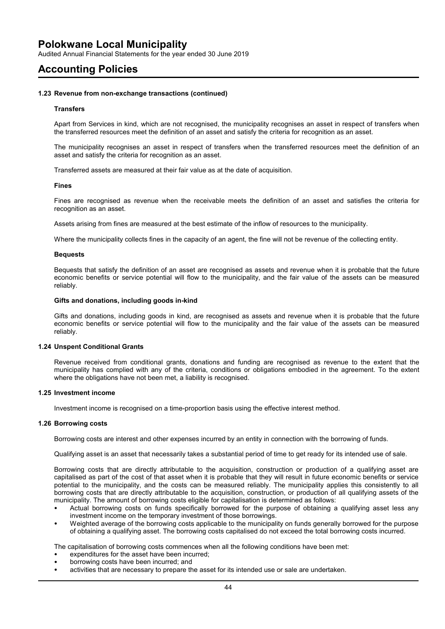Audited Annual Financial Statements for the year ended 30 June 2019

## **Accounting Policies**

### **1.23 Revenue from non-exchange transactions (continued)**

#### **Transfers**

Apart from Services in kind, which are not recognised, the municipality recognises an asset in respect of transfers when the transferred resources meet the definition of an asset and satisfy the criteria for recognition as an asset.

The municipality recognises an asset in respect of transfers when the transferred resources meet the definition of an asset and satisfy the criteria for recognition as an asset.

Transferred assets are measured at their fair value as at the date of acquisition.

#### **Fines**

Fines are recognised as revenue when the receivable meets the definition of an asset and satisfies the criteria for recognition as an asset.

Assets arising from fines are measured at the best estimate of the inflow of resources to the municipality.

Where the municipality collects fines in the capacity of an agent, the fine will not be revenue of the collecting entity.

#### **Bequests**

Bequests that satisfy the definition of an asset are recognised as assets and revenue when it is probable that the future economic benefits or service potential will flow to the municipality, and the fair value of the assets can be measured reliably.

### **Gifts and donations, including goods in-kind**

Gifts and donations, including goods in kind, are recognised as assets and revenue when it is probable that the future economic benefits or service potential will flow to the municipality and the fair value of the assets can be measured reliably.

### **1.24 Unspent Conditional Grants**

Revenue received from conditional grants, donations and funding are recognised as revenue to the extent that the municipality has complied with any of the criteria, conditions or obligations embodied in the agreement. To the extent where the obligations have not been met, a liability is recognised.

#### **1.25 Investment income**

Investment income is recognised on a time-proportion basis using the effective interest method.

### **1.26 Borrowing costs**

Borrowing costs are interest and other expenses incurred by an entity in connection with the borrowing of funds.

Qualifying asset is an asset that necessarily takes a substantial period of time to get ready for its intended use of sale.

Borrowing costs that are directly attributable to the acquisition, construction or production of a qualifying asset are capitalised as part of the cost of that asset when it is probable that they will result in future economic benefits or service potential to the municipality, and the costs can be measured reliably. The municipality applies this consistently to all borrowing costs that are directly attributable to the acquisition, construction, or production of all qualifying assets of the municipality. The amount of borrowing costs eligible for capitalisation is determined as follows:

- Actual borrowing costs on funds specifically borrowed for the purpose of obtaining a qualifying asset less any investment income on the temporary investment of those borrowings.
- Weighted average of the borrowing costs applicable to the municipality on funds generally borrowed for the purpose of obtaining a qualifying asset. The borrowing costs capitalised do not exceed the total borrowing costs incurred.

The capitalisation of borrowing costs commences when all the following conditions have been met:

- expenditures for the asset have been incurred;
- borrowing costs have been incurred; and
- activities that are necessary to prepare the asset for its intended use or sale are undertaken.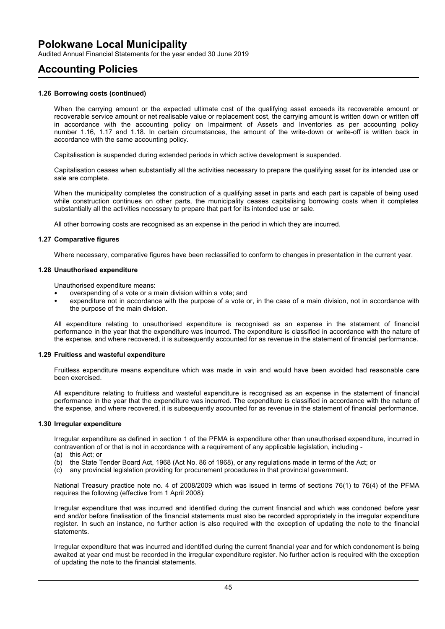Audited Annual Financial Statements for the year ended 30 June 2019

## **Accounting Policies**

### **1.26 Borrowing costs (continued)**

When the carrying amount or the expected ultimate cost of the qualifying asset exceeds its recoverable amount or recoverable service amount or net realisable value or replacement cost, the carrying amount is written down or written off in accordance with the accounting policy on Impairment of Assets and Inventories as per accounting policy number 1.16, 1.17 and 1.18. In certain circumstances, the amount of the write-down or write-off is written back in accordance with the same accounting policy.

Capitalisation is suspended during extended periods in which active development is suspended.

Capitalisation ceases when substantially all the activities necessary to prepare the qualifying asset for its intended use or sale are complete.

When the municipality completes the construction of a qualifying asset in parts and each part is capable of being used while construction continues on other parts, the municipality ceases capitalising borrowing costs when it completes substantially all the activities necessary to prepare that part for its intended use or sale.

All other borrowing costs are recognised as an expense in the period in which they are incurred.

### **1.27 Comparative figures**

Where necessary, comparative figures have been reclassified to conform to changes in presentation in the current year.

### **1.28 Unauthorised expenditure**

Unauthorised expenditure means:

- overspending of a vote or a main division within a vote; and
- expenditure not in accordance with the purpose of a vote or, in the case of a main division, not in accordance with the purpose of the main division.

All expenditure relating to unauthorised expenditure is recognised as an expense in the statement of financial performance in the year that the expenditure was incurred. The expenditure is classified in accordance with the nature of the expense, and where recovered, it is subsequently accounted for as revenue in the statement of financial performance.

### **1.29 Fruitless and wasteful expenditure**

Fruitless expenditure means expenditure which was made in vain and would have been avoided had reasonable care been exercised.

All expenditure relating to fruitless and wasteful expenditure is recognised as an expense in the statement of financial performance in the year that the expenditure was incurred. The expenditure is classified in accordance with the nature of the expense, and where recovered, it is subsequently accounted for as revenue in the statement of financial performance.

### **1.30 Irregular expenditure**

Irregular expenditure as defined in section 1 of the PFMA is expenditure other than unauthorised expenditure, incurred in contravention of or that is not in accordance with a requirement of any applicable legislation, including -

- (a) this Act; or
- (b) the State Tender Board Act, 1968 (Act No. 86 of 1968), or any regulations made in terms of the Act; or
- (c) any provincial legislation providing for procurement procedures in that provincial government.

National Treasury practice note no. 4 of 2008/2009 which was issued in terms of sections 76(1) to 76(4) of the PFMA requires the following (effective from 1 April 2008):

Irregular expenditure that was incurred and identified during the current financial and which was condoned before year end and/or before finalisation of the financial statements must also be recorded appropriately in the irregular expenditure register. In such an instance, no further action is also required with the exception of updating the note to the financial statements.

Irregular expenditure that was incurred and identified during the current financial year and for which condonement is being awaited at year end must be recorded in the irregular expenditure register. No further action is required with the exception of updating the note to the financial statements.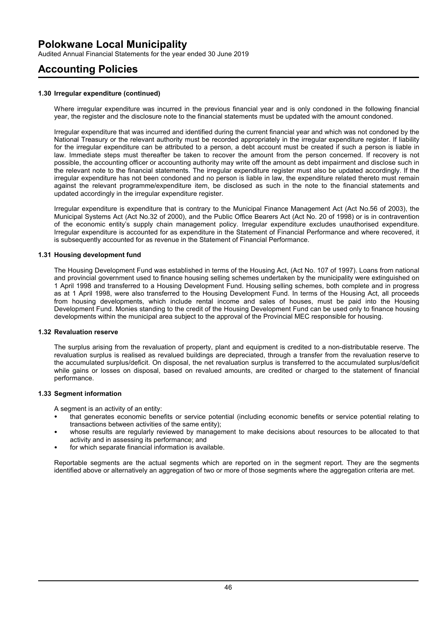Audited Annual Financial Statements for the year ended 30 June 2019

# **Accounting Policies**

### **1.30 Irregular expenditure (continued)**

Where irregular expenditure was incurred in the previous financial year and is only condoned in the following financial year, the register and the disclosure note to the financial statements must be updated with the amount condoned.

Irregular expenditure that was incurred and identified during the current financial year and which was not condoned by the National Treasury or the relevant authority must be recorded appropriately in the irregular expenditure register. If liability for the irregular expenditure can be attributed to a person, a debt account must be created if such a person is liable in law. Immediate steps must thereafter be taken to recover the amount from the person concerned. If recovery is not possible, the accounting officer or accounting authority may write off the amount as debt impairment and disclose such in the relevant note to the financial statements. The irregular expenditure register must also be updated accordingly. If the irregular expenditure has not been condoned and no person is liable in law, the expenditure related thereto must remain against the relevant programme/expenditure item, be disclosed as such in the note to the financial statements and updated accordingly in the irregular expenditure register.

Irregular expenditure is expenditure that is contrary to the Municipal Finance Management Act (Act No.56 of 2003), the Municipal Systems Act (Act No.32 of 2000), and the Public Office Bearers Act (Act No. 20 of 1998) or is in contravention of the economic entity's supply chain management policy. Irregular expenditure excludes unauthorised expenditure. Irregular expenditure is accounted for as expenditure in the Statement of Financial Performance and where recovered, it is subsequently accounted for as revenue in the Statement of Financial Performance.

### **1.31 Housing development fund**

The Housing Development Fund was established in terms of the Housing Act, (Act No. 107 of 1997). Loans from national and provincial government used to finance housing selling schemes undertaken by the municipality were extinguished on 1 April 1998 and transferred to a Housing Development Fund. Housing selling schemes, both complete and in progress as at 1 April 1998, were also transferred to the Housing Development Fund. In terms of the Housing Act, all proceeds from housing developments, which include rental income and sales of houses, must be paid into the Housing Development Fund. Monies standing to the credit of the Housing Development Fund can be used only to finance housing developments within the municipal area subject to the approval of the Provincial MEC responsible for housing.

### **1.32 Revaluation reserve**

The surplus arising from the revaluation of property, plant and equipment is credited to a non-distributable reserve. The revaluation surplus is realised as revalued buildings are depreciated, through a transfer from the revaluation reserve to the accumulated surplus/deficit. On disposal, the net revaluation surplus is transferred to the accumulated surplus/deficit while gains or losses on disposal, based on revalued amounts, are credited or charged to the statement of financial performance.

### **1.33 Segment information**

A segment is an activity of an entity:

- that generates economic benefits or service potential (including economic benefits or service potential relating to transactions between activities of the same entity);
- whose results are regularly reviewed by management to make decisions about resources to be allocated to that activity and in assessing its performance; and
- for which separate financial information is available.

Reportable segments are the actual segments which are reported on in the segment report. They are the segments identified above or alternatively an aggregation of two or more of those segments where the aggregation criteria are met.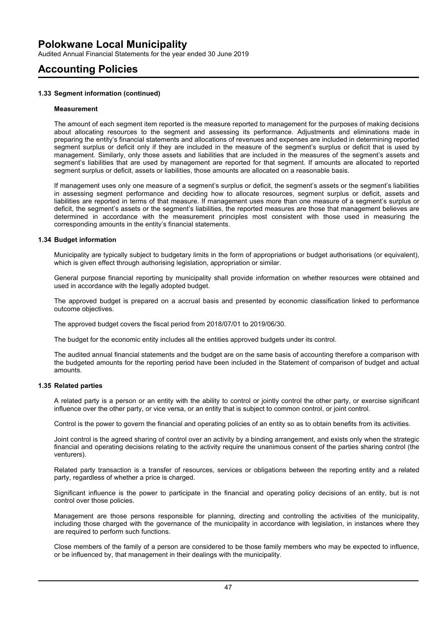Audited Annual Financial Statements for the year ended 30 June 2019

## **Accounting Policies**

### **1.33 Segment information (continued)**

### **Measurement**

The amount of each segment item reported is the measure reported to management for the purposes of making decisions about allocating resources to the segment and assessing its performance. Adjustments and eliminations made in preparing the entity's financial statements and allocations of revenues and expenses are included in determining reported segment surplus or deficit only if they are included in the measure of the segment's surplus or deficit that is used by management. Similarly, only those assets and liabilities that are included in the measures of the segment's assets and segment's liabilities that are used by management are reported for that segment. If amounts are allocated to reported segment surplus or deficit, assets or liabilities, those amounts are allocated on a reasonable basis.

If management uses only one measure of a segment's surplus or deficit, the segment's assets or the segment's liabilities in assessing segment performance and deciding how to allocate resources, segment surplus or deficit, assets and liabilities are reported in terms of that measure. If management uses more than one measure of a segment's surplus or deficit, the segment's assets or the segment's liabilities, the reported measures are those that management believes are determined in accordance with the measurement principles most consistent with those used in measuring the corresponding amounts in the entity's financial statements.

### **1.34 Budget information**

Municipality are typically subject to budgetary limits in the form of appropriations or budget authorisations (or equivalent), which is given effect through authorising legislation, appropriation or similar.

General purpose financial reporting by municipality shall provide information on whether resources were obtained and used in accordance with the legally adopted budget.

The approved budget is prepared on a accrual basis and presented by economic classification linked to performance outcome objectives.

The approved budget covers the fiscal period from 2018/07/01 to 2019/06/30.

The budget for the economic entity includes all the entities approved budgets under its control.

The audited annual financial statements and the budget are on the same basis of accounting therefore a comparison with the budgeted amounts for the reporting period have been included in the Statement of comparison of budget and actual amounts.

### **1.35 Related parties**

A related party is a person or an entity with the ability to control or jointly control the other party, or exercise significant influence over the other party, or vice versa, or an entity that is subject to common control, or joint control.

Control is the power to govern the financial and operating policies of an entity so as to obtain benefits from its activities.

Joint control is the agreed sharing of control over an activity by a binding arrangement, and exists only when the strategic financial and operating decisions relating to the activity require the unanimous consent of the parties sharing control (the venturers).

Related party transaction is a transfer of resources, services or obligations between the reporting entity and a related party, regardless of whether a price is charged.

Significant influence is the power to participate in the financial and operating policy decisions of an entity, but is not control over those policies.

Management are those persons responsible for planning, directing and controlling the activities of the municipality, including those charged with the governance of the municipality in accordance with legislation, in instances where they are required to perform such functions.

Close members of the family of a person are considered to be those family members who may be expected to influence, or be influenced by, that management in their dealings with the municipality.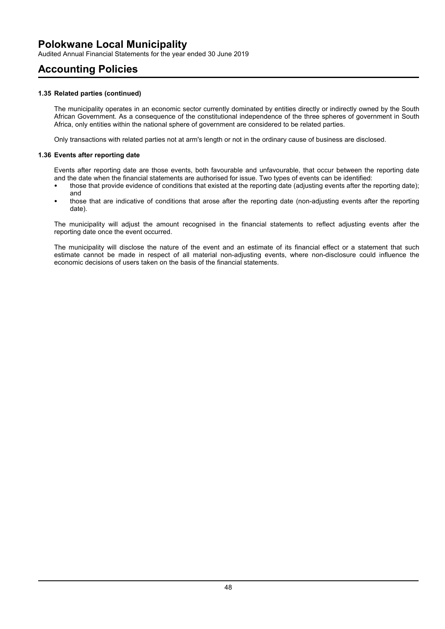Audited Annual Financial Statements for the year ended 30 June 2019

# **Accounting Policies**

### **1.35 Related parties (continued)**

The municipality operates in an economic sector currently dominated by entities directly or indirectly owned by the South African Government. As a consequence of the constitutional independence of the three spheres of government in South Africa, only entities within the national sphere of government are considered to be related parties.

Only transactions with related parties not at arm's length or not in the ordinary cause of business are disclosed.

### **1.36 Events after reporting date**

Events after reporting date are those events, both favourable and unfavourable, that occur between the reporting date and the date when the financial statements are authorised for issue. Two types of events can be identified:

- those that provide evidence of conditions that existed at the reporting date (adjusting events after the reporting date); and
- those that are indicative of conditions that arose after the reporting date (non-adjusting events after the reporting date).

The municipality will adjust the amount recognised in the financial statements to reflect adjusting events after the reporting date once the event occurred.

The municipality will disclose the nature of the event and an estimate of its financial effect or a statement that such estimate cannot be made in respect of all material non-adjusting events, where non-disclosure could influence the economic decisions of users taken on the basis of the financial statements.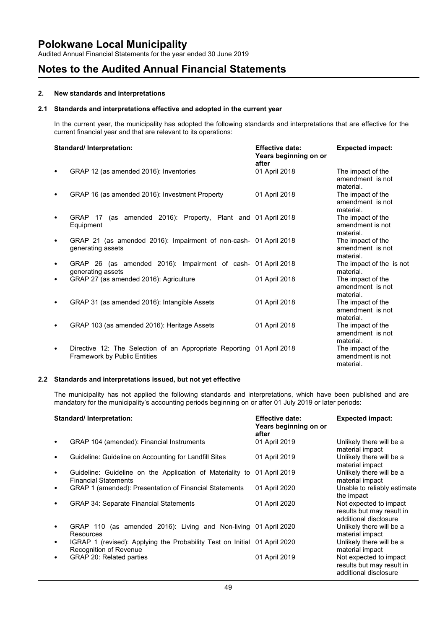Audited Annual Financial Statements for the year ended 30 June 2019

# **Notes to the Audited Annual Financial Statements**

### **2. New standards and interpretations**

### **2.1 Standards and interpretations effective and adopted in the current year**

In the current year, the municipality has adopted the following standards and interpretations that are effective for the current financial year and that are relevant to its operations:

|           | Standard/ Interpretation:                                                                                    | <b>Effective date:</b><br>Years beginning on or<br>after | <b>Expected impact:</b>                            |
|-----------|--------------------------------------------------------------------------------------------------------------|----------------------------------------------------------|----------------------------------------------------|
| ٠         | GRAP 12 (as amended 2016): Inventories                                                                       | 01 April 2018                                            | The impact of the<br>amendment is not<br>material. |
| ٠         | GRAP 16 (as amended 2016): Investment Property                                                               | 01 April 2018                                            | The impact of the<br>amendment is not<br>material. |
| $\bullet$ | GRAP 17 (as amended 2016): Property, Plant and 01 April 2018<br>Equipment                                    |                                                          | The impact of the<br>amendment is not<br>material. |
| ٠         | GRAP 21 (as amended 2016): Impairment of non-cash- 01 April 2018<br>generating assets                        |                                                          | The impact of the<br>amendment is not<br>material. |
| ٠         | GRAP 26 (as amended 2016): Impairment of cash- 01 April 2018<br>generating assets                            |                                                          | The impact of the is not<br>material.              |
|           | GRAP 27 (as amended 2016): Agriculture                                                                       | 01 April 2018                                            | The impact of the<br>amendment is not<br>material. |
| ٠         | GRAP 31 (as amended 2016): Intangible Assets                                                                 | 01 April 2018                                            | The impact of the<br>amendment is not<br>material. |
| ٠         | GRAP 103 (as amended 2016): Heritage Assets                                                                  | 01 April 2018                                            | The impact of the<br>amendment is not<br>material. |
| ٠         | Directive 12: The Selection of an Appropriate Reporting 01 April 2018<br><b>Framework by Public Entities</b> |                                                          | The impact of the<br>amendment is not<br>material. |

### **2.2 Standards and interpretations issued, but not yet effective**

The municipality has not applied the following standards and interpretations, which have been published and are mandatory for the municipality's accounting periods beginning on or after 01 July 2019 or later periods:

| Standard/Interpretation:                                                                            | <b>Effective date:</b><br>Years beginning on or<br>after | <b>Expected impact:</b>                                                      |
|-----------------------------------------------------------------------------------------------------|----------------------------------------------------------|------------------------------------------------------------------------------|
| GRAP 104 (amended): Financial Instruments                                                           | 01 April 2019                                            | Unlikely there will be a<br>material impact                                  |
| Guideline: Guideline on Accounting for Landfill Sites                                               | 01 April 2019                                            | Unlikely there will be a<br>material impact                                  |
| Guideline: Guideline on the Application of Materiality to<br><b>Financial Statements</b>            | 01 April 2019                                            | Unlikely there will be a<br>material impact                                  |
| GRAP 1 (amended): Presentation of Financial Statements                                              | 01 April 2020                                            | Unable to reliably estimate<br>the impact                                    |
| <b>GRAP 34: Separate Financial Statements</b>                                                       | 01 April 2020                                            | Not expected to impact<br>results but may result in<br>additional disclosure |
| GRAP 110 (as amended 2016): Living and Non-living<br><b>Resources</b>                               | 01 April 2020                                            | Unlikely there will be a<br>material impact                                  |
| IGRAP 1 (revised): Applying the Probability Test on Initial 01 April 2020<br>Recognition of Revenue |                                                          | Unlikely there will be a<br>material impact                                  |
| <b>GRAP 20: Related parties</b>                                                                     | 01 April 2019                                            | Not expected to impact<br>results but may result in<br>additional disclosure |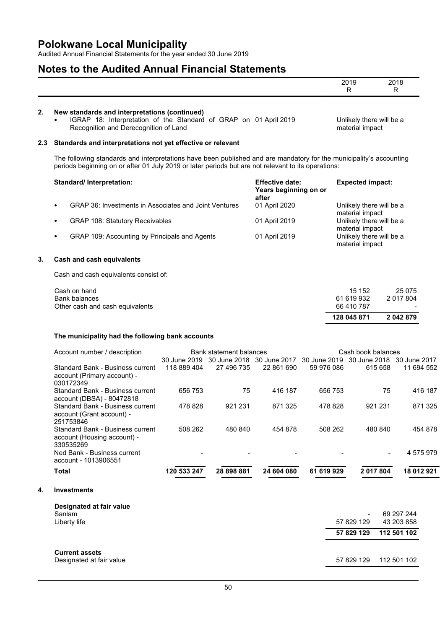Audited Annual Financial Statements for the year ended 30 June 2019

# **Notes to the Audited Annual Financial Statements**

|     |                                                                                                                                                                                                                            |             |                         |                                                 |            | 2019<br>R                                   | 2018<br>R.                                                                    |  |
|-----|----------------------------------------------------------------------------------------------------------------------------------------------------------------------------------------------------------------------------|-------------|-------------------------|-------------------------------------------------|------------|---------------------------------------------|-------------------------------------------------------------------------------|--|
| 2.  | New standards and interpretations (continued)<br>IGRAP 18: Interpretation of the Standard of GRAP on 01 April 2019<br>Recognition and Derecognition of Land                                                                |             |                         |                                                 |            | Unlikely there will be a<br>material impact |                                                                               |  |
| 2.3 | Standards and interpretations not yet effective or relevant                                                                                                                                                                |             |                         |                                                 |            |                                             |                                                                               |  |
|     | The following standards and interpretations have been published and are mandatory for the municipality's accounting<br>periods beginning on or after 01 July 2019 or later periods but are not relevant to its operations: |             |                         |                                                 |            |                                             |                                                                               |  |
|     | <b>Standard/Interpretation:</b>                                                                                                                                                                                            |             |                         | <b>Effective date:</b><br>Years beginning on or |            | <b>Expected impact:</b>                     |                                                                               |  |
|     | GRAP 36: Investments in Associates and Joint Ventures<br>٠                                                                                                                                                                 |             |                         | after<br>01 April 2020                          |            | Unlikely there will be a                    |                                                                               |  |
|     | 01 April 2019<br>GRAP 108: Statutory Receivables                                                                                                                                                                           |             |                         |                                                 |            | material impact<br>Unlikely there will be a |                                                                               |  |
|     | GRAP 109: Accounting by Principals and Agents                                                                                                                                                                              |             |                         | 01 April 2019                                   |            | material impact<br>Unlikely there will be a |                                                                               |  |
| 3.  | <b>Cash and cash equivalents</b>                                                                                                                                                                                           |             |                         |                                                 |            | material impact                             |                                                                               |  |
|     |                                                                                                                                                                                                                            |             |                         |                                                 |            |                                             |                                                                               |  |
|     | Cash and cash equivalents consist of:                                                                                                                                                                                      |             |                         |                                                 |            |                                             |                                                                               |  |
|     | Cash on hand<br><b>Bank balances</b>                                                                                                                                                                                       |             |                         |                                                 |            | 15 152<br>61 619 932                        | 25 0 75<br>2 017 804                                                          |  |
|     | Other cash and cash equivalents                                                                                                                                                                                            |             |                         |                                                 |            | 66 410 787                                  |                                                                               |  |
|     |                                                                                                                                                                                                                            |             |                         |                                                 |            | 128 045 871                                 | 2 042 879                                                                     |  |
|     | The municipality had the following bank accounts                                                                                                                                                                           |             |                         |                                                 |            |                                             |                                                                               |  |
|     | Account number / description                                                                                                                                                                                               |             | Bank statement balances |                                                 |            | Cash book balances                          |                                                                               |  |
|     |                                                                                                                                                                                                                            |             |                         |                                                 |            |                                             | 30 June 2019 30 June 2018 30 June 2017 30 June 2019 30 June 2018 30 June 2017 |  |
|     | Standard Bank - Business current<br>account (Primary account) -<br>030172349                                                                                                                                               | 118 889 404 | 27 496 735              | 22 861 690                                      | 59 976 086 |                                             | 615 658<br>11 694 552                                                         |  |
|     | <b>Standard Bank - Business current</b>                                                                                                                                                                                    | 656 753     | 75                      | 416 187                                         | 656 753    |                                             | 75<br>416 187                                                                 |  |
|     | account (DBSA) - 80472818<br>Standard Bank - Business current<br>account (Grant account) -                                                                                                                                 | 478 828     | 921 231                 | 871 325                                         | 478 828    |                                             | 921 231<br>871 325                                                            |  |
|     | 251753846<br>Standard Bank - Business current                                                                                                                                                                              | 508 262     | 480 840                 | 454 878                                         | 508 262    |                                             | 480 840<br>454 878                                                            |  |
|     | account (Housing account) -<br>330535269                                                                                                                                                                                   |             |                         |                                                 |            |                                             |                                                                               |  |
|     | Ned Bank - Business current<br>account - 1013906551                                                                                                                                                                        |             |                         |                                                 |            |                                             | 4 575 979                                                                     |  |
|     | <b>Total</b>                                                                                                                                                                                                               | 120 533 247 | 28 898 881              | 24 604 080                                      | 61 619 929 | 2 017 804                                   | 18 012 921                                                                    |  |
| 4.  | <b>Investments</b>                                                                                                                                                                                                         |             |                         |                                                 |            |                                             |                                                                               |  |
|     | Designated at fair value                                                                                                                                                                                                   |             |                         |                                                 |            |                                             |                                                                               |  |
|     | Sanlam<br>Liberty life                                                                                                                                                                                                     |             |                         |                                                 |            | 57 829 129                                  | 69 297 244<br>43 203 858                                                      |  |
|     |                                                                                                                                                                                                                            |             |                         |                                                 |            | 57 829 129                                  | 112 501 102                                                                   |  |
|     | <b>Current assets</b>                                                                                                                                                                                                      |             |                         |                                                 |            |                                             |                                                                               |  |
|     | Designated at fair value                                                                                                                                                                                                   |             |                         |                                                 |            | 57 829 129                                  | 112 501 102                                                                   |  |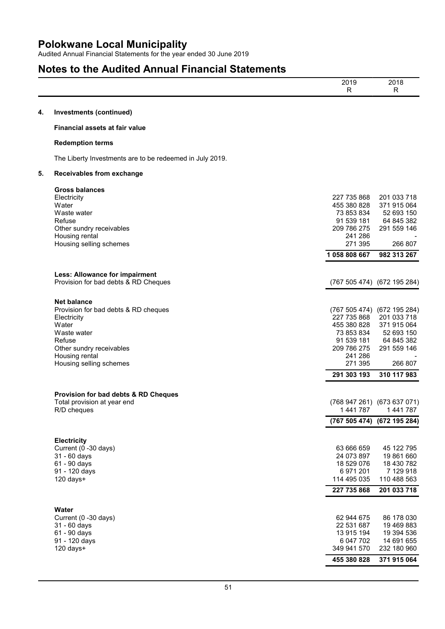Audited Annual Financial Statements for the year ended 30 June 2019

# **Notes to the Audited Annual Financial Statements**

|  | $\sim$ $\sim$<br>____ | _____ |
|--|-----------------------|-------|
|  |                       |       |

### **4. Investments (continued)**

### **Financial assets at fair value**

### **Redemption terms**

The Liberty Investments are to be redeemed in July 2019.

### **5. Receivables from exchange**

| <b>Gross balances</b>                           |             |                             |
|-------------------------------------------------|-------------|-----------------------------|
| Electricity                                     | 227 735 868 | 201 033 718                 |
| Water                                           | 455 380 828 | 371 915 064                 |
| Waste water                                     | 73 853 834  | 52 693 150                  |
| Refuse                                          | 91 539 181  | 64 845 382                  |
| Other sundry receivables                        | 209 786 275 | 291 559 146                 |
| Housing rental                                  | 241 286     |                             |
| Housing selling schemes                         | 271 395     | 266 807                     |
|                                                 | 1058808667  | 982 313 267                 |
| Less: Allowance for impairment                  |             |                             |
| Provision for bad debts & RD Cheques            |             | (767 505 474) (672 195 284) |
|                                                 |             |                             |
| <b>Net balance</b>                              |             |                             |
| Provision for bad debts & RD cheques            |             | (767 505 474) (672 195 284) |
| Electricity                                     | 227 735 868 | 201 033 718                 |
| Water                                           | 455 380 828 | 371 915 064                 |
| Waste water                                     | 73 853 834  | 52 693 150                  |
| Refuse                                          | 91 539 181  | 64 845 382                  |
| Other sundry receivables                        | 209 786 275 | 291 559 146                 |
| Housing rental                                  | 241 286     |                             |
| Housing selling schemes                         | 271 395     | 266 807                     |
|                                                 | 291 303 193 | 310 117 983                 |
|                                                 |             |                             |
| <b>Provision for bad debts &amp; RD Cheques</b> |             |                             |
| Total provision at year end                     |             | (768 947 261) (673 637 071) |
| R/D cheques                                     | 1441787     | 1441787                     |
|                                                 |             | (767 505 474) (672 195 284) |
|                                                 |             |                             |
| <b>Electricity</b>                              |             |                             |
| Current (0 -30 days)                            | 63 666 659  | 45 122 795                  |
| 31 - 60 days                                    | 24 073 897  | 19 861 660                  |
| 61 - 90 days                                    | 18 529 076  | 18 430 782                  |
| 91 - 120 days                                   | 6971201     | 7 129 918                   |
| 120 days+                                       | 114 495 035 | 110 488 563                 |
|                                                 | 227 735 868 | 201 033 718                 |
| Water                                           |             |                             |
| Current (0 -30 days)                            | 62 944 675  | 86 178 030                  |
| 31 - 60 days                                    | 22 531 687  | 19 469 883                  |
| 61 - 90 days                                    | 13 915 194  | 19 394 536                  |
| 91 - 120 days                                   | 6 047 702   | 14 691 655                  |
| 120 days+                                       | 349 941 570 | 232 180 960                 |
|                                                 | 455 380 828 | 371 915 064                 |
|                                                 |             |                             |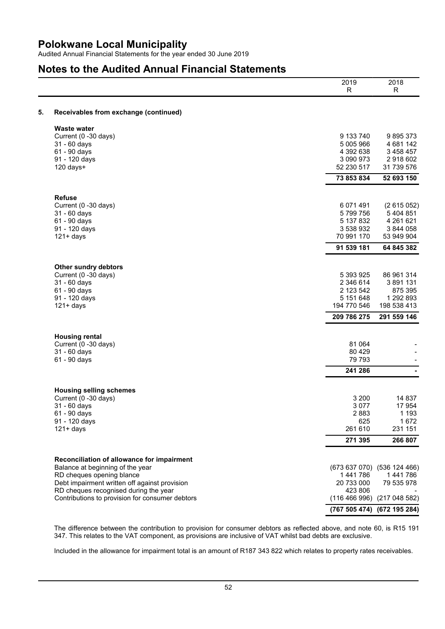Audited Annual Financial Statements for the year ended 30 June 2019

## **Notes to the Audited Annual Financial Statements**

|    |                                                 | 2019                    | 2018                        |
|----|-------------------------------------------------|-------------------------|-----------------------------|
|    |                                                 | R                       | R.                          |
| 5. | Receivables from exchange (continued)           |                         |                             |
|    | <b>Waste water</b>                              |                         |                             |
|    | Current (0 -30 days)                            | 9 133 740               | 9895373                     |
|    | 31 - 60 days                                    | 5 005 966               | 4 681 142                   |
|    | 61 - 90 days                                    | 4 392 638               | 3 4 5 8 4 5 7               |
|    | 91 - 120 days<br>$120$ days+                    | 3 090 973<br>52 230 517 | 2918602<br>31 739 576       |
|    |                                                 | 73 853 834              | 52 693 150                  |
|    | <b>Refuse</b>                                   |                         |                             |
|    | Current (0 -30 days)                            | 6 071 491               | (2615052)                   |
|    | 31 - 60 days                                    | 5799756                 | 5 404 851                   |
|    | 61 - 90 days                                    | 5 137 832               | 4 261 621                   |
|    | 91 - 120 days                                   | 3 538 932               | 3 844 058                   |
|    | $121 + days$                                    | 70 991 170              | 53 949 904                  |
|    |                                                 | 91 539 181              | 64 845 382                  |
|    | Other sundry debtors                            |                         |                             |
|    | Current (0 -30 days)                            | 5 393 925               | 86 961 314                  |
|    | 31 - 60 days<br>61 - 90 days                    | 2 346 614<br>2 123 542  | 3891131<br>875 395          |
|    | 91 - 120 days                                   | 5 151 648               | 1 292 893                   |
|    | $121 + days$                                    | 194 770 546             | 198 538 413                 |
|    |                                                 | 209 786 275             | 291 559 146                 |
|    | <b>Housing rental</b>                           |                         |                             |
|    | Current (0 -30 days)                            | 81 064                  |                             |
|    | 31 - 60 days                                    | 80 4 29                 |                             |
|    | 61 - 90 days                                    | 79 793                  |                             |
|    |                                                 | 241 286                 |                             |
|    | <b>Housing selling schemes</b>                  |                         |                             |
|    | Current (0 -30 days)                            | 3 200<br>3077           | 14 8 37<br>17 954           |
|    | 31 - 60 days<br>61 - 90 days                    | 2883                    | 1 1 9 3                     |
|    | 91 - 120 days                                   | 625                     | 1672                        |
|    | $121 + days$                                    | 261 610                 | 231 151                     |
|    |                                                 | 271 395                 | 266 807                     |
|    | Reconciliation of allowance for impairment      |                         |                             |
|    | Balance at beginning of the year                |                         | (673 637 070) (536 124 466) |
|    | RD cheques opening blance                       | 1441786                 | 1441786                     |
|    | Debt impairment written off against provision   | 20 733 000              | 79 535 978                  |
|    | RD cheques recognised during the year           | 423 806                 |                             |
|    | Contributions to provision for consumer debtors |                         | (116 466 996) (217 048 582) |
|    |                                                 |                         | (767 505 474) (672 195 284) |

The difference between the contribution to provision for consumer debtors as reflected above, and note 60, is R15 191 347. This relates to the VAT component, as provisions are inclusive of VAT whilst bad debts are exclusive.

Included in the allowance for impairment total is an amount of R187 343 822 which relates to property rates receivables.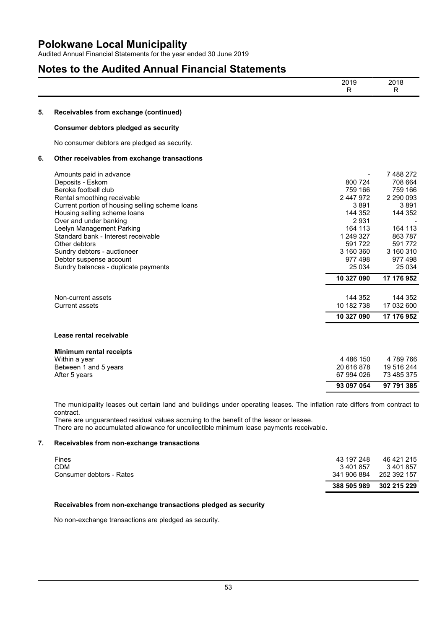Audited Annual Financial Statements for the year ended 30 June 2019

## **Notes to the Audited Annual Financial Statements**

|    |                                                 | 2019<br>R     | 2018<br>R. |
|----|-------------------------------------------------|---------------|------------|
|    |                                                 |               |            |
| 5. | Receivables from exchange (continued)           |               |            |
|    | Consumer debtors pledged as security            |               |            |
|    | No consumer debtors are pledged as security.    |               |            |
| 6. | Other receivables from exchange transactions    |               |            |
|    | Amounts paid in advance                         |               | 7488272    |
|    | Deposits - Eskom                                | 800 724       | 708 664    |
|    | Beroka football club                            | 759 166       | 759 166    |
|    | Rental smoothing receivable                     | 2 447 972     | 2 290 093  |
|    | Current portion of housing selling scheme loans | 3891          | 3891       |
|    | Housing selling scheme loans                    | 144 352       | 144 352    |
|    | Over and under banking                          | 2931          |            |
|    | Leelyn Management Parking                       | 164 113       | 164 113    |
|    | Standard bank - Interest receivable             | 1 249 327     | 863 787    |
|    | Other debtors                                   | 591 722       | 591 772    |
|    | Sundry debtors - auctioneer                     | 3 160 360     | 3 160 310  |
|    | Debtor suspense account                         | 977 498       | 977498     |
|    | Sundry balances - duplicate payments            | 25 034        | 25 0 34    |
|    |                                                 | 10 327 090    | 17 176 952 |
|    | Non-current assets                              | 144 352       | 144 352    |
|    | <b>Current assets</b>                           | 10 182 738    | 17 032 600 |
|    |                                                 | 10 327 090    | 17 176 952 |
|    | Lease rental receivable                         |               |            |
|    | <b>Minimum rental receipts</b>                  |               |            |
|    | Within a year                                   | 4 4 8 6 1 5 0 | 4789766    |
|    | Between 1 and 5 years                           | 20 616 878    | 19 516 244 |
|    | After 5 years                                   | 67 994 026    | 73 485 375 |

The municipality leases out certain land and buildings under operating leases. The inflation rate differs from contract to contract.

**93 097 054 97 791 385**

There are unguaranteed residual values accruing to the benefit of the lessor or lessee.

There are no accumulated allowance for uncollectible minimum lease payments receivable.

### **7. Receivables from non-exchange transactions**

| Fines<br><b>CDM</b>      | 43 197 248<br>3 401 857 | 46 421 215<br>3 401 857 |
|--------------------------|-------------------------|-------------------------|
| Consumer debtors - Rates | 341 906 884 252 392 157 |                         |
|                          | 388 505 989             | 302 215 229             |

### **Receivables from non-exchange transactions pledged as security**

No non-exchange transactions are pledged as security.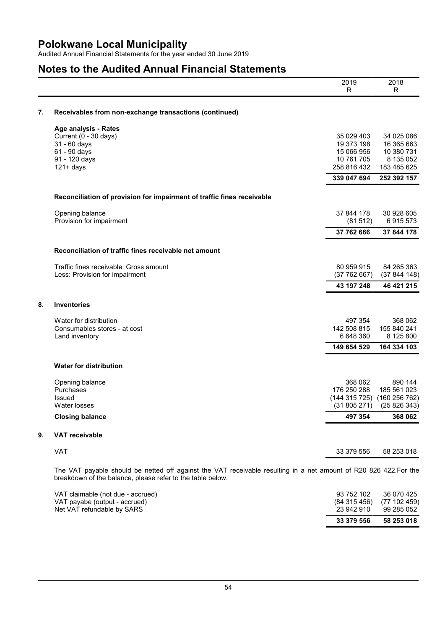Audited Annual Financial Statements for the year ended 30 June 2019

# **Notes to the Audited Annual Financial Statements**

|    |                                                                                                                                                                                 | 2019<br>R                 | 2018<br>R.                                 |
|----|---------------------------------------------------------------------------------------------------------------------------------------------------------------------------------|---------------------------|--------------------------------------------|
|    |                                                                                                                                                                                 |                           |                                            |
| 7. | Receivables from non-exchange transactions (continued)                                                                                                                          |                           |                                            |
|    | Age analysis - Rates                                                                                                                                                            |                           |                                            |
|    | Current (0 - 30 days)<br>31 - 60 days                                                                                                                                           | 35 029 403<br>19 373 198  | 34 025 086<br>16 365 663                   |
|    | 61 - 90 days                                                                                                                                                                    | 15 066 956                | 10 380 731                                 |
|    | 91 - 120 days<br>$121 + days$                                                                                                                                                   | 10 761 705<br>258 816 432 | 8 135 052<br>183 485 625                   |
|    |                                                                                                                                                                                 | 339 047 694               | 252 392 157                                |
|    |                                                                                                                                                                                 |                           |                                            |
|    | Reconciliation of provision for impairment of traffic fines receivable                                                                                                          |                           |                                            |
|    | Opening balance                                                                                                                                                                 | 37 844 178                | 30 928 605                                 |
|    | Provision for impairment                                                                                                                                                        | (81512)<br>37 762 666     | 6915573<br>37 844 178                      |
|    |                                                                                                                                                                                 |                           |                                            |
|    | Reconciliation of traffic fines receivable net amount                                                                                                                           |                           |                                            |
|    | Traffic fines receivable: Gross amount                                                                                                                                          | 80 959 915                | 84 265 363                                 |
|    | Less: Provision for impairment                                                                                                                                                  | (37762667)                | (37844148)                                 |
|    |                                                                                                                                                                                 | 43 197 248                | 46 421 215                                 |
| 8. | <b>Inventories</b>                                                                                                                                                              |                           |                                            |
|    | Water for distribution                                                                                                                                                          | 497 354                   | 368 062                                    |
|    | Consumables stores - at cost                                                                                                                                                    | 142 508 815<br>6 648 360  | 155 840 241<br>8 125 800                   |
|    | Land inventory                                                                                                                                                                  | 149 654 529               | 164 334 103                                |
|    |                                                                                                                                                                                 |                           |                                            |
|    | <b>Water for distribution</b>                                                                                                                                                   |                           |                                            |
|    | Opening balance                                                                                                                                                                 | 368 062                   | 890 144                                    |
|    | Purchases<br>Issued                                                                                                                                                             | 176 250 288               | 185 561 023<br>(144 315 725) (160 256 762) |
|    | Water losses                                                                                                                                                                    | (31805271)                | (25826343)                                 |
|    | <b>Closing balance</b>                                                                                                                                                          | 497 354                   | 368 062                                    |
| 9. | <b>VAT receivable</b>                                                                                                                                                           |                           |                                            |
|    | <b>VAT</b>                                                                                                                                                                      | 33 379 556                | 58 253 018                                 |
|    | The VAT payable should be netted off against the VAT receivable resulting in a net amount of R20 826 422. For the<br>breakdown of the balance, please refer to the table below. |                           |                                            |

| 23 942 910 | 99 285 052                |
|------------|---------------------------|
|            |                           |
| 93 752 102 | 36 070 425                |
|            | $(84315456)$ $(77102459)$ |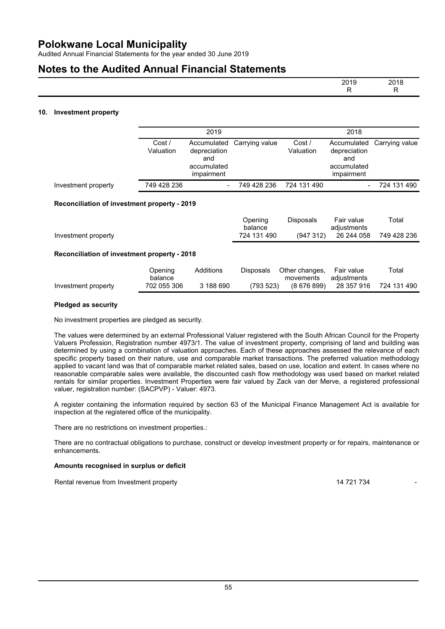Audited Annual Financial Statements for the year ended 30 June 2019

## **Notes to the Audited Annual Financial Statements**

|  | LV.<br>. . | - - -<br>. .<br>∠∪ ⊺ŏ<br>$- - -$ |
|--|------------|----------------------------------|
|  | -          |                                  |

### **10. Investment property**

|                     |                     | 2019                                             |                            |                     | 2018                                             |                            |
|---------------------|---------------------|--------------------------------------------------|----------------------------|---------------------|--------------------------------------------------|----------------------------|
|                     | Cost /<br>Valuation | depreciation<br>and<br>accumulated<br>impairment | Accumulated Carrying value | Cost /<br>Valuation | depreciation<br>and<br>accumulated<br>impairment | Accumulated Carrying value |
| Investment property | 749 428 236         |                                                  | 749 428 236                | 724 131 490         | $\blacksquare$                                   | 724 131 490                |
|                     |                     |                                                  |                            |                     |                                                  |                            |

### **Reconciliation of investment property - 2019**

| Investment property                          |                    | Opening<br>balance<br>724 131 490 | <b>Disposals</b><br>(947312) | Fair value<br>adjustments<br>26 244 058 | Total<br>749 428 236      |             |
|----------------------------------------------|--------------------|-----------------------------------|------------------------------|-----------------------------------------|---------------------------|-------------|
| Reconciliation of investment property - 2018 |                    |                                   |                              |                                         |                           |             |
|                                              | Opening<br>balance | Additions                         | <b>Disposals</b>             | Other changes,<br>movements             | Fair value<br>adjustments | Total       |
| Investment property                          | 702 055 306        | 3 188 690                         | (793 523)                    | (8676899)                               | 28 357 916                | 724 131 490 |

### **Pledged as security**

No investment properties are pledged as security.

The values were determined by an external Professional Valuer registered with the South African Council for the Property Valuers Profession, Registration number 4973/1. The value of investment property, comprising of land and building was determined by using a combination of valuation approaches. Each of these approaches assessed the relevance of each specific property based on their nature, use and comparable market transactions. The preferred valuation methodology applied to vacant land was that of comparable market related sales, based on use, location and extent. In cases where no reasonable comparable sales were available, the discounted cash flow methodology was used based on market related rentals for similar properties. Investment Properties were fair valued by Zack van der Merve, a registered professional valuer, registration number: (SACPVP) - Valuer: 4973.

A register containing the information required by section 63 of the Municipal Finance Management Act is available for inspection at the registered office of the municipality.

There are no restrictions on investment properties.:

There are no contractual obligations to purchase, construct or develop investment property or for repairs, maintenance or enhancements.

### **Amounts recognised in surplus or deficit**

Rental revenue from Investment property 14 721 734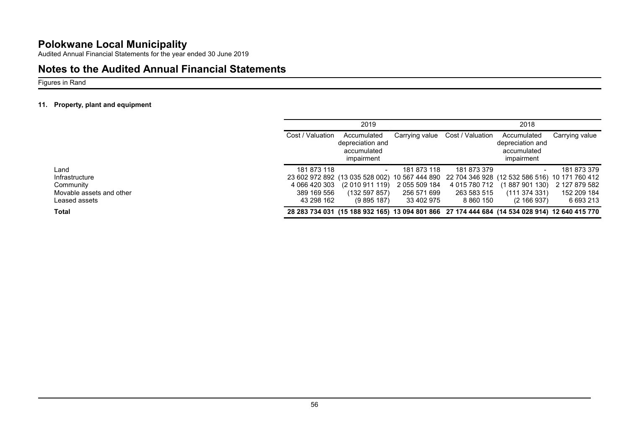Audited Annual Financial Statements for the year ended 30 June 2019

# **Notes to the Audited Annual Financial Statements**

Figures in Rand

### **11. Property, plant and equipment**

|                          |                  | 2019                                                                                          |               | 2018                            |                                                              |                |
|--------------------------|------------------|-----------------------------------------------------------------------------------------------|---------------|---------------------------------|--------------------------------------------------------------|----------------|
|                          | Cost / Valuation | Accumulated<br>depreciation and<br>accumulated<br>impairment                                  |               | Carrying value Cost / Valuation | Accumulated<br>depreciation and<br>accumulated<br>impairment | Carrying value |
| Land                     | 181 873 118      | $\blacksquare$                                                                                | 181 873 118   | 181 873 379                     |                                                              | 181 873 379    |
| Infrastructure           |                  | 23 602 972 892 (13 035 528 002) 10 567 444 890 22 704 346 928 (12 532 586 516) 10 171 760 412 |               |                                 |                                                              |                |
| Community                | 4 066 420 303    | (2010911119)                                                                                  | 2 055 509 184 | 4 015 780 712                   | (1 887 901 130)                                              | 2 127 879 582  |
| Movable assets and other | 389 169 556      | (132597857)                                                                                   | 256 571 699   | 263 583 515                     | (111374331)                                                  | 152 209 184    |
| Leased assets            | 43 298 162       | (9895187)                                                                                     | 33 402 975    | 8 860 150                       | (2 166 937)                                                  | 6 693 213      |
| <b>Total</b>             |                  | 28 283 734 031 (15 188 932 165) 13 094 801 866 27 174 444 684 (14 534 028 914) 12 640 415 770 |               |                                 |                                                              |                |
|                          |                  |                                                                                               |               |                                 |                                                              |                |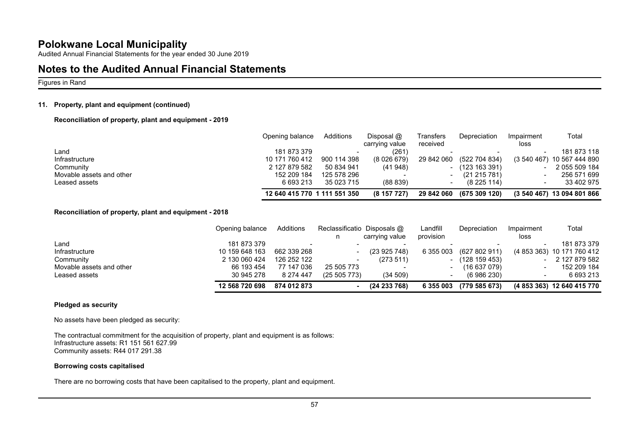Audited Annual Financial Statements for the year ended 30 June 2019

## **Notes to the Audited Annual Financial Statements**

Figures in Rand

### **11. Property, plant and equipment (continued)**

**Reconciliation of property, plant and equipment - 2019**

|                          | Opening balance              | Additions   | Disposal $@$<br>carrying value | Transfers<br>received | Depreciation  | Impairment<br>loss | Total                      |
|--------------------------|------------------------------|-------------|--------------------------------|-----------------------|---------------|--------------------|----------------------------|
| Land                     | 181 873 379                  |             | (261)                          |                       |               | $\qquad \qquad$    | 181 873 118                |
| Infrastructure           | 10 171 760 412               | 900 114 398 | (8026679)                      | 29 842 060            | (522 704 834) |                    | (3 540 467) 10 567 444 890 |
| Community                | 2 127 879 582                | 50 834 941  | (41948)                        |                       | (123 163 391) |                    | 2 055 509 184              |
| Movable assets and other | 152 209 184                  | 125 578 296 |                                | $\blacksquare$        | (21 215 781)  |                    | 256 571 699                |
| Leased assets            | 6 693 213                    | 35 023 715  | (88839)                        | $\blacksquare$        | (8225114)     |                    | 33 402 975                 |
|                          | 12 640 415 770 1 111 551 350 |             | (8157727)                      | 29 842 060            | (675 309 120) |                    | (3 540 467) 13 094 801 866 |

### **Reconciliation of property, plant and equipment - 2018**

|                          | Opening balance | Additions   | Reclassificatio          | Disposals $@$  | Landfill  | <b>Depreciation</b> | Impairment               | Total                      |
|--------------------------|-----------------|-------------|--------------------------|----------------|-----------|---------------------|--------------------------|----------------------------|
|                          |                 |             | n                        | carrying value | provision |                     | loss                     |                            |
| Land                     | 181 873 379     |             |                          |                |           |                     |                          | 181 873 379                |
| Infrastructure           | 10 159 648 163  | 662 339 268 | $\overline{\phantom{a}}$ | (23925748)     | 6 355 003 | (627 802 911)       |                          | (4 853 363) 10 171 760 412 |
| Community                | 2 130 060 424   | 126 252 122 | $\blacksquare$           | (273.511)      |           | (128 159 453)       |                          | 2 127 879 582              |
| Movable assets and other | 66 193 454      | 77 147 036  | 25 505 773               |                |           | (16637079)          |                          | 152 209 184                |
| Leased assets            | 30 945 278      | 8 274 447   | (25505773)               | (34509)        |           | (6986230)           | $\overline{\phantom{0}}$ | 6 693 213                  |
|                          | 12 568 720 698  | 874 012 873 | $\overline{\phantom{a}}$ | (24233768)     | 6 355 003 | (779 585 673)       |                          | (4 853 363) 12 640 415 770 |

### **Pledged as security**

No assets have been pledged as security:

The contractual commitment for the acquisition of property, plant and equipment is as follows: Infrastructure assets: R1 151 561 627.99 Community assets: R44 017 291.38

### **Borrowing costs capitalised**

There are no borrowing costs that have been capitalised to the property, plant and equipment.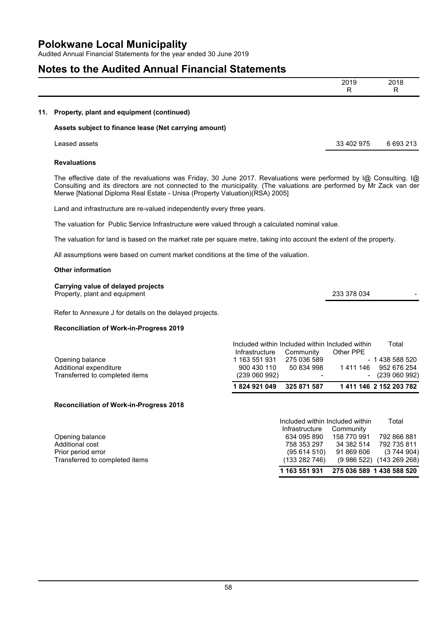Audited Annual Financial Statements for the year ended 30 June 2019

### **Notes to the Audited Annual Financial Statements**

|  | $  -$<br>2019<br>__ | 2018<br>-- - |
|--|---------------------|--------------|
|  |                     | $\sim$       |

### **11. Property, plant and equipment (continued)**

### **Assets subject to finance lease (Net carrying amount)**

### **Revaluations**

The effective date of the revaluations was Friday, 30 June 2017. Revaluations were performed by I@ Consulting. I@ Consulting and its directors are not connected to the municipality. (The valuations are performed by Mr Zack van der Merwe [National Diploma Real Estate - Unisa (Property Valuation)(RSA) 2005]

Land and infrastructure are re-valued independently every three years.

The valuation for Public Service Infrastructure were valued through a calculated nominal value.

The valuation for land is based on the market rate per square metre, taking into account the extent of the property.

All assumptions were based on current market conditions at the time of the valuation.

#### **Other information**

### **Carrying value of delayed projects**

Property, plant and equipment **1** and 233 378 034

Refer to Annexure J for details on the delayed projects.

### **Reconciliation of Work-in-Progress 2019**

|                                | Included within Included within Included within |                             |           | Total                   |
|--------------------------------|-------------------------------------------------|-----------------------------|-----------|-------------------------|
|                                | Infrastructure Community                        |                             | Other PPE |                         |
| Opening balance                | 1 163 551 931                                   | 275 036 589                 |           | $-1438588520$           |
| Additional expenditure         | 900 430 110                                     | 50 834 998                  |           | 1 411 146 952 676 254   |
| Transferred to completed items | (239060992)                                     | <b>Service</b> Construction |           | $-$ (239 060 992)       |
|                                | 1824921049                                      | 325 871 587                 |           | 1 411 146 2 152 203 782 |

### **Reconciliation of Work-in-Progress 2018**

|                                | 1 163 551 931                   |             | 275 036 589 1 438 588 520 |
|--------------------------------|---------------------------------|-------------|---------------------------|
| Transferred to completed items | (133 282 746)                   |             | (9 986 522) (143 269 268) |
| Prior period error             | (95614510)                      | 91 869 606  | (3 744 904)               |
| Additional cost                | 758 353 297                     | 34 382 514  | 792 735 811               |
| Opening balance                | 634 095 890                     | 158 770 991 | 792 866 881               |
|                                | Infrastructure                  | Community   |                           |
|                                | Included within Included within | Total       |                           |

Leased assets 33 402 975 6 693 213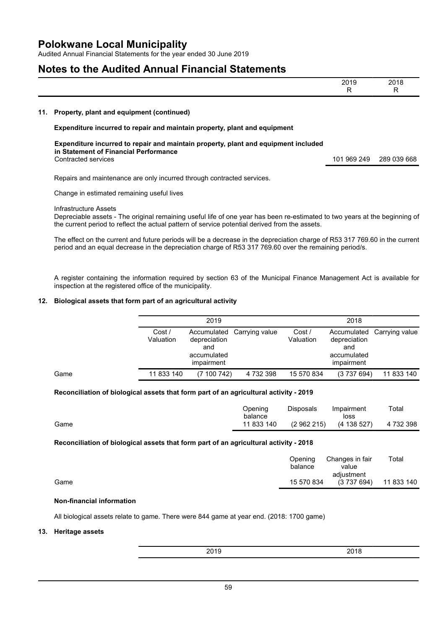Audited Annual Financial Statements for the year ended 30 June 2019

### **Notes to the Audited Annual Financial Statements**

|     |                                                                                                                             | 2019        | 2018        |
|-----|-----------------------------------------------------------------------------------------------------------------------------|-------------|-------------|
|     |                                                                                                                             | R           | R           |
| 11. | Property, plant and equipment (continued)                                                                                   |             |             |
|     | Expenditure incurred to repair and maintain property, plant and equipment                                                   |             |             |
|     | Expenditure incurred to repair and maintain property, plant and equipment included<br>in Statement of Financial Performance |             |             |
|     | Contracted services                                                                                                         | 101 969 249 | 289 039 668 |
|     | Repairs and maintenance are only incurred through contracted services.                                                      |             |             |
|     | Change in estimated remaining useful lives                                                                                  |             |             |
|     | Infrastructure Assets                                                                                                       |             |             |

Depreciable assets - The original remaining useful life of one year has been re-estimated to two years at the beginning of the current period to reflect the actual pattern of service potential derived from the assets.

The effect on the current and future periods will be a decrease in the depreciation charge of R53 317 769.60 in the current period and an equal decrease in the depreciation charge of R53 317 769.60 over the remaining period/s.

A register containing the information required by section 63 of the Municipal Finance Management Act is available for inspection at the registered office of the municipality.

### **12. Biological assets that form part of an agricultural activity**

|      |                     | 2019                                             |                            |                     | 2018                                             |                            |
|------|---------------------|--------------------------------------------------|----------------------------|---------------------|--------------------------------------------------|----------------------------|
|      | Cost /<br>Valuation | depreciation<br>and<br>accumulated<br>impairment | Accumulated Carrying value | Cost /<br>Valuation | depreciation<br>and<br>accumulated<br>impairment | Accumulated Carrying value |
| Game | 11 833 140          | (7 100 742)                                      | 4 732 398                  | 15 570 834          | (3737694)                                        | 11 833 140                 |

### **Reconciliation of biological assets that form part of an agricultural activity - 2019**

|      | Opening | <b>Disposals</b> | Impairment                         | Total     |
|------|---------|------------------|------------------------------------|-----------|
|      | balance |                  | loss                               |           |
| Game |         |                  | 11 833 140 (2 962 215) (4 138 527) | 4 732 398 |

### **Reconciliation of biological assets that form part of an agricultural activity - 2018**

|      | balance    | Opening Changes in fair<br>value | Total      |
|------|------------|----------------------------------|------------|
|      |            | adiustment                       |            |
| Game | 15 570 834 | (3 737 694)                      | 11 833 140 |

### **Non-financial information**

All biological assets relate to game. There were 844 game at year end. (2018: 1700 game)

### **13. Heritage assets**

| 2019<br>--<br>$- \cdot \cdot$ | 0010<br>∼<br>— <u>v</u><br>$ -$ |
|-------------------------------|---------------------------------|
|                               |                                 |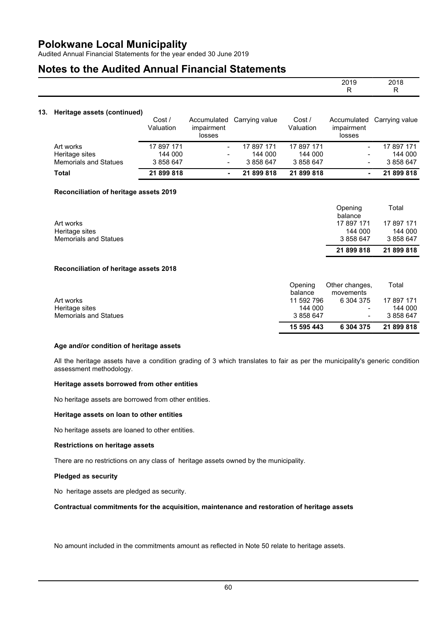Audited Annual Financial Statements for the year ended 30 June 2019

## **Notes to the Audited Annual Financial Statements**

|     |                                                             |                     |                                     |                |                     | 2019<br>R                                     | 2018<br>R                          |
|-----|-------------------------------------------------------------|---------------------|-------------------------------------|----------------|---------------------|-----------------------------------------------|------------------------------------|
| 13. | Heritage assets (continued)                                 | Cost /<br>Valuation | Accumulated<br>impairment<br>losses | Carrying value | Cost /<br>Valuation | Accumulated<br>impairment<br>losses           | Carrying value                     |
|     | Art works                                                   | 17 897 171          | $\overline{\phantom{0}}$            | 17 897 171     | 17 897 171          |                                               | 17 897 171                         |
|     | Heritage sites                                              | 144 000             |                                     | 144 000        | 144 000             |                                               | 144 000                            |
|     | <b>Memorials and Statues</b>                                | 3 858 647           |                                     | 3 858 647      | 3 858 647           |                                               | 3858647                            |
|     | Total                                                       | 21 899 818          | ۰                                   | 21 899 818     | 21 899 818          | ٠.                                            | 21 899 818                         |
|     | Reconciliation of heritage assets 2019                      |                     |                                     |                |                     | Opening                                       | Total                              |
|     | Art works<br>Heritage sites<br><b>Memorials and Statues</b> |                     |                                     |                |                     | balance<br>17 897 171<br>144 000<br>3 858 647 | 17 897 171<br>144 000<br>3 858 647 |
|     |                                                             |                     |                                     |                |                     | 21 899 818                                    | 21 899 818                         |
|     | Reconciliation of heritage assets 2018                      |                     |                                     |                |                     |                                               |                                    |
|     |                                                             |                     |                                     |                | Opening             | Other changes,                                | Total                              |

|                       | 15 595 443     | 6 304 375         | 21 899 818 |
|-----------------------|----------------|-------------------|------------|
| Memorials and Statues | 3858647        | $\blacksquare$    | 3 858 647  |
| Heritage sites        | 144 000        | $\blacksquare$    | 144 000    |
| Art works             | 11 592 796     | 6 304 375         | 17 897 171 |
|                       | balance        | movements         |            |
|                       | <b>OPONING</b> | Uttion origingos, | ινιαι      |

### **Age and/or condition of heritage assets**

All the heritage assets have a condition grading of 3 which translates to fair as per the municipality's generic condition assessment methodology.

### **Heritage assets borrowed from other entities**

No heritage assets are borrowed from other entities.

### **Heritage assets on loan to other entities**

No heritage assets are loaned to other entities.

### **Restrictions on heritage assets**

There are no restrictions on any class of heritage assets owned by the municipality.

### **Pledged as security**

No heritage assets are pledged as security.

### **Contractual commitments for the acquisition, maintenance and restoration of heritage assets**

No amount included in the commitments amount as reflected in Note 50 relate to heritage assets.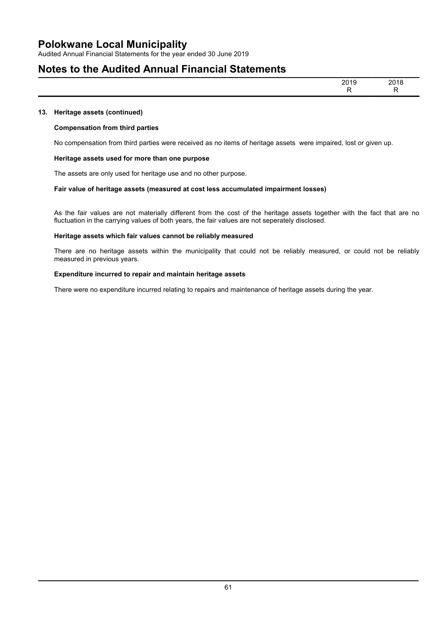Audited Annual Financial Statements for the year ended 30 June 2019

## **Notes to the Audited Annual Financial Statements**

| วกงเ<br>2013 | 2018 |
|--------------|------|
|              | . .  |

### **13. Heritage assets (continued)**

### **Compensation from third parties**

No compensation from third parties were received as no items of heritage assets were impaired, lost or given up.

### **Heritage assets used for more than one purpose**

The assets are only used for heritage use and no other purpose.

### **Fair value of heritage assets (measured at cost less accumulated impairment losses)**

As the fair values are not materially different from the cost of the heritage assets together with the fact that are no fluctuation in the carrying values of both years, the fair values are not seperately disclosed.

### **Heritage assets which fair values cannot be reliably measured**

There are no heritage assets within the municipality that could not be reliably measured, or could not be reliably measured in previous years.

### **Expenditure incurred to repair and maintain heritage assets**

There were no expenditure incurred relating to repairs and maintenance of heritage assets during the year.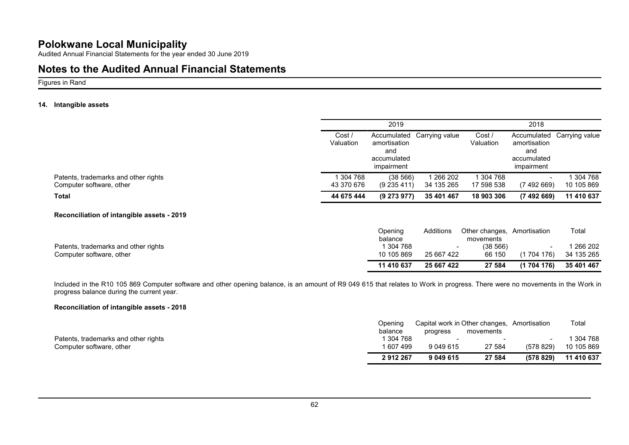Audited Annual Financial Statements for the year ended 30 June 2019

## **Notes to the Audited Annual Financial Statements**

Figures in Rand

### **14. Intangible assets**

|                                      |                     | 2019                                                                           |            |                     | 2018                                                            |                |
|--------------------------------------|---------------------|--------------------------------------------------------------------------------|------------|---------------------|-----------------------------------------------------------------|----------------|
|                                      | Cost /<br>Valuation | Accumulated Carrying value<br>amortisation<br>and<br>accumulated<br>impairment |            | Cost /<br>Valuation | Accumulated<br>amortisation<br>and<br>accumulated<br>impairment | Carrying value |
| Patents, trademarks and other rights | 1 304 768           | (38 566)                                                                       | 1 266 202  | 1 304 768           |                                                                 | 304 768        |
|                                      | 43 370 676          | (9235411)                                                                      | 34 135 265 | 17 598 538          | (7492669)                                                       | 10 105 869     |
|                                      | 44 675 444          | (9 273 977)                                                                    | 35 401 467 | 18 903 306          | (7492669)                                                       | 11 410 637     |

#### **Reconciliation of intangible assets - 2019**

|                                      | Opening    | Additions  | Other changes, | Amortisation | Total      |
|--------------------------------------|------------|------------|----------------|--------------|------------|
|                                      | balance    |            | movements      |              |            |
| Patents, trademarks and other rights | 1 304 768  |            | (38, 566)      |              | 266 202    |
| Computer software, other             | 10 105 869 | 25 667 422 | 66 150         | (1 704 176)  | 34 135 265 |
|                                      | 11 410 637 | 25 667 422 | 27 584         | (1 704 176)  | 35 401 467 |

Included in the R10 105 869 Computer software and other opening balance, is an amount of R9 049 615 that relates to Work in progress. There were no movements in the Work in progress balance during the current year.

### **Reconciliation of intangible assets - 2018**

|                                      | Openina   | Capital work in Other changes, Amortisation |           |          | Total      |
|--------------------------------------|-----------|---------------------------------------------|-----------|----------|------------|
|                                      | balance   | progress                                    | movements |          |            |
| Patents, trademarks and other rights | 1 304 768 |                                             |           |          | 304 768    |
| Computer software, other             | 1 607 499 | 9 049 615                                   | 27 584    | (578829) | 10 105 869 |
|                                      | 2912267   | 9 049 615                                   | 27 584    | (578829) | 11 410 637 |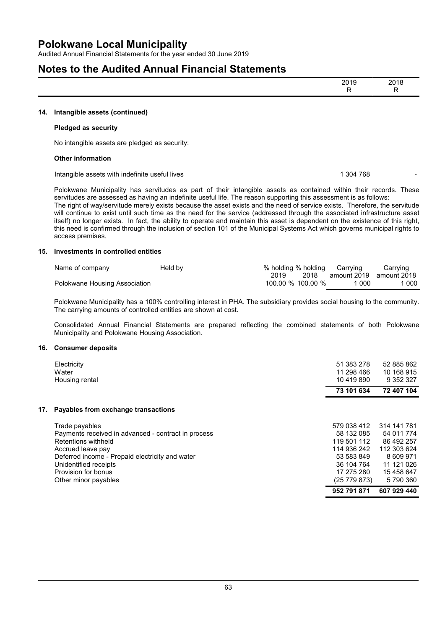Audited Annual Financial Statements for the year ended 30 June 2019

## **Notes to the Audited Annual Financial Statements**

#### **14. Intangible assets (continued)**

#### **Pledged as security**

No intangible assets are pledged as security:

#### **Other information**

Intangible assets with indefinite useful lives 1 304 768 - 1 304 768 - 1 304 768 - 1 304 768 - 1 304 768 - 1 304 768 - 1 304 768 - 1 304 768 - 1 304 768 - 1 304 768 - 1 304 768 - 1 304 768 - 1 304 768 - 1 304 768 - 1 304 7

Polokwane Municipality has servitudes as part of their intangible assets as contained within their records. These servitudes are assessed as having an indefinite useful life. The reason supporting this assessment is as follows: The right of way/servitude merely exists because the asset exists and the need of service exists. Therefore, the servitude will continue to exist until such time as the need for the service (addressed through the associated infrastructure asset itself) no longer exists. In fact, the ability to operate and maintain this asset is dependent on the existence of this right, this need is confirmed through the inclusion of section 101 of the Municipal Systems Act which governs municipal rights to access premises.

### **15. Investments in controlled entities**

| Name of company               | Held by |      |                   | % holding % holding Carrying | Carrying |
|-------------------------------|---------|------|-------------------|------------------------------|----------|
|                               |         | 2019 | 2018              | amount 2019 amount 2018      |          |
| Polokwane Housing Association |         |      | 100.00 % 100.00 % | 1 000                        | 1000     |

Polokwane Municipality has a 100% controlling interest in PHA. The subsidiary provides social housing to the community. The carrying amounts of controlled entities are shown at cost.

Consolidated Annual Financial Statements are prepared reflecting the combined statements of both Polokwane Municipality and Polokwane Housing Association.

### **16. Consumer deposits**

|     | Electricity<br>Water<br>Housing rental              | 51 383 278<br>11 298 466<br>10 419 890 | 52 885 862<br>10 168 915<br>9 352 327 |
|-----|-----------------------------------------------------|----------------------------------------|---------------------------------------|
|     |                                                     | 73 101 634                             | 72 407 104                            |
| 17. | Payables from exchange transactions                 |                                        |                                       |
|     | Trade payables                                      | 579 038 412                            | 314 141 781                           |
|     | Payments received in advanced - contract in process | 58 132 085                             | 54 011 774                            |
|     | Retentions withheld                                 | 119 501 112                            | 86 492 257                            |
|     | Accrued leave pay                                   | 114 936 242                            | 112 303 624                           |
|     | Deferred income - Prepaid electricity and water     | 53 583 849                             | 8 609 971                             |
|     | Unidentified receipts                               | 36 104 764                             | 11 121 026                            |
|     | Provision for bonus                                 | 17 275 280                             | 15 458 647                            |
|     | Other minor payables                                | (25779873)                             | 5790360                               |
|     |                                                     | 952 791 871                            | 607 929 440                           |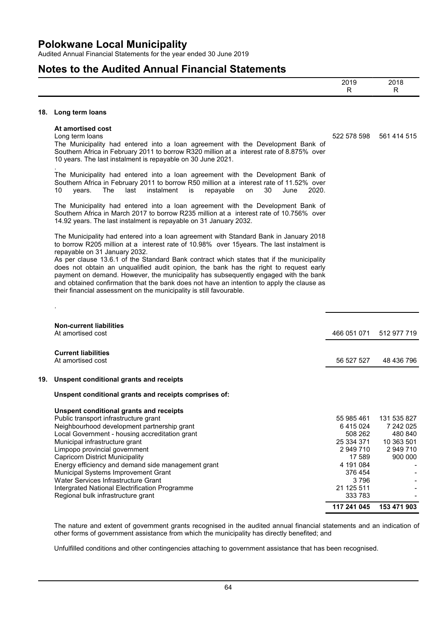Audited Annual Financial Statements for the year ended 30 June 2019

## **Notes to the Audited Annual Financial Statements**

| <b>0011</b><br>∠∪<br>- | 2018<br>− |
|------------------------|-----------|
|                        |           |

522 578 598 561 414 515

#### **18. Long term loans**

.

### **At amortised cost**

Long term loans The Municipality had entered into a loan agreement with the Development Bank of Southern Africa in February 2011 to borrow R320 million at a interest rate of 8.875% over 10 years. The last instalment is repayable on 30 June 2021.

. The Municipality had entered into a loan agreement with the Development Bank of Southern Africa in February 2011 to borrow R50 million at a interest rate of 11.52% over 10 years. The last instalment is repayable on 30 June 2020.

The Municipality had entered into a loan agreement with the Development Bank of Southern Africa in March 2017 to borrow R235 million at a interest rate of 10.756% over 14.92 years. The last instalment is repayable on 31 January 2032.

The Municipality had entered into a loan agreement with Standard Bank in January 2018 to borrow R205 million at a interest rate of 10.98% over 15years. The last instalment is repayable on 31 January 2032.

As per clause 13.6.1 of the Standard Bank contract which states that if the municipality does not obtain an unqualified audit opinion, the bank has the right to request early payment on demand. However, the municipality has subsequently engaged with the bank and obtained confirmation that the bank does not have an intention to apply the clause as their financial assessment on the municipality is still favourable.

|     | <b>Non-current liabilities</b><br>At amortised cost   | 466 051 071 | 512 977 719 |
|-----|-------------------------------------------------------|-------------|-------------|
|     | <b>Current liabilities</b>                            |             |             |
|     | At amortised cost                                     | 56 527 527  | 48 436 796  |
| 19. | Unspent conditional grants and receipts               |             |             |
|     | Unspent conditional grants and receipts comprises of: |             |             |
|     | Unspent conditional grants and receipts               |             |             |
|     | Public transport infrastructure grant                 | 55 985 461  | 131 535 827 |
|     | Neighbourhood development partnership grant           | 6 415 024   | 7 242 025   |
|     | Local Government - housing accreditation grant        | 508 262     | 480 840     |
|     | Municipal infrastructure grant                        | 25 334 371  | 10 363 501  |
|     | Limpopo provincial government                         | 2 949 710   | 2 949 710   |
|     | <b>Capricorn District Municipality</b>                | 17 589      | 900 000     |
|     | Energy efficiency and demand side management grant    | 4 191 084   |             |
|     | Municipal Systems Improvement Grant                   | 376 454     |             |
|     | Water Services Infrastructure Grant                   | 3 7 9 6     |             |
|     | Intergrated National Electrification Programme        | 21 125 511  |             |
|     | Regional bulk infrastructure grant                    | 333 783     |             |
|     |                                                       | 117 241 045 | 153 471 903 |

The nature and extent of government grants recognised in the audited annual financial statements and an indication of other forms of government assistance from which the municipality has directly benefited; and

Unfulfilled conditions and other contingencies attaching to government assistance that has been recognised.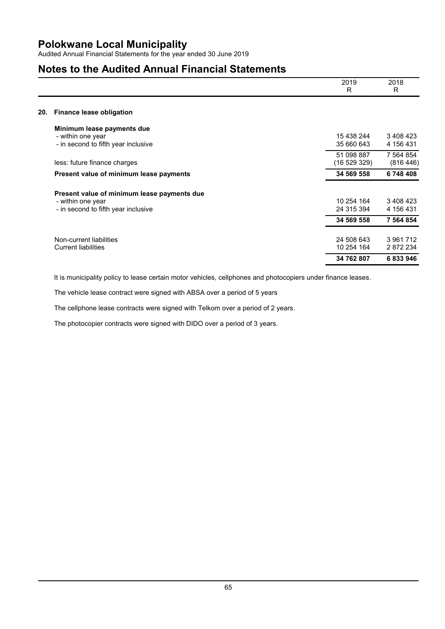Audited Annual Financial Statements for the year ended 30 June 2019

## **Notes to the Audited Annual Financial Statements**

|     |                                             | 2019<br>R  | 2018<br>R     |
|-----|---------------------------------------------|------------|---------------|
| 20. | <b>Finance lease obligation</b>             |            |               |
|     | Minimum lease payments due                  |            |               |
|     | - within one year                           | 15 438 244 | 3 408 423     |
|     | - in second to fifth year inclusive         | 35 660 643 | 4 156 431     |
|     |                                             | 51 098 887 | 7 5 6 4 8 5 4 |
|     | less: future finance charges                | (16529329) | (816446)      |
|     | Present value of minimum lease payments     | 34 569 558 | 6748408       |
|     | Present value of minimum lease payments due |            |               |
|     | - within one year                           | 10 254 164 | 3 408 423     |
|     | - in second to fifth year inclusive         | 24 315 394 | 4 156 431     |
|     |                                             | 34 569 558 | 7 5 64 8 54   |
|     | Non-current liabilities                     | 24 508 643 | 3 961 712     |
|     | <b>Current liabilities</b>                  | 10 254 164 | 2872234       |
|     |                                             | 34 762 807 | 6833946       |

It is municipality policy to lease certain motor vehicles, cellphones and photocopiers under finance leases.

The vehicle lease contract were signed with ABSA over a period of 5 years

The cellphone lease contracts were signed with Telkom over a period of 2 years.

The photocopier contracts were signed with DIDO over a period of 3 years.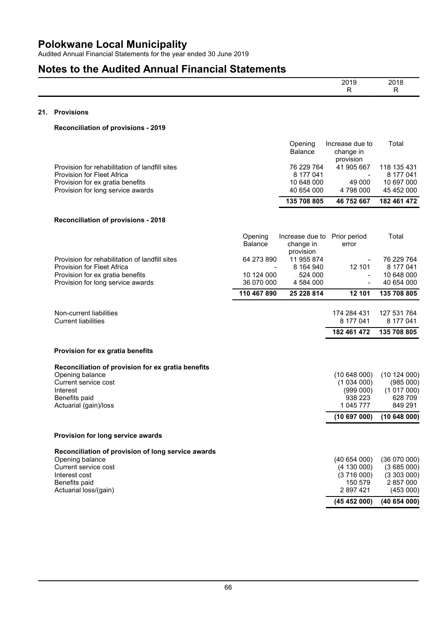Audited Annual Financial Statements for the year ended 30 June 2019

# **Notes to the Audited Annual Financial Statements**

|  | . .<br>н<br>– ∪<br>__ | ∩∩⊿ |
|--|-----------------------|-----|
|  |                       | _   |

### **21. Provisions**

### **Reconciliation of provisions - 2019**

|                                                | Opening<br>Balance | Increase due to<br>change in<br>provision | Total       |
|------------------------------------------------|--------------------|-------------------------------------------|-------------|
| Provision for rehabilitation of landfill sites | 76 229 764         | 41 905 667                                | 118 135 431 |
| <b>Provision for Fleet Africa</b>              | 8 177 041          | $\blacksquare$                            | 8 177 041   |
| Provision for ex gratia benefits               | 10 648 000         | 49 000                                    | 10 697 000  |
| Provision for long service awards              | 40 654 000         | 4 798 000                                 | 45 452 000  |
|                                                | 135 708 805        | 46 752 667                                | 182 461 472 |

### **Reconciliation of provisions - 2018**

|                                                                       | Opening        | Increase due to      | Prior period         | Total                   |
|-----------------------------------------------------------------------|----------------|----------------------|----------------------|-------------------------|
|                                                                       | <b>Balance</b> | change in            | error                |                         |
|                                                                       |                | provision            |                      |                         |
| Provision for rehabilitation of landfill sites                        | 64 273 890     | 11 955 874           |                      | 76 229 764              |
| <b>Provision for Fleet Africa</b>                                     | 10 124 000     | 8 164 940<br>524 000 | 12 101               | 8 177 041<br>10 648 000 |
| Provision for ex gratia benefits<br>Provision for long service awards | 36 070 000     | 4 584 000            |                      | 40 654 000              |
|                                                                       | 110 467 890    | 25 228 814           | 12 101               | 135 708 805             |
| Non-current liabilities                                               |                |                      | 174 284 431          | 127 531 764             |
| <b>Current liabilities</b>                                            |                |                      | 8 177 041            | 8 177 041               |
|                                                                       |                |                      | 182 461 472          | 135 708 805             |
| Provision for ex gratia benefits                                      |                |                      |                      |                         |
| Reconciliation of provision for ex gratia benefits                    |                |                      |                      |                         |
| Opening balance                                                       |                |                      | (10648000)           | (10124000)              |
| Current service cost                                                  |                |                      | (1034000)            | (985000)                |
| Interest                                                              |                |                      | (999 000)            | (1017000)               |
| Benefits paid                                                         |                |                      | 938 223<br>1 045 777 | 628 709<br>849 291      |
| Actuarial (gain)/loss                                                 |                |                      |                      |                         |
|                                                                       |                |                      | (10697000)           | (10648000)              |
| Provision for long service awards                                     |                |                      |                      |                         |
| Reconciliation of provision of long service awards                    |                |                      |                      |                         |
| Opening balance                                                       |                |                      | (40654000)           | (36070000)              |
| Current service cost                                                  |                |                      | (4 130 000)          | (3685000)               |
| Interest cost                                                         |                |                      | (3716000)            | (3303000)               |
| Benefits paid<br>Actuarial loss/(gain)                                |                |                      | 150 579<br>2897421   | 2 857 000<br>(453000)   |
|                                                                       |                |                      | (45 452 000)         | (40654000)              |
|                                                                       |                |                      |                      |                         |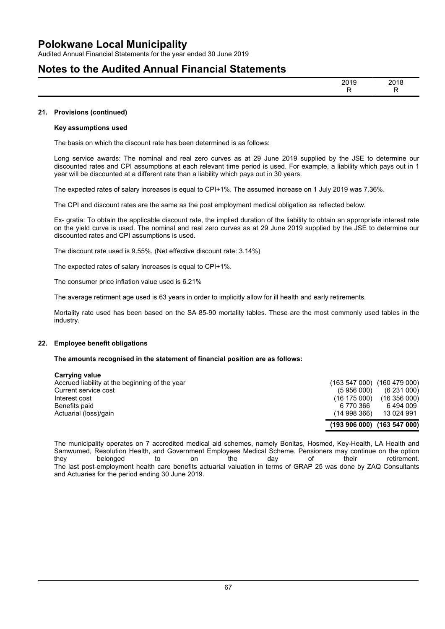Audited Annual Financial Statements for the year ended 30 June 2019

## **Notes to the Audited Annual Financial Statements**

|  | -- |  |
|--|----|--|
|  |    |  |

### **21. Provisions (continued)**

### **Key assumptions used**

The basis on which the discount rate has been determined is as follows:

Long service awards: The nominal and real zero curves as at 29 June 2019 supplied by the JSE to determine our discounted rates and CPI assumptions at each relevant time period is used. For example, a liability which pays out in 1 year will be discounted at a different rate than a liability which pays out in 30 years.

The expected rates of salary increases is equal to CPI+1%. The assumed increase on 1 July 2019 was 7.36%.

The CPI and discount rates are the same as the post employment medical obligation as reflected below.

Ex- gratia: To obtain the applicable discount rate, the implied duration of the liability to obtain an appropriate interest rate on the yield curve is used. The nominal and real zero curves as at 29 June 2019 supplied by the JSE to determine our discounted rates and CPI assumptions is used.

The discount rate used is 9.55%. (Net effective discount rate: 3.14%)

The expected rates of salary increases is equal to CPI+1%.

The consumer price inflation value used is 6.21%

The average retirment age used is 63 years in order to implicitly allow for ill health and early retirements.

Mortality rate used has been based on the SA 85-90 mortality tables. These are the most commonly used tables in the industry.

### **22. Employee benefit obligations**

### **The amounts recognised in the statement of financial position are as follows:**

| Carrying value                                 |            |                             |
|------------------------------------------------|------------|-----------------------------|
| Accrued liability at the beginning of the year |            | (163 547 000) (160 479 000) |
| Current service cost                           | (5956000)  | (6231000)                   |
| Interest cost                                  | (16175000) | (16356000)                  |
| Benefits paid                                  | 6 770 366  | 6 494 009                   |
| Actuarial (loss)/gain                          | (14998366) | 13 024 991                  |
|                                                |            | $(193906000)$ $(163547000)$ |

The municipality operates on 7 accredited medical aid schemes, namely Bonitas, Hosmed, Key-Health, LA Health and Samwumed, Resolution Health, and Government Employees Medical Scheme. Pensioners may continue on the option they belonged to on the day of their retirement. The last post-employment health care benefits actuarial valuation in terms of GRAP 25 was done by ZAQ Consultants and Actuaries for the period ending 30 June 2019.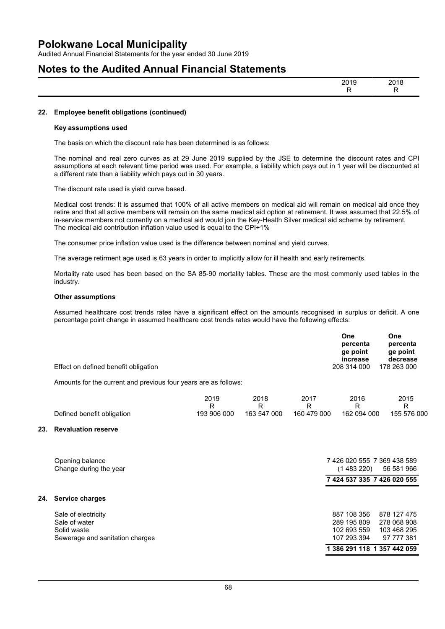Audited Annual Financial Statements for the year ended 30 June 2019

### **Notes to the Audited Annual Financial Statements**

| 0010 | 2018<br>$ \cdot$ $\cdot$ |  |
|------|--------------------------|--|
|      | $\cdot$ .                |  |

### **22. Employee benefit obligations (continued)**

### **Key assumptions used**

The basis on which the discount rate has been determined is as follows:

The nominal and real zero curves as at 29 June 2019 supplied by the JSE to determine the discount rates and CPI assumptions at each relevant time period was used. For example, a liability which pays out in 1 year will be discounted at a different rate than a liability which pays out in 30 years.

The discount rate used is yield curve based.

Medical cost trends: It is assumed that 100% of all active members on medical aid will remain on medical aid once they retire and that all active members will remain on the same medical aid option at retirement. It was assumed that 22.5% of in-service members not currently on a medical aid would join the Key-Health Silver medical aid scheme by retirement. The medical aid contribution inflation value used is equal to the CPI+1%

The consumer price inflation value used is the difference between nominal and yield curves.

The average retirment age used is 63 years in order to implicitly allow for ill health and early retirements.

Mortality rate used has been based on the SA 85-90 mortality tables. These are the most commonly used tables in the industry.

#### **Other assumptions**

Assumed healthcare cost trends rates have a significant effect on the amounts recognised in surplus or deficit. A one percentage point change in assumed healthcare cost trends rates would have the following effects:

|     | Effect on defined benefit obligation                                                   |                          |                          |                          | One<br>percenta<br>ge point<br>increase<br>208 314 000                                  | One<br>percenta<br>ge point<br>decrease<br>178 263 000  |
|-----|----------------------------------------------------------------------------------------|--------------------------|--------------------------|--------------------------|-----------------------------------------------------------------------------------------|---------------------------------------------------------|
|     | Amounts for the current and previous four years are as follows:                        |                          |                          |                          |                                                                                         |                                                         |
|     | Defined benefit obligation                                                             | 2019<br>R<br>193 906 000 | 2018<br>R<br>163 547 000 | 2017<br>R<br>160 479 000 | 2016<br>R<br>162 094 000                                                                | 2015<br>R<br>155 576 000                                |
| 23. | <b>Revaluation reserve</b>                                                             |                          |                          |                          |                                                                                         |                                                         |
|     | Opening balance<br>Change during the year                                              |                          |                          |                          | 7 426 020 555 7 369 438 589<br>(1483220)<br>7 424 537 335 7 426 020 555                 | 56 581 966                                              |
| 24. | Service charges                                                                        |                          |                          |                          |                                                                                         |                                                         |
|     | Sale of electricity<br>Sale of water<br>Solid waste<br>Sewerage and sanitation charges |                          |                          |                          | 887 108 356<br>289 195 809<br>102 693 559<br>107 293 394<br>1 386 291 118 1 357 442 059 | 878 127 475<br>278 068 908<br>103 468 295<br>97 777 381 |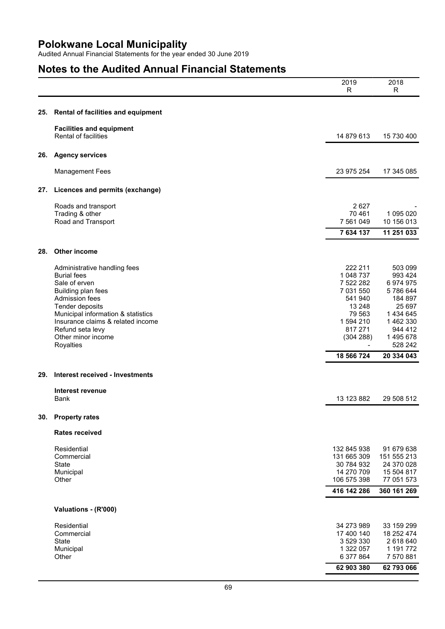Audited Annual Financial Statements for the year ended 30 June 2019

# **Notes to the Audited Annual Financial Statements**

|     |                                        | 2019<br>R                  | 2018<br>R                 |
|-----|----------------------------------------|----------------------------|---------------------------|
| 25. | Rental of facilities and equipment     |                            |                           |
|     | <b>Facilities and equipment</b>        |                            |                           |
|     | Rental of facilities                   | 14 879 613                 | 15 730 400                |
| 26. | <b>Agency services</b>                 |                            |                           |
|     | <b>Management Fees</b>                 | 23 975 254                 | 17 345 085                |
| 27. | Licences and permits (exchange)        |                            |                           |
|     | Roads and transport                    | 2627                       |                           |
|     | Trading & other<br>Road and Transport  | 70 461<br>7 561 049        | 1 095 020<br>10 156 013   |
|     |                                        | 7 634 137                  | 11 251 033                |
| 28. | <b>Other income</b>                    |                            |                           |
|     | Administrative handling fees           | 222 211                    | 503 099                   |
|     | <b>Burial fees</b><br>Sale of erven    | 1 048 737<br>7 522 282     | 993 424<br>6974975        |
|     | Building plan fees                     | 7 031 550                  | 5786644                   |
|     | Admission fees<br>Tender deposits      | 541 940<br>13 248          | 184 897<br>25 697         |
|     | Municipal information & statistics     | 79 563                     | 1 434 645                 |
|     | Insurance claims & related income      | 1 594 210                  | 1462330                   |
|     | Refund seta levy<br>Other minor income | 817 271<br>(304 288)       | 944 412<br>1495678        |
|     | Royalties                              |                            | 528 242                   |
|     |                                        | 18 566 724                 | 20 334 043                |
| 29. | Interest received - Investments        |                            |                           |
|     | Interest revenue                       |                            |                           |
|     | Bank                                   | 13 123 882                 | 29 508 512                |
| 30. | <b>Property rates</b>                  |                            |                           |
|     | <b>Rates received</b>                  |                            |                           |
|     | Residential                            | 132 845 938                | 91 679 638                |
|     | Commercial<br><b>State</b>             | 131 665 309<br>30 784 932  | 151 555 213<br>24 370 028 |
|     | Municipal                              | 14 270 709                 | 15 504 817                |
|     | Other                                  | 106 575 398<br>416 142 286 | 77 051 573<br>360 161 269 |
|     |                                        |                            |                           |
|     | Valuations - (R'000)                   |                            |                           |
|     | Residential                            | 34 273 989                 | 33 159 299                |
|     | Commercial<br><b>State</b>             | 17 400 140<br>3 529 330    | 18 252 474<br>2618640     |
|     | Municipal                              | 1 322 057                  | 1 191 772                 |
|     | Other                                  | 6 377 864                  | 7 570 881                 |
|     |                                        | 62 903 380                 | 62 793 066                |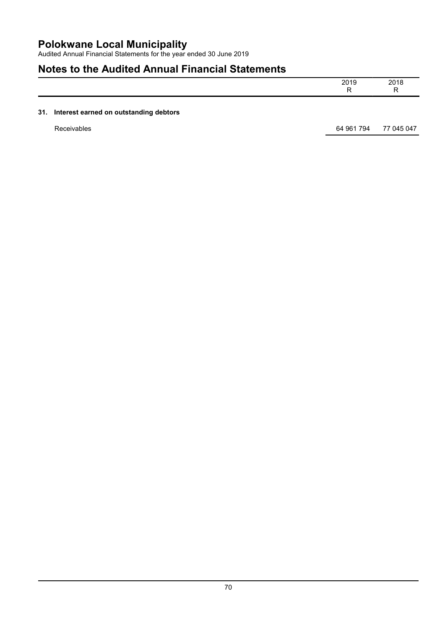Audited Annual Financial Statements for the year ended 30 June 2019

# **Notes to the Audited Annual Financial Statements**

### **31. Interest earned on outstanding debtors**

Receivables 64 961 794 77 045 047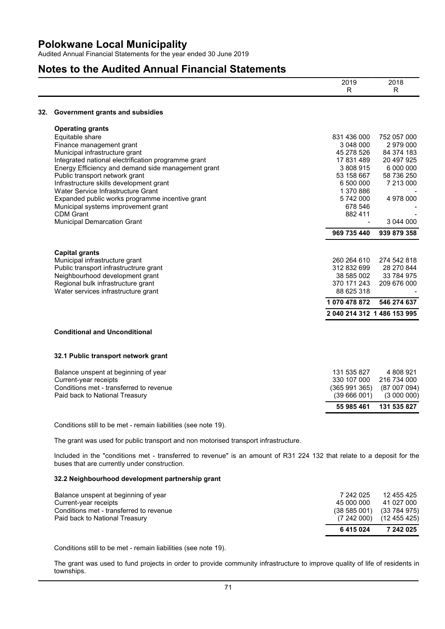Audited Annual Financial Statements for the year ended 30 June 2019

## **Notes to the Audited Annual Financial Statements**

|     |                                                     | 2019                        | 2018        |
|-----|-----------------------------------------------------|-----------------------------|-------------|
|     |                                                     | R.                          | R.          |
| 32. | Government grants and subsidies                     |                             |             |
|     | <b>Operating grants</b>                             |                             |             |
|     | Equitable share                                     | 831 436 000                 | 752 057 000 |
|     | Finance management grant                            | 3 048 000                   | 2979000     |
|     | Municipal infrastructure grant                      | 45 278 526                  | 84 374 183  |
|     | Integrated national electrification programme grant | 17 831 489                  | 20 497 925  |
|     | Energy Efficiency and demand side management grant  | 3 808 915                   | 6 000 000   |
|     | Public transport network grant                      | 53 158 667                  | 58 736 250  |
|     | Infrastructure skills development grant             | 6 500 000                   | 7 213 000   |
|     | Water Service Infrastructure Grant                  | 1 370 886                   |             |
|     | Expanded public works programme incentive grant     | 5 742 000                   | 4 978 000   |
|     | Municipal systems improvement grant                 | 678 546                     |             |
|     | <b>CDM Grant</b>                                    | 882 411                     |             |
|     | <b>Municipal Demarcation Grant</b>                  |                             | 3 044 000   |
|     |                                                     | 969 735 440                 | 939 879 358 |
|     | <b>Capital grants</b>                               |                             |             |
|     | Municipal infrastructure grant                      | 260 264 610                 | 274 542 818 |
|     | Public transport infrastructrure grant              | 312 832 699                 | 28 270 844  |
|     | Neighbourhood development grant                     | 38 585 002                  | 33 784 975  |
|     | Regional bulk infrastructure grant                  | 370 171 243                 | 209 676 000 |
|     | Water services infrastructure grant                 | 88 625 318                  |             |
|     |                                                     | 1 070 478 872               | 546 274 637 |
|     |                                                     | 2 040 214 312 1 486 153 995 |             |
|     | <b>Conditional and Unconditional</b>                |                             |             |
|     |                                                     |                             |             |
|     | 32.1 Public transport network grant                 |                             |             |
|     | Balance unspent at beginning of year                | 131 535 827                 | 4 808 921   |
|     | Current-year receipts                               | 330 107 000                 | 216 734 000 |
|     | Conditions met - transferred to revenue             | (365991365)                 | (87007094)  |
|     | Paid back to National Treasury                      | (39666001)                  | (3000000)   |
|     |                                                     | 55 985 461                  | 131 535 827 |

Conditions still to be met - remain liabilities (see note 19).

The grant was used for public transport and non motorised transport infrastructure.

Included in the "conditions met - transferred to revenue" is an amount of R31 224 132 that relate to a deposit for the buses that are currently under construction.

### **32.2 Neighbourhood development partnership grant**

|            | $(7242000)$ $(12455425)$  |
|------------|---------------------------|
|            |                           |
|            |                           |
| 45 000 000 | 41 027 000                |
| 7 242 025  | 12 455 425                |
|            | $(38585001)$ $(33784975)$ |

Conditions still to be met - remain liabilities (see note 19).

The grant was used to fund projects in order to provide community infrastructure to improve quality of life of residents in townships.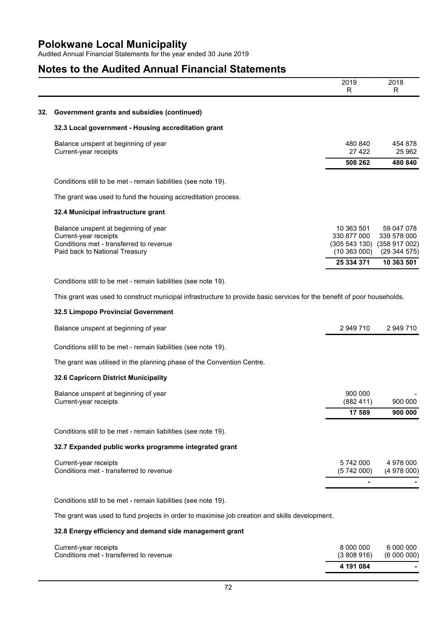Audited Annual Financial Statements for the year ended 30 June 2019

# **Notes to the Audited Annual Financial Statements**

|     |                                                                                                                                            | 2019<br>R.                              | 2018<br>R                                                              |
|-----|--------------------------------------------------------------------------------------------------------------------------------------------|-----------------------------------------|------------------------------------------------------------------------|
| 32. | Government grants and subsidies (continued)                                                                                                |                                         |                                                                        |
|     | 32.3 Local government - Housing accreditation grant                                                                                        |                                         |                                                                        |
|     | Balance unspent at beginning of year<br>Current-year receipts                                                                              | 480 840<br>27 422                       | 454 878<br>25 962                                                      |
|     |                                                                                                                                            | 508 262                                 | 480 840                                                                |
|     | Conditions still to be met - remain liabilities (see note 19).                                                                             |                                         |                                                                        |
|     | The grant was used to fund the housing accreditation process.                                                                              |                                         |                                                                        |
|     | 32.4 Municipal infrastructure grant                                                                                                        |                                         |                                                                        |
|     | Balance unspent at beginning of year<br>Current-year receipts<br>Conditions met - transferred to revenue<br>Paid back to National Treasury | 10 363 501<br>330 877 000<br>(10363000) | 59 047 078<br>339 578 000<br>(305 543 130) (358 917 002)<br>(29344575) |
|     |                                                                                                                                            | 25 334 371                              | 10 363 501                                                             |
|     | Conditions still to be met - remain liabilities (see note 19).                                                                             |                                         |                                                                        |
|     | This grant was used to construct municipal infrastructure to provide basic services for the benefit of poor households.                    |                                         |                                                                        |
|     | 32.5 Limpopo Provincial Government                                                                                                         |                                         |                                                                        |
|     | Balance unspent at beginning of year                                                                                                       | 2 949 710                               | 2949710                                                                |
|     | Conditions still to be met - remain liabilities (see note 19).                                                                             |                                         |                                                                        |
|     | The grant was utilised in the planning phase of the Convention Centre.                                                                     |                                         |                                                                        |
|     | 32.6 Capricorn District Municipality                                                                                                       |                                         |                                                                        |
|     | Balance unspent at beginning of year<br>Current-year receipts                                                                              | 900 000<br>(882411)                     | 900 000                                                                |
|     |                                                                                                                                            | 17 589                                  | 900 000                                                                |
|     | Conditions still to be met - remain liabilities (see note 19).                                                                             |                                         |                                                                        |
|     | 32.7 Expanded public works programme integrated grant                                                                                      |                                         |                                                                        |
|     | Current-year receipts<br>Conditions met - transferred to revenue                                                                           | 5742000<br>(5742000)                    | 4 978 000<br>(4978000)                                                 |
|     |                                                                                                                                            |                                         |                                                                        |
|     | Conditions still to be met - remain liabilities (see note 19).                                                                             |                                         |                                                                        |

The grant was used to fund projects in order to maximise job creation and skills development.

### **32.8 Energy efficiency and demand side management grant**

|                                         | 4 191 084   | -           |
|-----------------------------------------|-------------|-------------|
|                                         |             |             |
| Conditions met - transferred to revenue | (3 808 916) | (6 000 000) |
| Current-year receipts                   | 8 000 000   | 6 000 000   |
|                                         |             |             |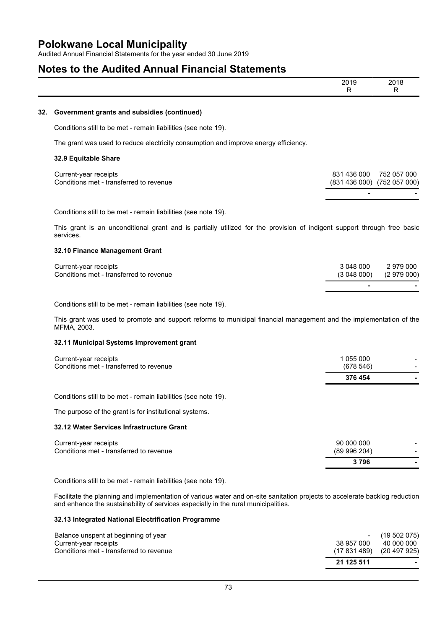Audited Annual Financial Statements for the year ended 30 June 2019

## **Notes to the Audited Annual Financial Statements**

|     |                                                                                                                                      | 2019<br>R                | 2018<br>R                                  |
|-----|--------------------------------------------------------------------------------------------------------------------------------------|--------------------------|--------------------------------------------|
| 32. | Government grants and subsidies (continued)                                                                                          |                          |                                            |
|     | Conditions still to be met - remain liabilities (see note 19).                                                                       |                          |                                            |
|     | The grant was used to reduce electricity consumption and improve energy efficiency.                                                  |                          |                                            |
|     | 32.9 Equitable Share                                                                                                                 |                          |                                            |
|     | Current-year receipts<br>Conditions met - transferred to revenue                                                                     | 831 436 000              | 752 057 000<br>(831 436 000) (752 057 000) |
|     | Conditions still to be met - remain liabilities (see note 19).                                                                       |                          |                                            |
|     | This grant is an unconditional grant and is partially utilized for the provision of indigent support through free basic<br>services. |                          |                                            |
|     | 32.10 Finance Management Grant                                                                                                       |                          |                                            |
|     | Current-year receipts<br>Conditions met - transferred to revenue                                                                     | 3 048 000<br>(3048000)   | 2979000<br>(2979000)                       |
|     | Conditions still to be met - remain liabilities (see note 19).                                                                       |                          |                                            |
|     | This grant was used to promote and support reforms to municipal financial management and the implementation of the<br>MFMA, 2003.    |                          |                                            |
|     | 32.11 Municipal Systems Improvement grant                                                                                            |                          |                                            |
|     | Current-year receipts<br>Conditions met - transferred to revenue                                                                     | 1 055 000<br>(678546)    |                                            |
|     |                                                                                                                                      | 376 454                  |                                            |
|     | Conditions still to be met - remain liabilities (see note 19).                                                                       |                          |                                            |
|     | The purpose of the grant is for institutional systems.                                                                               |                          |                                            |
|     | 32.12 Water Services Infrastructure Grant                                                                                            |                          |                                            |
|     | Current-year receipts<br>Conditions met - transferred to revenue                                                                     | 90 000 000<br>(89996204) |                                            |

Conditions still to be met - remain liabilities (see note 19).

Facilitate the planning and implementation of various water and on-site sanitation projects to accelerate backlog reduction and enhance the sustainability of services especially in the rural municipalities.

**3 796 -**

### **32.13 Integrated National Electrification Programme**

|                                         | 21 125 511 | $\sim$                    |
|-----------------------------------------|------------|---------------------------|
| Conditions met - transferred to revenue |            | $(17831489)$ $(20497925)$ |
| Current-year receipts                   | 38 957 000 | 40 000 000                |
| Balance unspent at beginning of year    |            | $-$ (19 502 075)          |
|                                         |            |                           |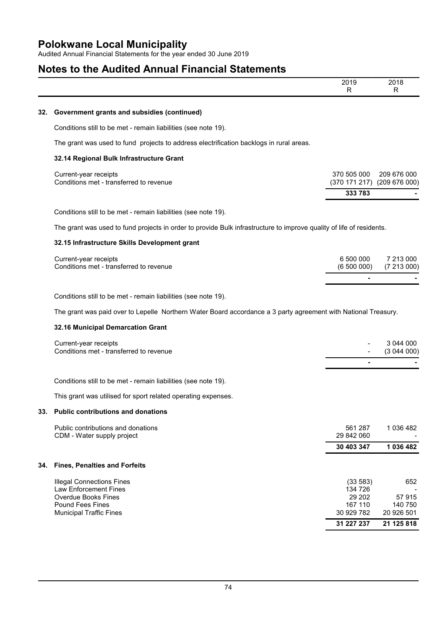Audited Annual Financial Statements for the year ended 30 June 2019

|     |                                                                                                                      | 2019<br>R                                 | 2018<br>R                                  |
|-----|----------------------------------------------------------------------------------------------------------------------|-------------------------------------------|--------------------------------------------|
| 32. | Government grants and subsidies (continued)                                                                          |                                           |                                            |
|     | Conditions still to be met - remain liabilities (see note 19).                                                       |                                           |                                            |
|     | The grant was used to fund projects to address electrification backlogs in rural areas.                              |                                           |                                            |
|     | 32.14 Regional Bulk Infrastructure Grant                                                                             |                                           |                                            |
|     | Current-year receipts<br>Conditions met - transferred to revenue                                                     | 370 505 000                               | 209 676 000<br>(370 171 217) (209 676 000) |
|     |                                                                                                                      | 333 783                                   |                                            |
|     | Conditions still to be met - remain liabilities (see note 19).                                                       |                                           |                                            |
|     | The grant was used to fund projects in order to provide Bulk infrastructure to improve quality of life of residents. |                                           |                                            |
|     | 32.15 Infrastructure Skills Development grant                                                                        |                                           |                                            |
|     | Current-year receipts<br>Conditions met - transferred to revenue                                                     | 6 500 000<br>(6500000)                    | 7 213 000<br>(7213000)                     |
|     |                                                                                                                      |                                           |                                            |
|     | Conditions still to be met - remain liabilities (see note 19).                                                       |                                           |                                            |
|     | The grant was paid over to Lepelle Northern Water Board accordance a 3 party agreement with National Treasury.       |                                           |                                            |
|     | 32.16 Municipal Demarcation Grant                                                                                    |                                           |                                            |
|     | Current-year receipts<br>Conditions met - transferred to revenue                                                     |                                           | 3 044 000<br>(3044000)                     |
|     |                                                                                                                      |                                           |                                            |
|     | Conditions still to be met - remain liabilities (see note 19).                                                       |                                           |                                            |
|     | This grant was utilised for sport related operating expenses.                                                        |                                           |                                            |
|     | <b>Public contributions and donations</b>                                                                            |                                           |                                            |
|     | Public contributions and donations<br>CDM - Water supply project                                                     | 561 287<br>29 842 060                     | 1 036 482                                  |
|     |                                                                                                                      | 30 403 347                                | 1 036 482                                  |
| 34. | <b>Fines, Penalties and Forfeits</b>                                                                                 |                                           |                                            |
|     | <b>Illegal Connections Fines</b><br>Law Enforcement Fines<br><b>Overdue Books Fines</b><br><b>Pound Fees Fines</b>   | (33 583)<br>134 726<br>29 20 2<br>167 110 | 652<br>57915<br>140 750                    |
|     | <b>Municipal Traffic Fines</b>                                                                                       | 30 929 782<br>31 227 237                  | 20 926 501<br>21 125 818                   |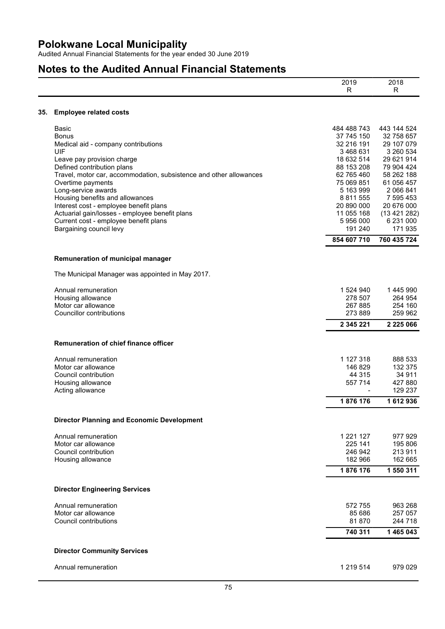Audited Annual Financial Statements for the year ended 30 June 2019

|     |                                                                    | 2019<br>R     | 2018<br>R     |
|-----|--------------------------------------------------------------------|---------------|---------------|
|     |                                                                    |               |               |
| 35. | <b>Employee related costs</b>                                      |               |               |
|     | Basic                                                              | 484 488 743   | 443 144 524   |
|     | <b>Bonus</b>                                                       | 37 745 150    | 32 758 657    |
|     | Medical aid - company contributions                                | 32 216 191    | 29 107 079    |
|     | <b>UIF</b>                                                         | 3 468 631     | 3 260 534     |
|     | Leave pay provision charge                                         | 18 632 514    | 29 621 914    |
|     | Defined contribution plans                                         | 88 153 208    | 79 904 424    |
|     | Travel, motor car, accommodation, subsistence and other allowances | 62 765 460    | 58 262 188    |
|     | Overtime payments                                                  | 75 069 851    | 61 056 457    |
|     | Long-service awards                                                | 5 163 999     | 2 066 841     |
|     | Housing benefits and allowances                                    | 8 8 1 5 5 5   | 7 595 453     |
|     | Interest cost - employee benefit plans                             | 20 890 000    | 20 676 000    |
|     | Actuarial gain/losses - employee benefit plans                     | 11 055 168    | (13 421 282)  |
|     | Current cost - employee benefit plans                              | 5 956 000     | 6 231 000     |
|     | Bargaining council levy                                            | 191 240       | 171935        |
|     |                                                                    | 854 607 710   | 760 435 724   |
|     | Remuneration of municipal manager                                  |               |               |
|     | The Municipal Manager was appointed in May 2017.                   |               |               |
|     |                                                                    |               |               |
|     | Annual remuneration                                                | 1 524 940     | 1 445 990     |
|     | Housing allowance                                                  | 278 507       | 264 954       |
|     | Motor car allowance                                                | 267 885       | 254 160       |
|     | Councillor contributions                                           | 273 889       | 259 962       |
|     |                                                                    | 2 345 221     | 2 2 2 5 0 6 6 |
|     | <b>Remuneration of chief finance officer</b>                       |               |               |
|     | Annual remuneration                                                | 1 127 318     | 888 533       |
|     | Motor car allowance                                                | 146 829       | 132 375       |
|     | Council contribution                                               | 44 315        | 34 911        |
|     | Housing allowance                                                  | 557 714       | 427 880       |
|     | Acting allowance                                                   |               | 129 237       |
|     |                                                                    | 1876 176      | 1612936       |
|     |                                                                    |               |               |
|     | <b>Director Planning and Economic Development</b>                  |               |               |
|     | Annual remuneration                                                | 1 2 2 1 1 2 7 | 977 929       |
|     | Motor car allowance                                                | 225 141       | 195 806       |
|     | Council contribution                                               | 246 942       | 213 911       |
|     | Housing allowance                                                  | 182 966       | 162 665       |
|     |                                                                    | 1876 176      | 1 550 311     |
|     | <b>Director Engineering Services</b>                               |               |               |
|     | Annual remuneration                                                | 572 755       | 963 268       |
|     | Motor car allowance                                                | 85 686        | 257 057       |
|     | Council contributions                                              | 81 870        | 244 718       |
|     |                                                                    | 740 311       | 1 465 043     |
|     |                                                                    |               |               |
|     | <b>Director Community Services</b>                                 |               |               |
|     | Annual remuneration                                                | 1 219 514     | 979 029       |
|     |                                                                    |               |               |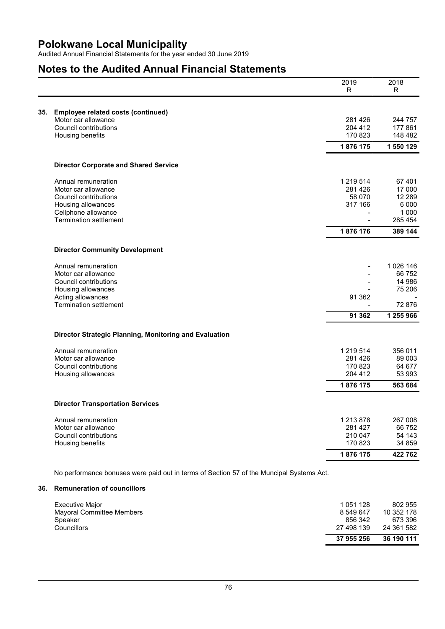Audited Annual Financial Statements for the year ended 30 June 2019

# **Notes to the Audited Annual Financial Statements**

|     |                                                        | 2019      | 2018       |
|-----|--------------------------------------------------------|-----------|------------|
|     |                                                        | R.        | R.         |
|     |                                                        |           |            |
| 35. | Employee related costs (continued)                     |           |            |
|     | Motor car allowance                                    | 281 426   | 244 757    |
|     | Council contributions                                  | 204 412   | 177 861    |
|     | Housing benefits                                       | 170 823   | 148 482    |
|     |                                                        | 1876 175  | 1 550 129  |
|     | <b>Director Corporate and Shared Service</b>           |           |            |
|     | Annual remuneration                                    | 1 219 514 | 67401      |
|     | Motor car allowance                                    | 281 426   | 17 000     |
|     | Council contributions                                  | 58 070    | 12 2 8 9   |
|     | Housing allowances                                     | 317 166   | 6 0 0 0    |
|     | Cellphone allowance                                    |           | 1 0 0 0    |
|     | <b>Termination settlement</b>                          |           | 285 454    |
|     |                                                        | 1876 176  | 389 144    |
|     | <b>Director Community Development</b>                  |           |            |
|     | Annual remuneration                                    |           | 1 0 26 146 |
|     | Motor car allowance                                    |           | 66 752     |
|     | Council contributions                                  |           | 14 986     |
|     | Housing allowances                                     |           | 75 206     |
|     | Acting allowances                                      | 91 362    |            |
|     | <b>Termination settlement</b>                          |           | 72876      |
|     |                                                        | 91 362    | 1 255 966  |
|     | Director Strategic Planning, Monitoring and Evaluation |           |            |
|     | Annual remuneration                                    | 1 219 514 | 356 011    |
|     | Motor car allowance                                    | 281 426   | 89 003     |
|     | Council contributions                                  | 170 823   | 64 677     |
|     | Housing allowances                                     | 204 412   | 53 993     |
|     |                                                        | 1876 175  | 563 684    |
|     | <b>Director Transportation Services</b>                |           |            |
|     | Annual remuneration                                    | 1 213 878 | 267 008    |
|     | Motor car allowance                                    | 281 427   | 66752      |
|     | Council contributions                                  | 210 047   | 54 143     |
|     | Housing benefits                                       | 170 823   | 34 859     |
|     |                                                        | 1876 175  | 422762     |
|     |                                                        |           |            |

No performance bonuses were paid out in terms of Section 57 of the Muncipal Systems Act.

### **36. Remuneration of councillors**

| Executive Major           | 1 051 128  | 802 955    |
|---------------------------|------------|------------|
| Mayoral Committee Members | 8 549 647  | 10 352 178 |
| Speaker                   | 856 342    | 673 396    |
| Councillors               | 27 498 139 | 24 361 582 |
|                           | 37 955 256 | 36 190 111 |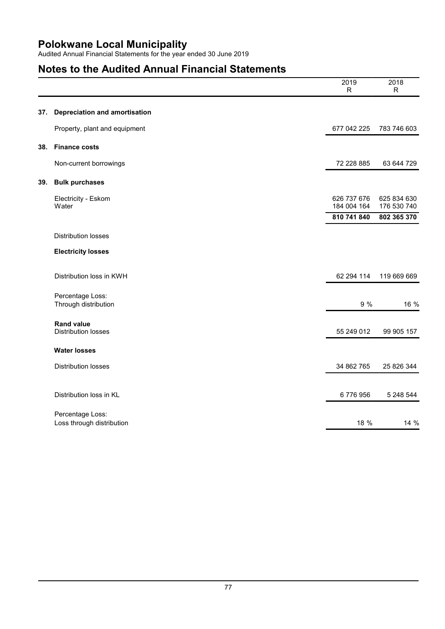Audited Annual Financial Statements for the year ended 30 June 2019

|     |                                                 | 2019<br>$\mathsf{R}$       | 2018<br>$\mathsf{R}$       |
|-----|-------------------------------------------------|----------------------------|----------------------------|
| 37. | <b>Depreciation and amortisation</b>            |                            |                            |
|     | Property, plant and equipment                   | 677 042 225                | 783 746 603                |
| 38. | <b>Finance costs</b>                            |                            |                            |
|     | Non-current borrowings                          | 72 228 885                 | 63 644 729                 |
| 39. | <b>Bulk purchases</b>                           |                            |                            |
|     | Electricity - Eskom<br>Water                    | 626 737 676<br>184 004 164 | 625 834 630<br>176 530 740 |
|     |                                                 | 810 741 840                | 802 365 370                |
|     | <b>Distribution losses</b>                      |                            |                            |
|     | <b>Electricity losses</b>                       |                            |                            |
|     | Distribution loss in KWH                        | 62 294 114                 | 119 669 669                |
|     | Percentage Loss:<br>Through distribution        | 9 %                        | 16 %                       |
|     | <b>Rand value</b><br><b>Distribution losses</b> | 55 249 012                 | 99 905 157                 |
|     | <b>Water losses</b>                             |                            |                            |
|     | <b>Distribution losses</b>                      | 34 862 765                 | 25 826 344                 |
|     | Distribution loss in KL                         | 6776956                    | 5 248 544                  |
|     | Percentage Loss:<br>Loss through distribution   | 18 %                       | 14 %                       |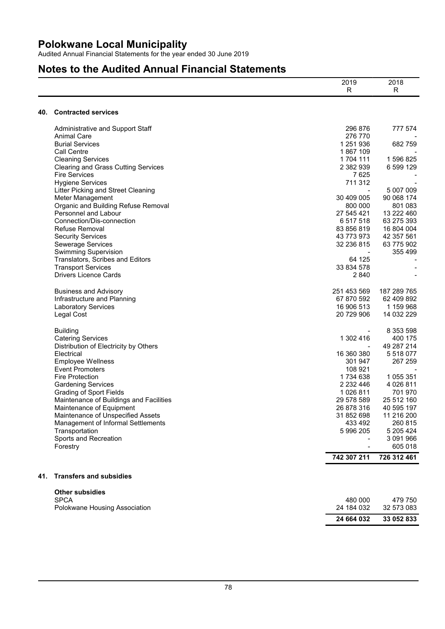Audited Annual Financial Statements for the year ended 30 June 2019

|     |                                                                    | 2019<br>R                    | 2018<br>R.             |
|-----|--------------------------------------------------------------------|------------------------------|------------------------|
|     |                                                                    |                              |                        |
|     | 40. Contracted services                                            |                              |                        |
|     | Administrative and Support Staff                                   | 296 876                      | 777 574                |
|     | <b>Animal Care</b>                                                 | 276 770                      |                        |
|     | <b>Burial Services</b>                                             | 1 251 936                    | 682759                 |
|     | Call Centre                                                        | 1867109                      |                        |
|     | <b>Cleaning Services</b>                                           | 1704 111                     | 1 596 825              |
|     | <b>Clearing and Grass Cutting Services</b><br><b>Fire Services</b> | 2 382 939<br>7625            | 6 599 129              |
|     | <b>Hygiene Services</b>                                            | 711 312                      |                        |
|     | Litter Picking and Street Cleaning                                 |                              | 5 007 009              |
|     | Meter Management                                                   | 30 409 005                   | 90 068 174             |
|     | Organic and Building Refuse Removal                                | 800 000                      | 801 083                |
|     | <b>Personnel and Labour</b>                                        | 27 545 421                   | 13 222 460             |
|     | Connection/Dis-connection                                          | 6 517 518                    | 63 275 393             |
|     | Refuse Removal                                                     | 83 856 819                   | 16 804 004             |
|     | <b>Security Services</b>                                           | 43 773 973                   | 42 357 561             |
|     | Sewerage Services                                                  | 32 236 815                   | 63 775 902             |
|     | <b>Swimming Supervision</b>                                        |                              | 355 499                |
|     | Translators, Scribes and Editors                                   | 64 125                       |                        |
|     | <b>Transport Services</b>                                          | 33 834 578                   |                        |
|     | <b>Drivers Licence Cards</b>                                       | 2840                         |                        |
|     | <b>Business and Advisory</b>                                       | 251 453 569                  | 187 289 765            |
|     | Infrastructure and Planning                                        | 67 870 592                   | 62 409 892             |
|     | <b>Laboratory Services</b>                                         | 16 906 513                   | 1 159 968              |
|     | Legal Cost                                                         | 20 729 906                   | 14 032 229             |
|     | <b>Building</b>                                                    |                              | 8 353 598              |
|     | <b>Catering Services</b>                                           | 1 302 416                    | 400 175                |
|     | Distribution of Electricity by Others                              |                              | 49 287 214             |
|     | Electrical                                                         | 16 360 380                   | 5 5 18 0 7 7           |
|     | <b>Employee Wellness</b>                                           | 301 947                      | 267 259                |
|     | <b>Event Promoters</b>                                             | 108 921                      |                        |
|     | <b>Fire Protection</b>                                             | 1 734 638                    | 1 055 351              |
|     | <b>Gardening Services</b><br><b>Grading of Sport Fields</b>        | 2 2 3 2 4 4 6<br>1 0 26 8 11 | 4 0 26 8 11<br>701 970 |
|     | Maintenance of Buildings and Facilities                            | 29 578 589                   | 25 512 160             |
|     | Maintenance of Equipment                                           | 26 878 316                   | 40 595 197             |
|     | Maintenance of Unspecified Assets                                  | 31 852 698                   | 11 216 200             |
|     | Management of Informal Settlements                                 | 433 492                      | 260 815                |
|     | Transportation                                                     | 5 996 205                    | 5 205 4 24             |
|     | Sports and Recreation                                              |                              | 3 091 966              |
|     | Forestry                                                           | $\blacksquare$               | 605 018                |
|     |                                                                    | 742 307 211                  | 726 312 461            |
|     |                                                                    |                              |                        |
| 41. | <b>Transfers and subsidies</b>                                     |                              |                        |
|     | <b>Other subsidies</b><br><b>SPCA</b>                              |                              | 479 750                |
|     | Polokwane Housing Association                                      | 480 000<br>24 184 032        | 32 573 083             |
|     |                                                                    | 24 664 032                   | 33 052 833             |
|     |                                                                    |                              |                        |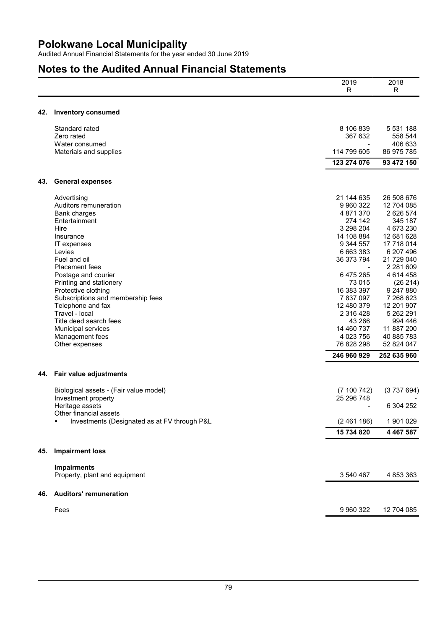Audited Annual Financial Statements for the year ended 30 June 2019

|     |                                                   | 2019<br>R.                 | 2018<br>R                |
|-----|---------------------------------------------------|----------------------------|--------------------------|
|     |                                                   |                            |                          |
| 42. | <b>Inventory consumed</b>                         |                            |                          |
|     | Standard rated                                    | 8 106 839                  | 5 531 188                |
|     | Zero rated                                        | 367 632                    | 558 544                  |
|     | Water consumed                                    |                            | 406 633                  |
|     | Materials and supplies                            | 114 799 605<br>123 274 076 | 86 975 785<br>93 472 150 |
|     |                                                   |                            |                          |
| 43. | <b>General expenses</b>                           |                            |                          |
|     | Advertising                                       | 21 144 635                 | 26 508 676               |
|     | Auditors remuneration                             | 9 960 322                  | 12 704 085               |
|     | <b>Bank charges</b>                               | 4 871 370                  | 2 626 574                |
|     | Entertainment<br>Hire                             | 274 142<br>3 298 204       | 345 187<br>4 673 230     |
|     | Insurance                                         | 14 108 884                 | 12 681 628               |
|     | IT expenses                                       | 9 344 557                  | 17 718 014               |
|     | Levies                                            | 6 663 383                  | 6 207 496                |
|     | Fuel and oil                                      | 36 373 794                 | 21 729 040               |
|     | <b>Placement</b> fees                             | $\blacksquare$             | 2 2 8 1 6 0 9            |
|     | Postage and courier                               | 6 475 265                  | 4 614 458                |
|     | Printing and stationery                           | 73 015                     | (26 214)                 |
|     | Protective clothing                               | 16 383 397                 | 9 247 880                |
|     | Subscriptions and membership fees                 | 7837097                    | 7 268 623                |
|     | Telephone and fax<br>Travel - local               | 12 480 379<br>2 316 428    | 12 201 907<br>5 262 291  |
|     | Title deed search fees                            | 43 266                     | 994 446                  |
|     | Municipal services                                | 14 460 737                 | 11 887 200               |
|     | Management fees                                   | 4 023 756                  | 40 885 783               |
|     | Other expenses                                    | 76 828 298                 | 52 824 047               |
|     |                                                   | 246 960 929                | 252 635 960              |
| 44. | <b>Fair value adjustments</b>                     |                            |                          |
|     | Biological assets - (Fair value model)            | (7 100 742)                | (3737694)                |
|     | Investment property                               | 25 296 748                 |                          |
|     | Heritage assets                                   |                            | 6 304 252                |
|     | Other financial assets                            |                            |                          |
|     | Investments (Designated as at FV through P&L<br>٠ | (2461186)                  | 1 901 029                |
|     |                                                   | 15 734 820                 | 4 467 587                |
| 45. | <b>Impairment loss</b>                            |                            |                          |
|     | <b>Impairments</b>                                |                            |                          |
|     | Property, plant and equipment                     | 3 540 467                  | 4 853 363                |
|     | 46. Auditors' remuneration                        |                            |                          |
|     | Fees                                              | 9 9 6 322                  | 12 704 085               |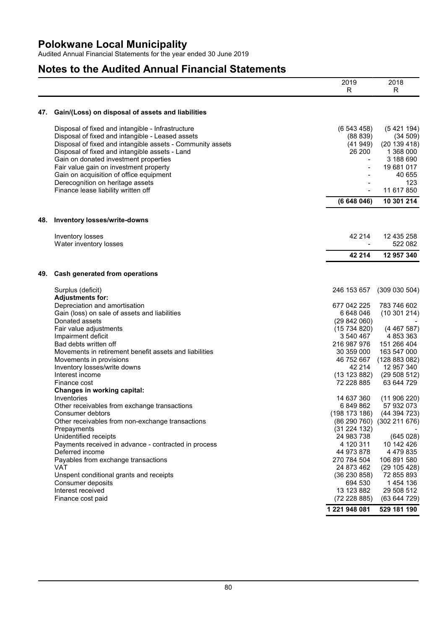Audited Annual Financial Statements for the year ended 30 June 2019

|     |                                                                             | 2019<br>R.               | 2018<br>R.                 |
|-----|-----------------------------------------------------------------------------|--------------------------|----------------------------|
|     |                                                                             |                          |                            |
| 47. | Gain/(Loss) on disposal of assets and liabilities                           |                          |                            |
|     | Disposal of fixed and intangible - Infrastructure                           | (6543458)                | (5421194)                  |
|     | Disposal of fixed and intangible - Leased assets                            | (88 839)                 | (34509)                    |
|     | Disposal of fixed and intangible assets - Community assets                  | (41949)                  | (20139418)                 |
|     | Disposal of fixed and intangible assets - Land                              | 26 200                   | 1 368 000                  |
|     | Gain on donated investment properties                                       |                          | 3 188 690                  |
|     | Fair value gain on investment property                                      |                          | 19 681 017                 |
|     | Gain on acquisition of office equipment<br>Derecognition on heritage assets |                          | 40 655                     |
|     | Finance lease liability written off                                         |                          | 123<br>11 617 850          |
|     |                                                                             | (6648046)                | 10 301 214                 |
|     |                                                                             |                          |                            |
| 48. | Inventory losses/write-downs                                                |                          |                            |
|     | Inventory losses                                                            | 42 214                   | 12 435 258                 |
|     | Water inventory losses                                                      |                          | 522 082                    |
|     |                                                                             | 42 214                   | 12 957 340                 |
| 49. | Cash generated from operations                                              |                          |                            |
|     | Surplus (deficit)                                                           | 246 153 657              | (309030504)                |
|     | <b>Adjustments for:</b>                                                     |                          |                            |
|     | Depreciation and amortisation                                               | 677 042 225              | 783 746 602                |
|     | Gain (loss) on sale of assets and liabilities                               | 6 648 046                | (10301214)                 |
|     | Donated assets<br>Fair value adjustments                                    | (29842060)<br>(15734820) | (4467587)                  |
|     | Impairment deficit                                                          | 3 540 467                | 4 853 363                  |
|     | Bad debts written off                                                       | 216 987 976              | 151 266 404                |
|     | Movements in retirement benefit assets and liabilities                      | 30 359 000               | 163 547 000                |
|     | Movements in provisions                                                     | 46 752 667               | (128883082)                |
|     | Inventory losses/write downs                                                | 42 214                   | 12 957 340                 |
|     | Interest income                                                             | (13 123 882)             | (29508512)                 |
|     | Finance cost                                                                | 72 228 885               | 63 644 729                 |
|     | Changes in working capital:                                                 |                          |                            |
|     | Inventories                                                                 | 14 637 360               | (11906220)                 |
|     | Other receivables from exchange transactions                                | 6 849 862                | 57 932 073                 |
|     | Consumer debtors                                                            | (198 173 186)            | (44394723)                 |
|     | Other receivables from non-exchange transactions<br>Prepayments             | (31 224 132)             | (86 290 760) (302 211 676) |
|     | Unidentified receipts                                                       | 24 983 738               | (645028)                   |
|     | Payments received in advance - contracted in process                        | 4 120 311                | 10 142 426                 |
|     | Deferred income                                                             | 44 973 878               | 4 479 835                  |
|     | Payables from exchange transactions                                         | 270 784 504              | 106 891 580                |
|     | <b>VAT</b>                                                                  | 24 873 462               | (29105428)                 |
|     | Unspent conditional grants and receipts                                     | (36 230 858)             | 72 855 893                 |
|     | Consumer deposits                                                           | 694 530                  | 1454 136                   |
|     | Interest received                                                           | 13 123 882               | 29 508 512                 |
|     | Finance cost paid                                                           | (72 228 885)             | (63644729)                 |
|     |                                                                             | 1 221 948 081            | 529 181 190                |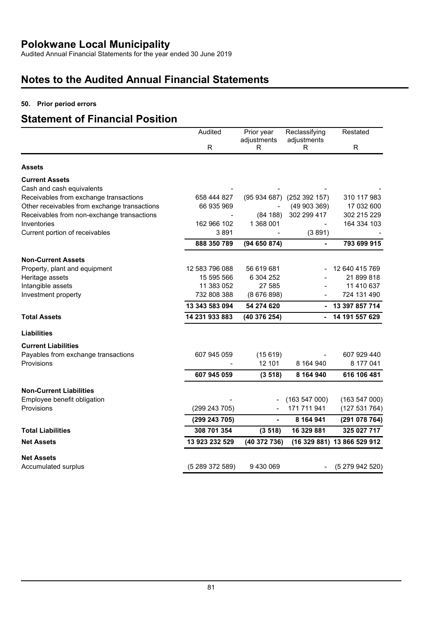Audited Annual Financial Statements for the year ended 30 June 2019

# **Notes to the Audited Annual Financial Statements**

## **50. Prior period errors**

# **Statement of Financial Position**

|                                              | Audited         | Prior year<br>adjustments | Reclassifying<br>adjustments | Restated                    |
|----------------------------------------------|-----------------|---------------------------|------------------------------|-----------------------------|
|                                              | $\mathsf{R}$    | R                         | R                            | $\mathsf{R}$                |
| Assets                                       |                 |                           |                              |                             |
| <b>Current Assets</b>                        |                 |                           |                              |                             |
| Cash and cash equivalents                    |                 |                           |                              |                             |
| Receivables from exchange transactions       | 658 444 827     |                           | (95 934 687) (252 392 157)   | 310 117 983                 |
| Other receivables from exchange transactions | 66 935 969      |                           | (49903369)                   | 17 032 600                  |
| Receivables from non-exchange transactions   |                 | (84 188)                  | 302 299 417                  | 302 215 229                 |
| Inventories                                  | 162 966 102     | 1 368 001                 |                              | 164 334 103                 |
| Current portion of receivables               | 3891            |                           | (3891)                       |                             |
|                                              | 888 350 789     | (94650874)                |                              | 793 699 915                 |
| <b>Non-Current Assets</b>                    |                 |                           |                              |                             |
| Property, plant and equipment                | 12 583 796 088  | 56 619 681                |                              | 12 640 415 769              |
| Heritage assets                              | 15 595 566      | 6 304 252                 |                              | 21 899 818                  |
| Intangible assets                            | 11 383 052      | 27 585                    |                              | 11 410 637                  |
| Investment property                          | 732 808 388     | (8676898)                 |                              | 724 131 490                 |
|                                              | 13 343 583 094  | 54 274 620                |                              | 13 397 857 714              |
| <b>Total Assets</b>                          | 14 231 933 883  | (40 376 254)              |                              | 14 191 557 629              |
| <b>Liabilities</b>                           |                 |                           |                              |                             |
| <b>Current Liabilities</b>                   |                 |                           |                              |                             |
| Payables from exchange transactions          | 607 945 059     | (15619)                   |                              | 607 929 440                 |
| Provisions                                   |                 | 12 101                    | 8 164 940                    | 8 177 041                   |
|                                              | 607 945 059     | (3518)                    | 8 164 940                    | 616 106 481                 |
| <b>Non-Current Liabilities</b>               |                 |                           |                              |                             |
| Employee benefit obligation                  |                 |                           | (163547000)                  | (163547000)                 |
| Provisions                                   | (299 243 705)   |                           | 171 711 941                  | (127531764)                 |
|                                              | (299 243 705)   | $\blacksquare$            | 8 164 941                    | (291 078 764)               |
| <b>Total Liabilities</b>                     | 308 701 354     | (3518)                    | 16 329 881                   | 325 027 717                 |
| <b>Net Assets</b>                            | 13 923 232 529  | (40 372 736)              |                              | (16 329 881) 13 866 529 912 |
| <b>Net Assets</b>                            |                 |                           |                              |                             |
| Accumulated surplus                          | (5 289 372 589) | 9 430 069                 |                              | (5279942520)                |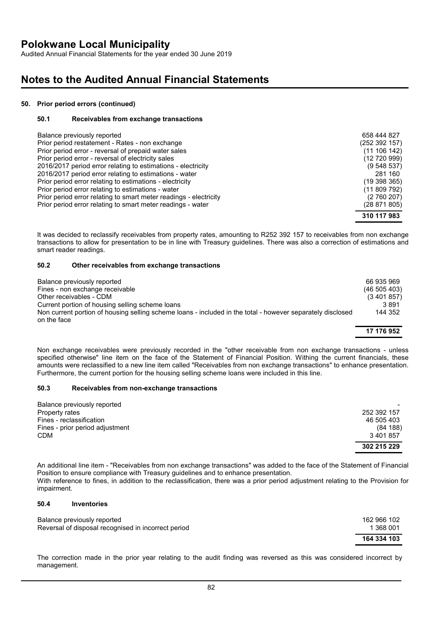Audited Annual Financial Statements for the year ended 30 June 2019

# **Notes to the Audited Annual Financial Statements**

### **50. Prior period errors (continued)**

### **50.1 Receivables from exchange transactions**

| Balance previously reported                                       | 658 444 827   |
|-------------------------------------------------------------------|---------------|
| Prior period restatement - Rates - non exchange                   | (252 392 157) |
| Prior period error - reversal of prepaid water sales              | (11106142)    |
| Prior period error - reversal of electricity sales                | (12 720 999)  |
| 2016/2017 period error relating to estimations - electricity      | (9 548 537)   |
| 2016/2017 period error relating to estimations - water            | 281 160       |
| Prior period error relating to estimations - electricity          | (19398365)    |
| Prior period error relating to estimations - water                | (11809792)    |
| Prior period error relating to smart meter readings - electricity | (2760207)     |
| Prior period error relating to smart meter readings - water       | (28871805)    |
|                                                                   | 310 117 983   |

It was decided to reclassify receivables from property rates, amounting to R252 392 157 to receivables from non exchange transactions to allow for presentation to be in line with Treasury guidelines. There was also a correction of estimations and smart reader readings.

### **50.2 Other receivables from exchange transactions**

| Balance previously reported                                                                                               | 66 935 969  |
|---------------------------------------------------------------------------------------------------------------------------|-------------|
| Fines - non exchange receivable                                                                                           | (46505403)  |
| Other receivables - CDM                                                                                                   | (3,401,857) |
| Current portion of housing selling scheme loans                                                                           | 3 891       |
| Non current portion of housing selling scheme loans - included in the total - however separately disclosed<br>on the face | 144 352     |
|                                                                                                                           | 17 176 952  |

Non exchange receivables were previously recorded in the "other receivable from non exchange transactions - unless specified otherwise" line item on the face of the Statement of Financial Position. Withing the current financials, these amounts were reclassified to a new line item called "Receivables from non exchange transactions" to enhance presentation. Furthermore, the current portion for the housing selling scheme loans were included in this line.

#### **50.3 Receivables from non-exchange transactions**

|                                 | 302 215 229 |
|---------------------------------|-------------|
| <b>CDM</b>                      | 3 401 857   |
| Fines - prior period adjustment | (84188)     |
| Fines - reclassification        | 46 505 403  |
| Property rates                  | 252 392 157 |
| Balance previously reported     |             |

An additional line item - "Receivables from non exchange transactions" was added to the face of the Statement of Financial Position to ensure compliance with Treasury guidelines and to enhance presentation.

With reference to fines, in addition to the reclassification, there was a prior period adjustment relating to the Provision for impairment.

### **50.4 Inventories**

| Balance previously reported                         | 162 966 102 |
|-----------------------------------------------------|-------------|
| Reversal of disposal recognised in incorrect period | 1 368 001   |
|                                                     | 164 334 103 |

The correction made in the prior year relating to the audit finding was reversed as this was considered incorrect by management.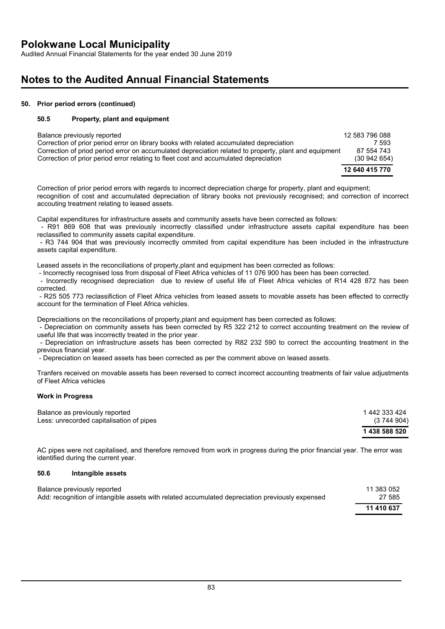Audited Annual Financial Statements for the year ended 30 June 2019

# **Notes to the Audited Annual Financial Statements**

### **50. Prior period errors (continued)**

#### **50.5 Property, plant and equipment**

| Balance previously reported                                                                           | 12 583 796 088 |
|-------------------------------------------------------------------------------------------------------|----------------|
| Correction of prior period error on library books with related accumulated depreciation               | 7 593          |
| Correction of priod period error on accumulated depreciation related to property, plant and equipment | 87 554 743     |
| Correction of prior period error relating to fleet cost and accumulated depreciation                  | (30942654)     |
|                                                                                                       | 12 640 415 770 |

Correction of prior period errors with regards to incorrect depreciation charge for property, plant and equipment; recognition of cost and accumulated depreciation of library books not previously recognised; and correction of incorrect accouting treatment relating to leased assets.

Capital expenditures for infrastructure assets and community assets have been corrected as follows:

 - R91 869 608 that was previously incorrectly classified under infrastructure assets capital expenditure has been reclassified to community assets capital expenditure.

 - R3 744 904 that was previously incorrectly ommited from capital expenditure has been included in the infrastructure assets capital expenditure.

Leased assets in the reconciliations of property,plant and equipment has been corrected as follows:

- Incorrectly recognised loss from disposal of Fleet Africa vehicles of 11 076 900 has been has been corrected.

 - Incorrectly recognised depreciation due to review of useful life of Fleet Africa vehicles of R14 428 872 has been corrected.

 - R25 505 773 reclassifiction of Fleet Africa vehicles from leased assets to movable assets has been effected to correctly account for the termination of Fleet Africa vehicles.

Depreciaitions on the reconciliations of property,plant and equipment has been corrected as follows:

 - Depreciation on community assets has been corrected by R5 322 212 to correct accounting treatment on the review of useful life that was incorrectly treated in the prior year.

 - Depreciation on infrastructure assets has been corrected by R82 232 590 to correct the accounting treatment in the previous financial year.

- Depreciation on leased assets has been corrected as per the comment above on leased assets.

Tranfers received on movable assets has been reversed to correct incorrect accounting treatments of fair value adjustments of Fleet Africa vehicles

### **Work in Progress**

| Balance as previously reported           | 1 442 333 424 |
|------------------------------------------|---------------|
| Less: unrecorded capitalisation of pipes | (3 744 904)   |
|                                          | 1 438 588 520 |

AC pipes were not capitalised, and therefore removed from work in progress during the prior financial year. The error was identified during the current year.

### **50.6 Intangible assets**

| Balance previously reported                                                                     | 11 383 052 |
|-------------------------------------------------------------------------------------------------|------------|
| Add: recognition of intangible assets with related accumulated depreciation previously expensed | 27 585     |
|                                                                                                 | 11 410 637 |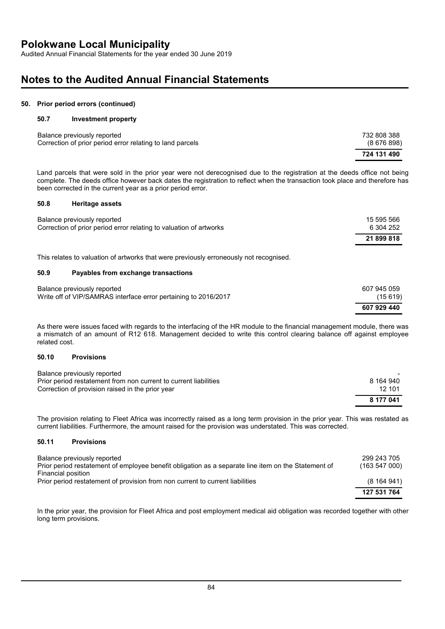Audited Annual Financial Statements for the year ended 30 June 2019

# **Notes to the Audited Annual Financial Statements**

### **50. Prior period errors (continued)**

#### **50.7 Investment property**

| Balance previously reported                               | 732 808 388 |
|-----------------------------------------------------------|-------------|
| Correction of prior period error relating to land parcels | (8676898)   |
|                                                           | 724 131 490 |

Land parcels that were sold in the prior year were not derecognised due to the registration at the deeds office not being complete. The deeds office however back dates the registration to reflect when the transaction took place and therefore has been corrected in the current year as a prior period error.

#### **50.8 Heritage assets**

| Balance previously reported<br>Correction of prior period error relating to valuation of artworks |            |
|---------------------------------------------------------------------------------------------------|------------|
|                                                                                                   | 21 899 818 |
|                                                                                                   |            |

This relates to valuation of artworks that were previously erroneously not recognised.

#### **50.9 Payables from exchange transactions**

| Balance previously reported                                     | 607 945 059 |
|-----------------------------------------------------------------|-------------|
| Write off of VIP/SAMRAS interface error pertaining to 2016/2017 | (15619)     |
|                                                                 | 607 929 440 |

As there were issues faced with regards to the interfacing of the HR module to the financial management module, there was a mismatch of an amount of R12 618. Management decided to write this control clearing balance off against employee related cost.

#### **50.10 Provisions**

|                                                                  | 8 177 041 |
|------------------------------------------------------------------|-----------|
| Correction of provision raised in the prior year                 | 12 101    |
| Prior period restatement from non current to current liabilities | 8 164 940 |
| Balance previously reported                                      |           |

The provision relating to Fleet Africa was incorrectly raised as a long term provision in the prior year. This was restated as current liabilities. Furthermore, the amount raised for the provision was understated. This was corrected.

### **50.11 Provisions**

| Balance previously reported<br>Prior period restatement of employee benefit obligation as a separate line item on the Statement of | 299 243 705<br>(163547000) |
|------------------------------------------------------------------------------------------------------------------------------------|----------------------------|
| Financial position<br>Prior period restatement of provision from non current to current liabilities                                | (8 164 941)                |
|                                                                                                                                    | 127 531 764                |

In the prior year, the provision for Fleet Africa and post employment medical aid obligation was recorded together with other long term provisions.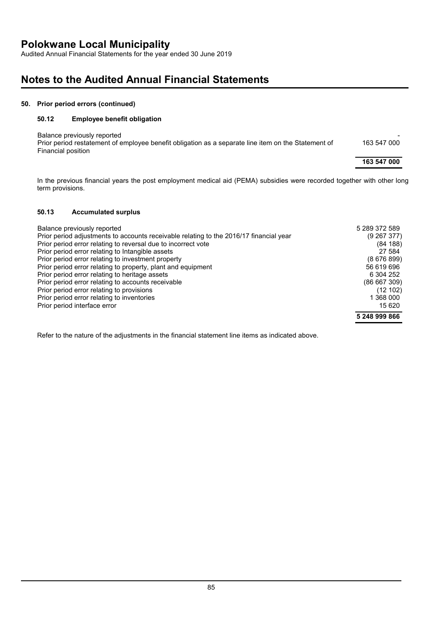Audited Annual Financial Statements for the year ended 30 June 2019

# **Notes to the Audited Annual Financial Statements**

### **50. Prior period errors (continued)**

### **50.12 Employee benefit obligation**

| Balance previously reported<br>Prior period restatement of employee benefit obligation as a separate line item on the Statement of<br>Financial position | 163 547 000 |
|----------------------------------------------------------------------------------------------------------------------------------------------------------|-------------|
|                                                                                                                                                          | 163 547 000 |

In the previous financial years the post employment medical aid (PEMA) subsidies were recorded together with other long term provisions.

### **50.13 Accumulated surplus**

| Balance previously reported                                                            | 5 289 372 589 |
|----------------------------------------------------------------------------------------|---------------|
| Prior period adjustments to accounts receivable relating to the 2016/17 financial year | (926737)      |
| Prior period error relating to reversal due to incorrect vote                          | (84188)       |
| Prior period error relating to Intangible assets                                       | 27 584        |
| Prior period error relating to investment property                                     | (8676899)     |
| Prior period error relating to property, plant and equipment                           | 56 619 696    |
| Prior period error relating to heritage assets                                         | 6 304 252     |
| Prior period error relating to accounts receivable                                     | (86667309)    |
| Prior period error relating to provisions                                              | (12102)       |
| Prior period error relating to inventories                                             | 1 368 000     |
| Prior period interface error                                                           | 15 620        |
|                                                                                        | 5 248 999 866 |
|                                                                                        |               |

Refer to the nature of the adjustments in the financial statement line items as indicated above.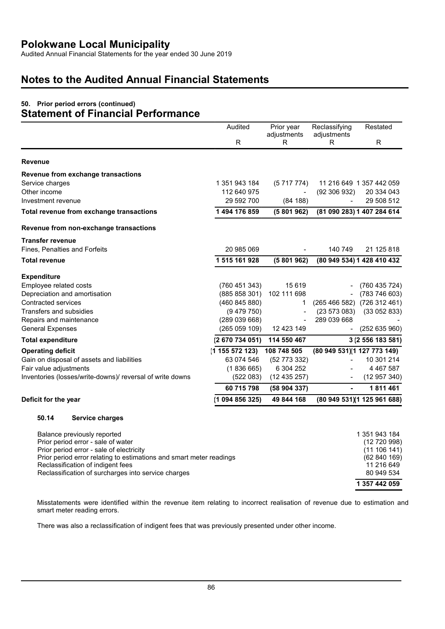Audited Annual Financial Statements for the year ended 30 June 2019

# **Notes to the Audited Annual Financial Statements**

## **50. Prior period errors (continued) Statement of Financial Performance**

|                                                           | Audited         | Prior year<br>adjustments | Reclassifying<br>adjustments | Restated                    |
|-----------------------------------------------------------|-----------------|---------------------------|------------------------------|-----------------------------|
|                                                           | R               | R                         | R.                           | R.                          |
| <b>Revenue</b>                                            |                 |                           |                              |                             |
| Revenue from exchange transactions                        |                 |                           |                              |                             |
| Service charges                                           | 1 351 943 184   | (5717774)                 |                              | 11 216 649 1 357 442 059    |
| Other income                                              | 112 640 975     |                           | (92306932)                   | 20 334 043                  |
| Investment revenue                                        | 29 592 700      | (84188)                   | $\overline{\phantom{a}}$     | 29 508 512                  |
| Total revenue from exchange transactions                  | 1 494 176 859   | (5801962)                 |                              | (81 090 283) 1 407 284 614  |
| Revenue from non-exchange transactions                    |                 |                           |                              |                             |
| <b>Transfer revenue</b>                                   |                 |                           |                              |                             |
| Fines, Penalties and Forfeits                             | 20 985 069      |                           | 140 749                      | 21 125 818                  |
| <b>Total revenue</b>                                      | 1 515 161 928   | (5801962)                 |                              | (80 949 534) 1 428 410 432  |
| <b>Expenditure</b>                                        |                 |                           |                              |                             |
| Employee related costs                                    | (760451343)     | 15 6 19                   |                              | (760 435 724)               |
| Depreciation and amortisation                             | (885 858 301)   | 102 111 698               |                              | (783746603)                 |
| Contracted services                                       | (460845880)     | 1                         |                              | (265 466 582) (726 312 461) |
| Transfers and subsidies                                   | (9479750)       |                           | (23 573 083)                 | (33052833)                  |
| Repairs and maintenance                                   | (289039668)     |                           | 289 039 668                  |                             |
| <b>General Expenses</b>                                   | (265059109)     | 12 423 149                |                              | (252635960)                 |
| <b>Total expenditure</b>                                  | (2 670 734 051) | 114 550 467               |                              | 3 (2 556 183 581)           |
| <b>Operating deficit</b>                                  | (1155572123)    | 108 748 505               | (80 949 531)(1 127 773 149)  |                             |
| Gain on disposal of assets and liabilities                | 63 074 546      | (52773332)                |                              | 10 301 214                  |
| Fair value adjustments                                    | (1836665)       | 6 304 252                 |                              | 4 4 6 7 5 8 7               |
| Inventories (losses/write-downs)/ reversal of write downs | (522 083)       | (12435257)                |                              | (12957340)                  |
|                                                           | 60 715 798      | (58 904 337)              |                              | 1811461                     |
| Deficit for the year                                      | (1 094 856 325) | 49 844 168                |                              | (80 949 531)(1 125 961 688) |
|                                                           |                 |                           |                              |                             |

## **50.14 Service charges**

| Balance previously reported                                         | 1 351 943 184 |
|---------------------------------------------------------------------|---------------|
| Prior period error - sale of water                                  | (12720998)    |
| Prior period error - sale of electricity                            | (11106141)    |
| Prior period error relating to estimations and smart meter readings | (62840169)    |
| Reclassification of indigent fees                                   | 11 216 649    |
| Reclassification of surcharges into service charges                 | 80 949 534    |
|                                                                     | 1 357 442 059 |

Misstatements were identified within the revenue item relating to incorrect realisation of revenue due to estimation and smart meter reading errors.

There was also a reclassification of indigent fees that was previously presented under other income.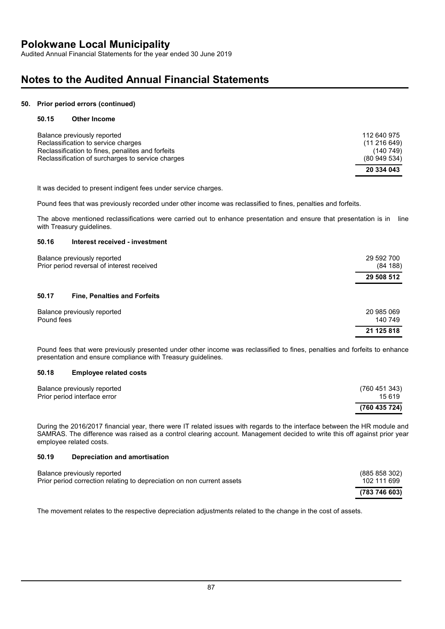Audited Annual Financial Statements for the year ended 30 June 2019

# **Notes to the Audited Annual Financial Statements**

### **50. Prior period errors (continued)**

### **50.15 Other Income**

| Balance previously reported                       | 112 640 975 |
|---------------------------------------------------|-------------|
| Reclassification to service charges               | (11216649)  |
| Reclassification to fines, penalites and forfeits | (140749)    |
| Reclassification of surcharges to service charges | (80949534)  |
|                                                   | 20 334 043  |

It was decided to present indigent fees under service charges.

Pound fees that was previously recorded under other income was reclassified to fines, penalties and forfeits.

The above mentioned reclassifications were carried out to enhance presentation and ensure that presentation is in line with Treasury guidelines.

### **50.16 Interest received - investment**

|            | Balance previously reported<br>Prior period reversal of interest received | 29 592 700<br>(84 188) |
|------------|---------------------------------------------------------------------------|------------------------|
|            |                                                                           | 29 508 512             |
| 50.17      | <b>Fine, Penalties and Forfeits</b>                                       |                        |
| Pound fees | Balance previously reported                                               | 20 985 069<br>140 749  |
|            |                                                                           | 21 125 818             |

Pound fees that were previously presented under other income was reclassified to fines, penalties and forfeits to enhance presentation and ensure compliance with Treasury guidelines.

#### **50.18 Employee related costs**

| Balance previously reported  | (760 451 343) |
|------------------------------|---------------|
| Prior period interface error | 15 619        |
|                              | (760 435 724) |

During the 2016/2017 financial year, there were IT related issues with regards to the interface between the HR module and SAMRAS. The difference was raised as a control clearing account. Management decided to write this off against prior year employee related costs.

#### **50.19 Depreciation and amortisation**

| Balance previously reported                                            | (885 858 302) |
|------------------------------------------------------------------------|---------------|
| Prior period correction relating to depreciation on non current assets | 102 111 699   |
|                                                                        | (783 746 603) |

The movement relates to the respective depreciation adjustments related to the change in the cost of assets.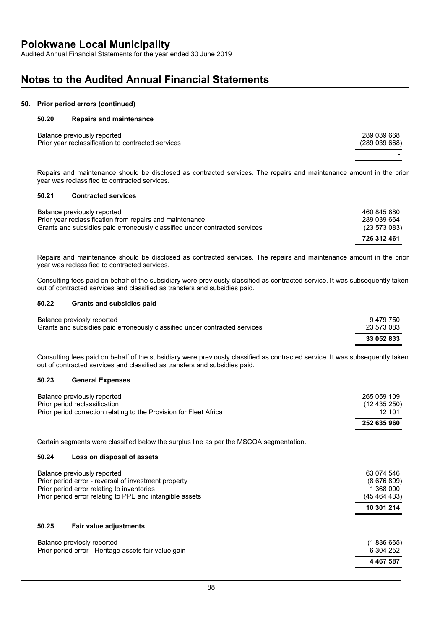Audited Annual Financial Statements for the year ended 30 June 2019

# **Notes to the Audited Annual Financial Statements**

### **50. Prior period errors (continued)**

### **50.20 Repairs and maintenance**

| Balance previously reported                        | 289 039 668 |
|----------------------------------------------------|-------------|
| Prior year reclassification to contracted services | (289039668) |
|                                                    |             |

Repairs and maintenance should be disclosed as contracted services. The repairs and maintenance amount in the prior year was reclassified to contracted services.

**-**

#### **50.21 Contracted services**

| Prior year reclassification from repairs and maintenance                   | 289 039 664  |
|----------------------------------------------------------------------------|--------------|
| Grants and subsidies paid erroneously classified under contracted services | (23 573 083) |
|                                                                            | 726 312 461  |

Repairs and maintenance should be disclosed as contracted services. The repairs and maintenance amount in the prior year was reclassified to contracted services.

Consulting fees paid on behalf of the subsidiary were previously classified as contracted service. It was subsequently taken out of contracted services and classified as transfers and subsidies paid.

#### **50.22 Grants and subsidies paid**

| Balance previosly reported                                                 | 9 479 750  |
|----------------------------------------------------------------------------|------------|
| Grants and subsidies paid erroneously classified under contracted services | 23 573 083 |
|                                                                            | 33 052 833 |

Consulting fees paid on behalf of the subsidiary were previously classified as contracted service. It was subsequently taken out of contracted services and classified as transfers and subsidies paid.

#### **50.23 General Expenses**

| Balance previously reported<br>Prior period reclassification<br>Prior period correction relating to the Provision for Fleet Africa                                                            | 265 059 109<br>(12435250)<br>12 101                  |
|-----------------------------------------------------------------------------------------------------------------------------------------------------------------------------------------------|------------------------------------------------------|
|                                                                                                                                                                                               | 252 635 960                                          |
| Certain segments were classified below the surplus line as per the MSCOA segmentation.                                                                                                        |                                                      |
| 50.24<br>Loss on disposal of assets                                                                                                                                                           |                                                      |
| Balance previously reported<br>Prior period error - reversal of investment property<br>Prior period error relating to inventories<br>Prior period error relating to PPE and intangible assets | 63 074 546<br>(8676899)<br>1 368 000<br>(45 464 433) |
| 50.25                                                                                                                                                                                         | 10 301 214                                           |
| <b>Fair value adjustments</b>                                                                                                                                                                 |                                                      |
| Balance previosly reported<br>Prior period error - Heritage assets fair value gain                                                                                                            | (1836665)<br>6 304 252                               |
|                                                                                                                                                                                               | 4 4 6 7 5 8 7                                        |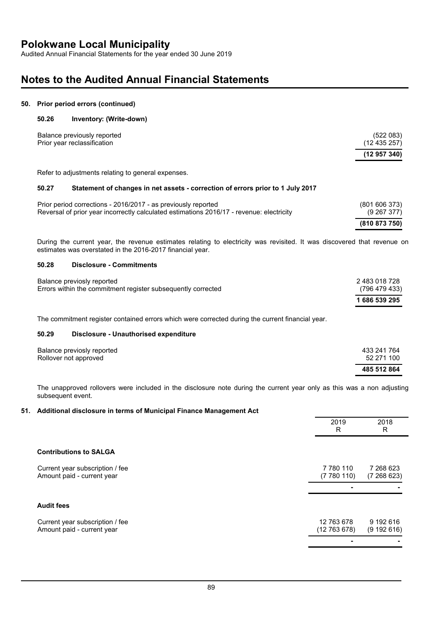Audited Annual Financial Statements for the year ended 30 June 2019

# **Notes to the Audited Annual Financial Statements**

### **50. Prior period errors (continued)**

### **50.26 Inventory: (Write-down)**

| Balance previously reported | (522083)   |
|-----------------------------|------------|
| Prior year reclassification | (12435257) |
|                             | (12957340) |

Refer to adjustments relating to general expenses.

#### **50.27 Statement of changes in net assets - correction of errors prior to 1 July 2017**

| Prior period corrections - 2016/2017 - as previously reported                            | (801606373)   |
|------------------------------------------------------------------------------------------|---------------|
| Reversal of prior year incorrectly calculated estimations 2016/17 - revenue: electricity | (926737)      |
|                                                                                          | (810 873 750) |

During the current year, the revenue estimates relating to electricity was revisited. It was discovered that revenue on estimates was overstated in the 2016-2017 financial year.

#### **50.28 Disclosure - Commitments**

|                                                              | 1 686 539 295 |
|--------------------------------------------------------------|---------------|
| Errors within the commitment register subsequently corrected | (796 479 433) |
| Balance previosly reported                                   | 2 483 018 728 |

The commitment register contained errors which were corrected during the current financial year.

### **50.29 Disclosure - Unauthorised expenditure**

| Balance previosly reported | 433 241 764 |
|----------------------------|-------------|
| Rollover not approved      | 52 271 100  |
|                            | 485 512 864 |

The unapproved rollovers were included in the disclosure note during the current year only as this was a non adjusting subsequent event.

#### **51. Additional disclosure in terms of Municipal Finance Management Act**

|                                                               | 2019<br>R                | 2018<br>R              |
|---------------------------------------------------------------|--------------------------|------------------------|
| <b>Contributions to SALGA</b>                                 |                          |                        |
| Current year subscription / fee<br>Amount paid - current year | 7 780 110<br>(7780110)   | 7 268 623<br>(7268623) |
| <b>Audit fees</b>                                             |                          |                        |
| Current year subscription / fee<br>Amount paid - current year | 12 763 678<br>(12763678) | 9 192 616<br>(9192616) |
|                                                               |                          |                        |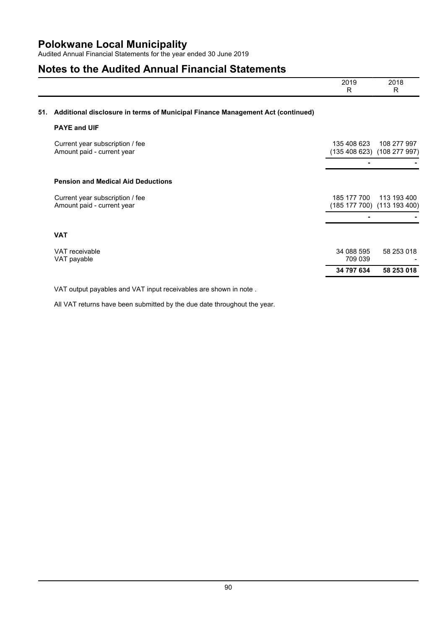$\overline{a}$ 

Audited Annual Financial Statements for the year ended 30 June 2019

# **Notes to the Audited Annual Financial Statements**

|     |                                                                                | 2019<br>R             | 2018<br>R                                  |
|-----|--------------------------------------------------------------------------------|-----------------------|--------------------------------------------|
| 51. | Additional disclosure in terms of Municipal Finance Management Act (continued) |                       |                                            |
|     | <b>PAYE and UIF</b>                                                            |                       |                                            |
|     | Current year subscription / fee<br>Amount paid - current year                  | 135 408 623           | 108 277 997<br>(135 408 623) (108 277 997) |
|     | <b>Pension and Medical Aid Deductions</b>                                      |                       |                                            |
|     | Current year subscription / fee<br>Amount paid - current year                  | 185 177 700           | 113 193 400<br>(185 177 700) (113 193 400) |
|     | <b>VAT</b>                                                                     |                       |                                            |
|     | VAT receivable<br>VAT payable                                                  | 34 088 595<br>709 039 | 58 253 018                                 |
|     |                                                                                | 34 797 634            | 58 253 018                                 |

VAT output payables and VAT input receivables are shown in note .

All VAT returns have been submitted by the due date throughout the year.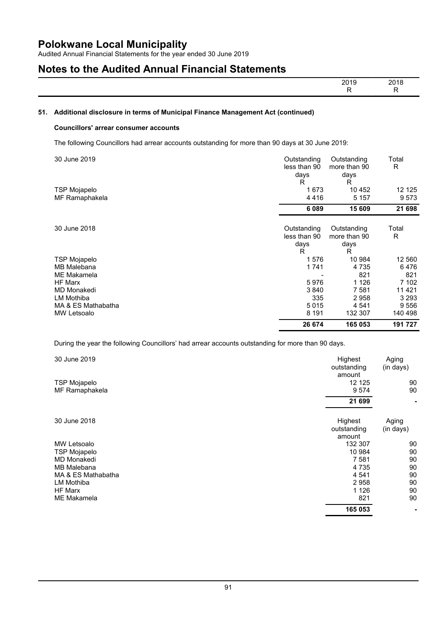Audited Annual Financial Statements for the year ended 30 June 2019

# **Notes to the Audited Annual Financial Statements**

|  | <u>. .</u> |  |
|--|------------|--|
|  |            |  |
|  |            |  |

### **51. Additional disclosure in terms of Municipal Finance Management Act (continued)**

### **Councillors' arrear consumer accounts**

The following Councillors had arrear accounts outstanding for more than 90 days at 30 June 2019:

| 30 June 2019        | Outstanding<br>less than 90<br>days<br>R | Outstanding<br>more than 90<br>days<br>R | Total<br>R |
|---------------------|------------------------------------------|------------------------------------------|------------|
| TSP Mojapelo        | 1673                                     | 10 452                                   | 12 125     |
| MF Ramaphakela      | 4416                                     | 5 1 5 7                                  | 9573       |
|                     | 6089                                     | 15 609                                   | 21 698     |
| 30 June 2018        | Outstanding<br>less than 90              | Outstanding<br>more than 90              | Total<br>R |
|                     | days<br>R                                | days<br>R                                |            |
| <b>TSP Mojapelo</b> | 1576                                     | 10 984                                   | 12 560     |
| <b>MB Malebana</b>  | 1741                                     | 4 7 3 5                                  | 6476       |
| ME Makamela         |                                          | 821                                      | 821        |
| HF Marx             | 5976                                     | 1 1 2 6                                  | 7 102      |
| <b>MD Monakedi</b>  | 3840                                     | 7581                                     | 11 4 21    |
| LM Mothiba          | 335                                      | 2958                                     | 3 2 9 3    |
| MA & ES Mathabatha  | 5015                                     | 4 5 4 1                                  | 9556       |
| MW Letsoalo         | 8 1 9 1                                  | 132 307                                  | 140 498    |
|                     | 26 674                                   | 165 053                                  | 191 727    |

During the year the following Councillors' had arrear accounts outstanding for more than 90 days.

| 30 June 2019        | Highest     | Aging     |
|---------------------|-------------|-----------|
|                     | outstanding | (in days) |
|                     | amount      |           |
| <b>TSP Mojapelo</b> | 12 125      | 90        |
| MF Ramaphakela      | 9574        | 90        |
|                     | 21 699      |           |
| 30 June 2018        | Highest     | Aging     |
|                     | outstanding | (in days) |
|                     | amount      |           |
| <b>MW Letsoalo</b>  | 132 307     | 90        |
| <b>TSP Mojapelo</b> | 10 984      | 90        |
| <b>MD Monakedi</b>  | 7581        | 90        |
| <b>MB Malebana</b>  | 4 7 3 5     | 90        |
| MA & ES Mathabatha  | 4 5 4 1     | 90        |
| LM Mothiba          | 2958        | 90        |
| HF Marx             | 1 1 2 6     | 90        |
| <b>ME Makamela</b>  | 821         | 90        |
|                     | 165 053     |           |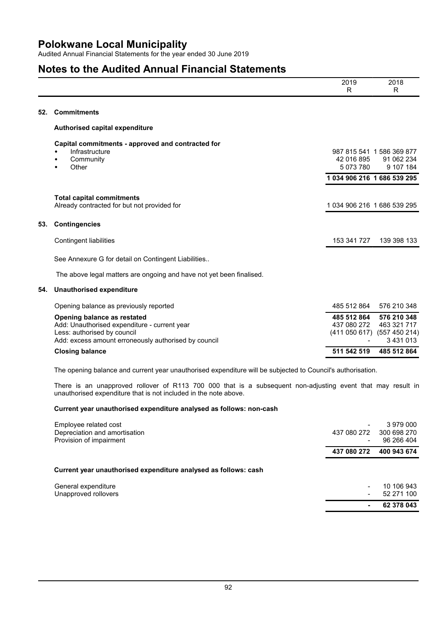$\overline{a}$ 

Audited Annual Financial Statements for the year ended 30 June 2019

## **Notes to the Audited Annual Financial Statements**

|     |                                                                                     | 2019<br>R.                  | 2018<br>R                                    |
|-----|-------------------------------------------------------------------------------------|-----------------------------|----------------------------------------------|
|     |                                                                                     |                             |                                              |
| 52. | <b>Commitments</b>                                                                  |                             |                                              |
|     | Authorised capital expenditure                                                      |                             |                                              |
|     | Capital commitments - approved and contracted for                                   |                             |                                              |
|     | Infrastructure                                                                      | 42 016 895                  | 987 815 541 1 586 369 877<br>91 062 234      |
|     | Community<br>Other<br>٠                                                             | 5 073 780                   | 9 107 184                                    |
|     |                                                                                     | 1 034 906 216 1 686 539 295 |                                              |
|     | <b>Total capital commitments</b>                                                    |                             |                                              |
|     | Already contracted for but not provided for                                         | 1 034 906 216 1 686 539 295 |                                              |
| 53. | <b>Contingencies</b>                                                                |                             |                                              |
|     | <b>Contingent liabilities</b>                                                       | 153 341 727                 | 139 398 133                                  |
|     | See Annexure G for detail on Contingent Liabilities                                 |                             |                                              |
|     | The above legal matters are ongoing and have not yet been finalised.                |                             |                                              |
| 54. | <b>Unauthorised expenditure</b>                                                     |                             |                                              |
|     | Opening balance as previously reported                                              | 485 512 864                 | 576 210 348                                  |
|     | Opening balance as restated                                                         | 485 512 864                 | 576 210 348                                  |
|     | Add: Unauthorised expenditure - current year                                        | 437 080 272                 | 463 321 717                                  |
|     | Less: authorised by council<br>Add: excess amount erroneously authorised by council |                             | (411 050 617) (557 450 214)<br>3 4 3 1 0 1 3 |
|     | <b>Closing balance</b>                                                              | 511 542 519                 | 485 512 864                                  |

The opening balance and current year unauthorised expenditure will be subjected to Council's authorisation.

There is an unapproved rollover of R113 700 000 that is a subsequent non-adjusting event that may result in unauthorised expenditure that is not included in the note above.

### **Current year unauthorised expenditure analysed as follows: non-cash**

| Employee related cost<br>Depreciation and amortisation<br>Provision of impairment | -<br>437 080 272<br>- | 3 979 000<br>300 698 270<br>96 266 404 |
|-----------------------------------------------------------------------------------|-----------------------|----------------------------------------|
|                                                                                   | 437 080 272           | 400 943 674                            |
| Current year unauthorised expenditure analysed as follows: cash                   |                       |                                        |
| General expenditure                                                               |                       | 10 106 943                             |
| Unapproved rollovers                                                              |                       | 52 271 100                             |
|                                                                                   | ۰                     | 62 378 043                             |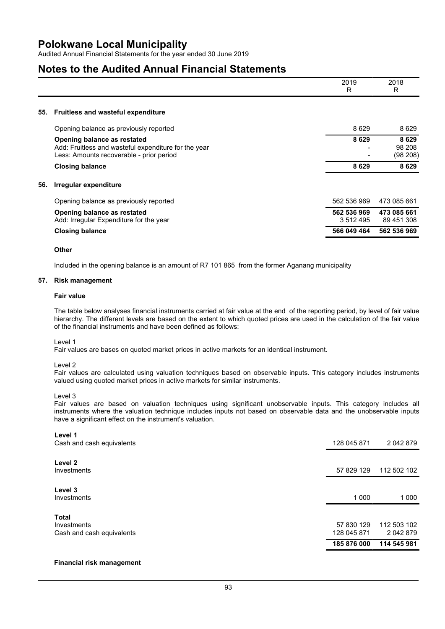Audited Annual Financial Statements for the year ended 30 June 2019

## **Notes to the Audited Annual Financial Statements**

|                                                                                                                                 | 2019<br>R                | 2018<br>R                  |
|---------------------------------------------------------------------------------------------------------------------------------|--------------------------|----------------------------|
| <b>Fruitless and wasteful expenditure</b><br>55.                                                                                |                          |                            |
| Opening balance as previously reported                                                                                          | 8629                     | 8629                       |
| Opening balance as restated<br>Add: Fruitless and wasteful expenditure for the year<br>Less: Amounts recoverable - prior period | 8629                     | 8629<br>98 208<br>(98 208) |
| <b>Closing balance</b>                                                                                                          | 8629                     | 8629                       |
| 56.<br>Irregular expenditure                                                                                                    |                          |                            |
| Opening balance as previously reported                                                                                          | 562 536 969              | 473 085 661                |
| Opening balance as restated<br>Add: Irregular Expenditure for the year                                                          | 562 536 969<br>3 512 495 | 473 085 661<br>89 451 308  |
| <b>Closing balance</b>                                                                                                          | 566 049 464              | 562 536 969                |

#### **Other**

Included in the opening balance is an amount of R7 101 865 from the former Aganang municipality

#### **57. Risk management**

#### **Fair value**

The table below analyses financial instruments carried at fair value at the end of the reporting period, by level of fair value hierarchy. The different levels are based on the extent to which quoted prices are used in the calculation of the fair value of the financial instruments and have been defined as follows:

Level 1

Fair values are bases on quoted market prices in active markets for an identical instrument.

Level 2

Fair values are calculated using valuation techniques based on observable inputs. This category includes instruments valued using quoted market prices in active markets for similar instruments.

Level 3

**Level 1**

Fair values are based on valuation techniques using significant unobservable inputs. This category includes all instruments where the valuation technique includes inputs not based on observable data and the unobservable inputs have a significant effect on the instrument's valuation.

|                                                          | 185 876 000               | 114 545 981              |
|----------------------------------------------------------|---------------------------|--------------------------|
| <b>Total</b><br>Investments<br>Cash and cash equivalents | 57 830 129<br>128 045 871 | 112 503 102<br>2 042 879 |
| Level 3<br>Investments                                   | 1 0 0 0                   | 1 0 0 0                  |
| Level 2<br>Investments                                   | 57 829 129                | 112 502 102              |
| Level 1<br>Cash and cash equivalents                     | 128 045 871               | 2 042 879                |

#### **Financial risk management**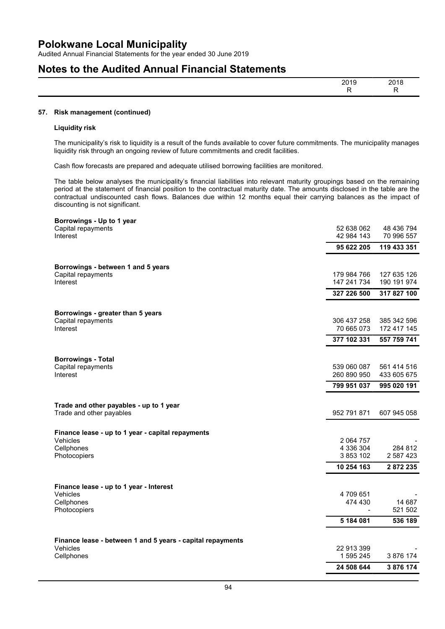Audited Annual Financial Statements for the year ended 30 June 2019

## **Notes to the Audited Annual Financial Statements**

| $  -$ |  |
|-------|--|
|-------|--|

### **57. Risk management (continued)**

### **Liquidity risk**

The municipality's risk to liquidity is a result of the funds available to cover future commitments. The municipality manages liquidity risk through an ongoing review of future commitments and credit facilities.

Cash flow forecasts are prepared and adequate utilised borrowing facilities are monitored.

The table below analyses the municipality's financial liabilities into relevant maturity groupings based on the remaining period at the statement of financial position to the contractual maturity date. The amounts disclosed in the table are the contractual undiscounted cash flows. Balances due within 12 months equal their carrying balances as the impact of discounting is not significant.

|                                                                        | 24 508 644                | 3876174                    |
|------------------------------------------------------------------------|---------------------------|----------------------------|
| Cellphones                                                             | 1 595 245                 | 3876174                    |
| Finance lease - between 1 and 5 years - capital repayments<br>Vehicles | 22 913 399                |                            |
|                                                                        |                           |                            |
|                                                                        | 5 184 081                 | 536 189                    |
| Photocopiers                                                           |                           | 521 502                    |
| Vehicles<br>Cellphones                                                 | 4709651<br>474 430        | 14 687                     |
| Finance lease - up to 1 year - Interest                                |                           |                            |
|                                                                        | 10 254 163                | 2872235                    |
| Photocopiers                                                           | 3 853 102                 | 2 587 423                  |
| Cellphones                                                             | 4 336 304                 | 284 812                    |
| Finance lease - up to 1 year - capital repayments<br>Vehicles          | 2 0 64 7 57               |                            |
| Trade and other payables - up to 1 year<br>Trade and other payables    | 952 791 871               | 607 945 058                |
|                                                                        | 799 951 037               | 995 020 191                |
| Interest                                                               | 260 890 950               | 433 605 675                |
| <b>Borrowings - Total</b><br>Capital repayments                        | 539 060 087               | 561 414 516                |
|                                                                        | 377 102 331               | 557 759 741                |
| Capital repayments<br>Interest                                         | 306 437 258<br>70 665 073 | 385 342 596<br>172 417 145 |
| Borrowings - greater than 5 years                                      |                           |                            |
|                                                                        | 327 226 500               | 317 827 100                |
| Interest                                                               | 147 241 734               | 190 191 974                |
| Borrowings - between 1 and 5 years<br>Capital repayments               | 179 984 766               | 127 635 126                |
|                                                                        | 95 622 205                | 119 433 351                |
| Interest                                                               | 42 984 143                | 70 996 557                 |
| Borrowings - Up to 1 year<br>Capital repayments                        | 52 638 062                | 48 436 794                 |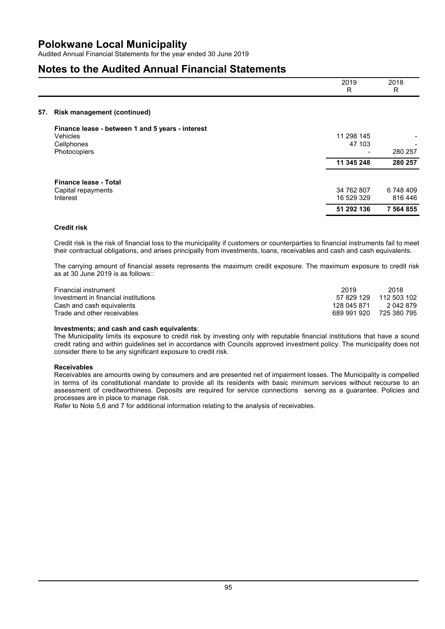Audited Annual Financial Statements for the year ended 30 June 2019

## **Notes to the Audited Annual Financial Statements**

|     |                                                                                                   | 2019<br>R                              | 2018<br>R            |
|-----|---------------------------------------------------------------------------------------------------|----------------------------------------|----------------------|
| 57. | <b>Risk management (continued)</b>                                                                |                                        |                      |
|     | Finance lease - between 1 and 5 years - interest<br><b>Vehicles</b><br>Cellphones<br>Photocopiers | 11 298 145<br>47 103                   | 280 257              |
|     |                                                                                                   | 11 345 248                             | 280 257              |
|     | Finance lease - Total<br>Capital repayments<br>Interest                                           | 34 762 807<br>16 529 329<br>51 292 136 | 6 748 409<br>816 446 |
|     |                                                                                                   |                                        | 7 564 855            |

### **Credit risk**

Credit risk is the risk of financial loss to the municipality if customers or counterparties to financial instruments fail to meet their contractual obligations, and arises principally from investments, loans, receivables and cash and cash equivalents.

The carrying amount of financial assets represents the maximum credit exposure. The maximum exposure to credit risk as at 30 June 2019 is as follows::

| Financial instrument                 | 2019        | 2018        |
|--------------------------------------|-------------|-------------|
| Investment in financial institutions | 57 829 129  | 112 503 102 |
| Cash and cash equivalents            | 128 045 871 | 2 042 879   |
| Trade and other receivables          | 689 991 920 | 725 380 795 |

#### **Investments; and cash and cash equivalents**:

The Municipality limits its exposure to credit risk by investing only with reputable financial institutions that have a sound credit rating and within guidelines set in accordance with Councils approved investment policy. The municipality does not consider there to be any significant exposure to credit risk.

#### **Receivables**

Receivables are amounts owing by consumers and are presented net of impairment losses. The Municipality is compelled in terms of its constitutional mandate to provide all its residents with basic minimum services without recourse to an assessment of creditworthiness. Deposits are required for service connections serving as a guarantee. Policies and processes are in place to manage risk.

Refer to Note 5,6 and 7 for additional information relating to the analysis of receivables.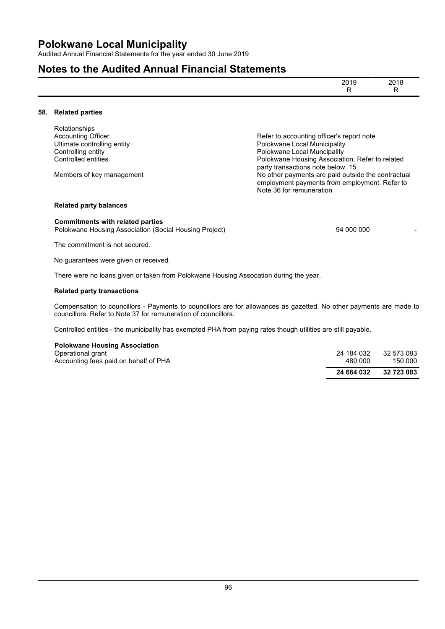Audited Annual Financial Statements for the year ended 30 June 2019

## **Notes to the Audited Annual Financial Statements**

|  | ~~  |        |
|--|-----|--------|
|  | . . |        |
|  |     | $\sim$ |
|  |     |        |

#### **58. Related parties**

| Relationships                 |                                                                                                                                 |
|-------------------------------|---------------------------------------------------------------------------------------------------------------------------------|
| <b>Accounting Officer</b>     | Refer to accounting officer's report note                                                                                       |
| Ultimate controlling entity   | Polokwane Local Municipality                                                                                                    |
| Controlling entity            | Polokwane Local Muncipality                                                                                                     |
| Controlled entities           | Polokwane Housing Association. Refer to related<br>party transactions note below. 15                                            |
| Members of key management     | No other payments are paid outside the contractual<br>employment payments from employment. Refer to<br>Note 36 for remuneration |
| <b>Related party balances</b> |                                                                                                                                 |

**Commitments with related parties**

Polokwane Housing Association (Social Housing Project) 94 000 000

The commitment is not secured.

No guarantees were given or received.

There were no loans given or taken from Polokwane Housing Assocation during the year.

#### **Related party transactions**

Compensation to councillors - Payments to councillors are for allowances as gazetted. No other payments are made to councillors. Refer to Note 37 for remuneration of councillors.

Controlled entities - the municipality has exempted PHA from paying rates though utilities are still payable.

#### **Polokwane Housing Association**

|                                       | 24 664 032 | 32 723 083 |
|---------------------------------------|------------|------------|
| Accounting fees paid on behalf of PHA | 480 000    | 150 000    |
| Operational grant                     | 24 184 032 | 32 573 083 |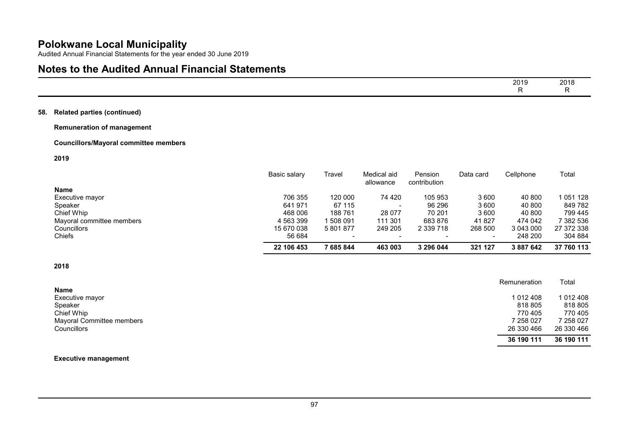Audited Annual Financial Statements for the year ended 30 June 2019

## **Notes to the Audited Annual Financial Statements**

| 2019                     | . . <i>. .</i><br>20 I õ |
|--------------------------|--------------------------|
| $\overline{\phantom{0}}$ | $\sim$                   |

### **58. Related parties (continued)**

### **Remuneration of management**

### **Councillors/Mayoral committee members**

#### **2019**

|                           | Basic salary | Travel    | Medical aid<br>allowance | Pension<br>contribution | Data card | Cellphone | Total      |
|---------------------------|--------------|-----------|--------------------------|-------------------------|-----------|-----------|------------|
| <b>Name</b>               |              |           |                          |                         |           |           |            |
| Executive mayor           | 706 355      | 120 000   | 74 420                   | 105 953                 | 3600      | 40 800    | l 051 128  |
| Speaker                   | 641971       | 67 115    |                          | 96 296                  | 3600      | 40 800    | 849 782    |
| Chief Whip                | 468 006      | 188 761   | 28 0 77                  | 70 201                  | 3600      | 40 800    | 799 445    |
| Mayoral committee members | 4 563 399    | 1508091   | 111 301                  | 683 876                 | 41827     | 474 042   | 7 382 536  |
| Councillors               | 15 670 038   | 5 801 877 | 249 205                  | 2 339 718               | 268 500   | 3 043 000 | 27 372 338 |
| Chiefs                    | 56 684       |           |                          |                         |           | 248 200   | 304 884    |
|                           | 22 106 453   | 7 685 844 | 463 003                  | 3 296 044               | 321 127   | 3887642   | 37 760 113 |

#### **2018**

|                           | Remuneration  | Total         |
|---------------------------|---------------|---------------|
| <b>Name</b>               |               |               |
| Executive mayor           | 1 0 1 2 4 0 8 | 1 0 1 2 4 0 8 |
| Speaker                   | 818 805       | 818 805       |
| Chief Whip                | 770 405       | 770 405       |
| Mayoral Committee members | 7 258 027     | 7 258 027     |
| Councillors               | 26 330 466    | 26 330 466    |
|                           | 36 190 111    | 36 190 111    |

#### **Executive management**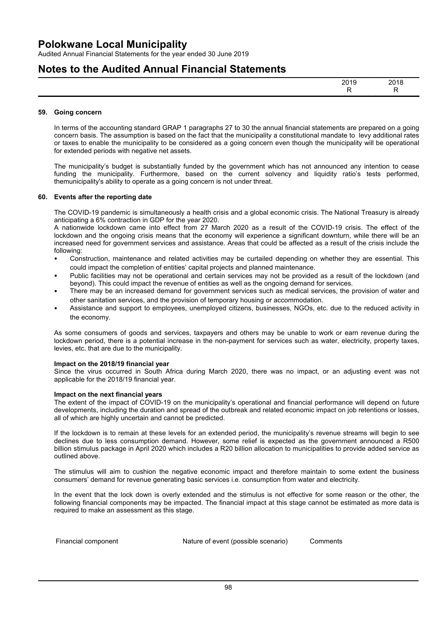Audited Annual Financial Statements for the year ended 30 June 2019

## **Notes to the Audited Annual Financial Statements**

|  |           | -- - |
|--|-----------|------|
|  | ~<br>____ | .    |
|  |           |      |
|  |           |      |

#### **59. Going concern**

In terms of the accounting standard GRAP 1 paragraphs 27 to 30 the annual financial statements are prepared on a going concern basis. The assumption is based on the fact that the municipality a constitutional mandate to levy additional rates or taxes to enable the municipality to be considered as a going concern even though the municipality will be operational for extended periods with negative net assets.

The municipality's budget is substantially funded by the government which has not announced any intention to cease funding the municipality. Furthermore, based on the current solvency and liquidity ratio's tests performed, themunicipality's ability to operate as a going concern is not under threat.

#### **60. Events after the reporting date**

The COVID-19 pandemic is simultaneously a health crisis and a global economic crisis. The National Treasury is already anticipating a 6% contraction in GDP for the year 2020.

A nationwide lockdown came into effect from 27 March 2020 as a result of the COVID-19 crisis. The effect of the lockdown and the ongoing crisis means that the economy will experience a significant downturn, while there will be an increased need for government services and assistance. Areas that could be affected as a result of the crisis include the following:

- Construction, maintenance and related activities may be curtailed depending on whether they are essential. This could impact the completion of entities' capital projects and planned maintenance.
- Public facilities may not be operational and certain services may not be provided as a result of the lockdown (and beyond). This could impact the revenue of entities as well as the ongoing demand for services.
- There may be an increased demand for government services such as medical services, the provision of water and other sanitation services, and the provision of temporary housing or accommodation.
- Assistance and support to employees, unemployed citizens, businesses, NGOs, etc. due to the reduced activity in the economy.

As some consumers of goods and services, taxpayers and others may be unable to work or earn revenue during the lockdown period, there is a potential increase in the non-payment for services such as water, electricity, property taxes, levies, etc. that are due to the municipality.

#### **Impact on the 2018/19 financial year**

Since the virus occurred in South Africa during March 2020, there was no impact, or an adjusting event was not applicable for the 2018/19 financial year.

#### **Impact on the next financial years**

The extent of the impact of COVID-19 on the municipality's operational and financial performance will depend on future developments, including the duration and spread of the outbreak and related economic impact on job retentions or losses, all of which are highly uncertain and cannot be predicted.

If the lockdown is to remain at these levels for an extended period, the municipality's revenue streams will begin to see declines due to less consumption demand. However, some relief is expected as the government announced a R500 billion stimulus package in April 2020 which includes a R20 billion allocation to municipalities to provide added service as outlined above.

The stimulus will aim to cushion the negative economic impact and therefore maintain to some extent the business consumers' demand for revenue generating basic services i.e. consumption from water and electricity.

In the event that the lock down is overly extended and the stimulus is not effective for some reason or the other, the following financial components may be impacted. The financial impact at this stage cannot be estimated as more data is required to make an assessment as this stage.

Financial component Nature of event (possible scenario) Comments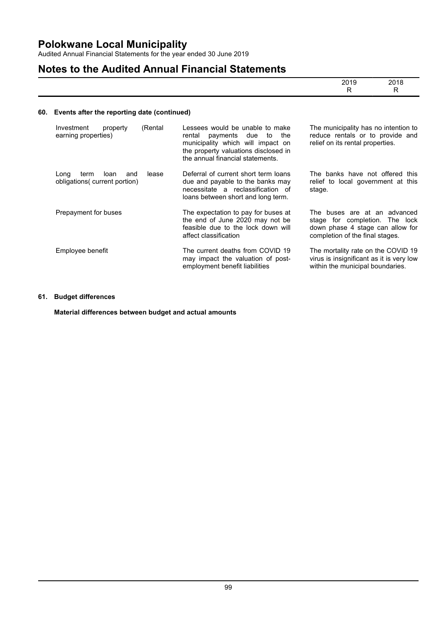Audited Annual Financial Statements for the year ended 30 June 2019

# **Notes to the Audited Annual Financial Statements**

### **60. Events after the reporting date (continued)**

| Investment<br>property<br>earning properties)                | (Rental | Lessees would be unable to make<br>payments due<br>to<br>the<br>rental<br>municipality which will impact on<br>the property valuations disclosed in<br>the annual financial statements. | The municipality has no intention to<br>reduce rentals or to provide and<br>relief on its rental properties.                          |
|--------------------------------------------------------------|---------|-----------------------------------------------------------------------------------------------------------------------------------------------------------------------------------------|---------------------------------------------------------------------------------------------------------------------------------------|
| Long<br>term<br>loan<br>and<br>obligations (current portion) | lease   | Deferral of current short term loans<br>due and payable to the banks may<br>necessitate a reclassification of<br>loans between short and long term.                                     | The banks have not offered this<br>relief to local government at this<br>stage.                                                       |
| Prepayment for buses                                         |         | The expectation to pay for buses at<br>the end of June 2020 may not be<br>feasible due to the lock down will<br>affect classification                                                   | The buses are at an advanced<br>stage for completion. The lock<br>down phase 4 stage can allow for<br>completion of the final stages. |
| Employee benefit                                             |         | The current deaths from COVID 19<br>may impact the valuation of post-<br>employment benefit liabilities                                                                                 | The mortality rate on the COVID 19<br>virus is insignificant as it is very low<br>within the municipal boundaries.                    |

### **61. Budget differences**

**Material differences between budget and actual amounts**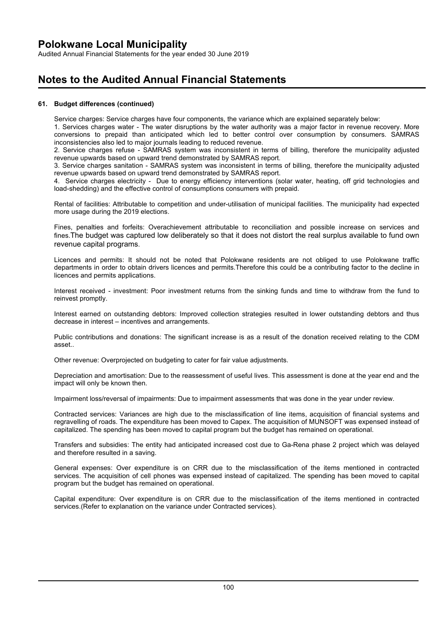Audited Annual Financial Statements for the year ended 30 June 2019

# **Notes to the Audited Annual Financial Statements**

#### **61. Budget differences (continued)**

Service charges: Service charges have four components, the variance which are explained separately below:

1. Services charges water - The water disruptions by the water authority was a major factor in revenue recovery. More conversions to prepaid than anticipated which led to better control over consumption by consumers. SAMRAS inconsistencies also led to major journals leading to reduced revenue.

2. Service charges refuse - SAMRAS system was inconsistent in terms of billing, therefore the municipality adjusted revenue upwards based on upward trend demonstrated by SAMRAS report.

3. Service charges sanitation - SAMRAS system was inconsistent in terms of billing, therefore the municipality adjusted revenue upwards based on upward trend demonstrated by SAMRAS report.

4. Service charges electricity - Due to energy efficiency interventions (solar water, heating, off grid technologies and load-shedding) and the effective control of consumptions consumers with prepaid.

Rental of facilities: Attributable to competition and under-utilisation of municipal facilities. The municipality had expected more usage during the 2019 elections.

Fines, penalties and forfeits: Overachievement attributable to reconciliation and possible increase on services and fines.The budget was captured low deliberately so that it does not distort the real surplus available to fund own revenue capital programs.

Licences and permits: It should not be noted that Polokwane residents are not obliged to use Polokwane traffic departments in order to obtain drivers licences and permits.Therefore this could be a contributing factor to the decline in licences and permits applications.

Interest received - investment: Poor investment returns from the sinking funds and time to withdraw from the fund to reinvest promptly.

Interest earned on outstanding debtors: Improved collection strategies resulted in lower outstanding debtors and thus decrease in interest – incentives and arrangements.

Public contributions and donations: The significant increase is as a result of the donation received relating to the CDM asset..

Other revenue: Overprojected on budgeting to cater for fair value adjustments.

Depreciation and amortisation: Due to the reassessment of useful lives. This assessment is done at the year end and the impact will only be known then.

Impairment loss/reversal of impairments: Due to impairment assessments that was done in the year under review.

Contracted services: Variances are high due to the misclassification of line items, acquisition of financial systems and regravelling of roads. The expenditure has been moved to Capex. The acquisition of MUNSOFT was expensed instead of capitalized. The spending has been moved to capital program but the budget has remained on operational.

Transfers and subsidies: The entity had anticipated increased cost due to Ga-Rena phase 2 project which was delayed and therefore resulted in a saving.

General expenses: Over expenditure is on CRR due to the misclassification of the items mentioned in contracted services. The acquisition of cell phones was expensed instead of capitalized. The spending has been moved to capital program but the budget has remained on operational.

Capital expenditure: Over expenditure is on CRR due to the misclassification of the items mentioned in contracted services.(Refer to explanation on the variance under Contracted services).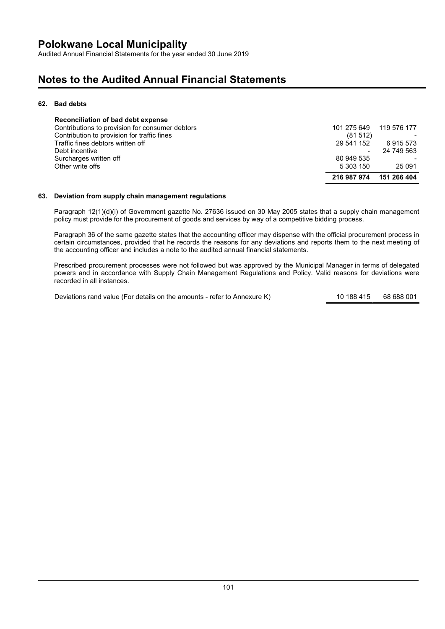Audited Annual Financial Statements for the year ended 30 June 2019

# **Notes to the Audited Annual Financial Statements**

### **62. Bad debts**

| Reconciliation of bad debt expense              |                          |             |
|-------------------------------------------------|--------------------------|-------------|
| Contributions to provision for consumer debtors | 101 275 649              | 119 576 177 |
| Contribution to provision for traffic fines     | (81512)                  |             |
| Traffic fines debtors written off               | 29 541 152               | 6915573     |
| Debt incentive                                  | $\overline{\phantom{a}}$ | 24 749 563  |
| Surcharges written off                          | 80 949 535               |             |
| Other write offs                                | 5 303 150                | 25 091      |
|                                                 | 216 987 974              | 151 266 404 |

#### **63. Deviation from supply chain management regulations**

Paragraph 12(1)(d)(i) of Government gazette No. 27636 issued on 30 May 2005 states that a supply chain management policy must provide for the procurement of goods and services by way of a competitive bidding process.

Paragraph 36 of the same gazette states that the accounting officer may dispense with the official procurement process in certain circumstances, provided that he records the reasons for any deviations and reports them to the next meeting of the accounting officer and includes a note to the audited annual financial statements.

Prescribed procurement processes were not followed but was approved by the Municipal Manager in terms of delegated powers and in accordance with Supply Chain Management Regulations and Policy. Valid reasons for deviations were recorded in all instances.

Deviations rand value (For details on the amounts - refer to Annexure K) 10 188 415 68 688 001